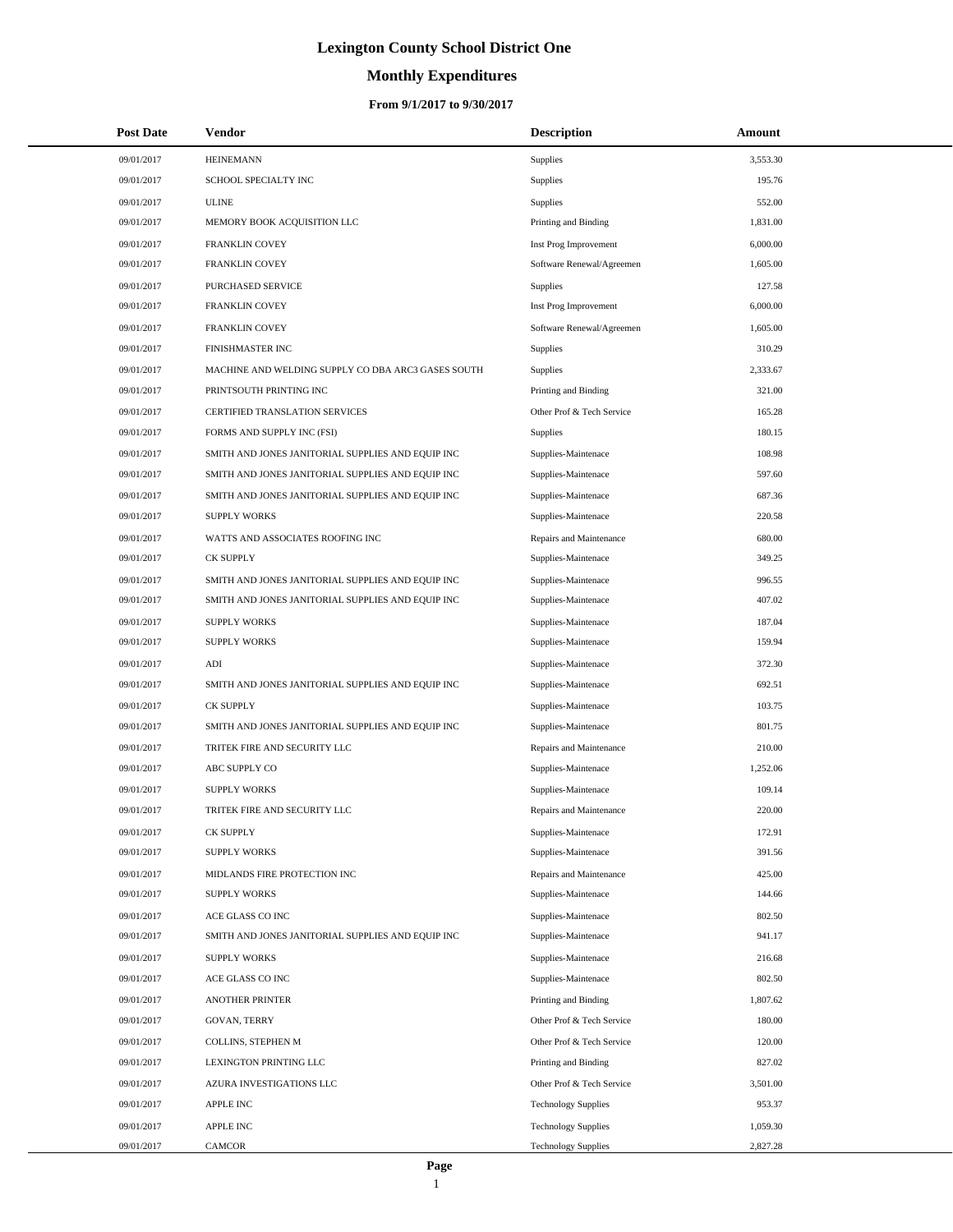# **Monthly Expenditures**

| <b>Post Date</b> | Vendor                                             | <b>Description</b>         | Amount   |
|------------------|----------------------------------------------------|----------------------------|----------|
| 09/01/2017       | <b>HEINEMANN</b>                                   | Supplies                   | 3,553.30 |
| 09/01/2017       | SCHOOL SPECIALTY INC                               | Supplies                   | 195.76   |
| 09/01/2017       | <b>ULINE</b>                                       | Supplies                   | 552.00   |
| 09/01/2017       | MEMORY BOOK ACQUISITION LLC                        | Printing and Binding       | 1,831.00 |
| 09/01/2017       | <b>FRANKLIN COVEY</b>                              | Inst Prog Improvement      | 6,000.00 |
| 09/01/2017       | <b>FRANKLIN COVEY</b>                              | Software Renewal/Agreemen  | 1,605.00 |
| 09/01/2017       | PURCHASED SERVICE                                  | Supplies                   | 127.58   |
| 09/01/2017       | <b>FRANKLIN COVEY</b>                              | Inst Prog Improvement      | 6,000.00 |
| 09/01/2017       | <b>FRANKLIN COVEY</b>                              | Software Renewal/Agreemen  | 1,605.00 |
| 09/01/2017       | FINISHMASTER INC                                   | Supplies                   | 310.29   |
| 09/01/2017       | MACHINE AND WELDING SUPPLY CO DBA ARC3 GASES SOUTH | Supplies                   | 2,333.67 |
| 09/01/2017       | PRINTSOUTH PRINTING INC                            | Printing and Binding       | 321.00   |
| 09/01/2017       | CERTIFIED TRANSLATION SERVICES                     | Other Prof & Tech Service  | 165.28   |
| 09/01/2017       | FORMS AND SUPPLY INC (FSI)                         | Supplies                   | 180.15   |
| 09/01/2017       | SMITH AND JONES JANITORIAL SUPPLIES AND EQUIP INC  | Supplies-Maintenace        | 108.98   |
| 09/01/2017       | SMITH AND JONES JANITORIAL SUPPLIES AND EQUIP INC  | Supplies-Maintenace        | 597.60   |
| 09/01/2017       | SMITH AND JONES JANITORIAL SUPPLIES AND EQUIP INC  | Supplies-Maintenace        | 687.36   |
| 09/01/2017       | <b>SUPPLY WORKS</b>                                | Supplies-Maintenace        | 220.58   |
| 09/01/2017       | WATTS AND ASSOCIATES ROOFING INC                   | Repairs and Maintenance    | 680.00   |
| 09/01/2017       | <b>CK SUPPLY</b>                                   | Supplies-Maintenace        | 349.25   |
| 09/01/2017       | SMITH AND JONES JANITORIAL SUPPLIES AND EQUIP INC  | Supplies-Maintenace        | 996.55   |
| 09/01/2017       | SMITH AND JONES JANITORIAL SUPPLIES AND EQUIP INC  | Supplies-Maintenace        | 407.02   |
| 09/01/2017       | <b>SUPPLY WORKS</b>                                | Supplies-Maintenace        | 187.04   |
| 09/01/2017       | <b>SUPPLY WORKS</b>                                | Supplies-Maintenace        | 159.94   |
| 09/01/2017       | ADI                                                | Supplies-Maintenace        | 372.30   |
| 09/01/2017       | SMITH AND JONES JANITORIAL SUPPLIES AND EQUIP INC  | Supplies-Maintenace        | 692.51   |
| 09/01/2017       | <b>CK SUPPLY</b>                                   | Supplies-Maintenace        | 103.75   |
| 09/01/2017       | SMITH AND JONES JANITORIAL SUPPLIES AND EQUIP INC  | Supplies-Maintenace        | 801.75   |
| 09/01/2017       | TRITEK FIRE AND SECURITY LLC                       | Repairs and Maintenance    | 210.00   |
| 09/01/2017       | ABC SUPPLY CO                                      | Supplies-Maintenace        | 1,252.06 |
| 09/01/2017       | <b>SUPPLY WORKS</b>                                | Supplies-Maintenace        | 109.14   |
| 09/01/2017       | TRITEK FIRE AND SECURITY LLC                       | Repairs and Maintenance    | 220.00   |
| 09/01/2017       | CK SUPPLY                                          | Supplies-Maintenace        | 172.91   |
| 09/01/2017       | <b>SUPPLY WORKS</b>                                | Supplies-Maintenace        | 391.56   |
| 09/01/2017       | MIDLANDS FIRE PROTECTION INC                       | Repairs and Maintenance    | 425.00   |
| 09/01/2017       | <b>SUPPLY WORKS</b>                                | Supplies-Maintenace        | 144.66   |
| 09/01/2017       | ACE GLASS CO INC                                   | Supplies-Maintenace        | 802.50   |
| 09/01/2017       | SMITH AND JONES JANITORIAL SUPPLIES AND EQUIP INC  | Supplies-Maintenace        | 941.17   |
| 09/01/2017       | <b>SUPPLY WORKS</b>                                | Supplies-Maintenace        | 216.68   |
| 09/01/2017       | ACE GLASS CO INC                                   | Supplies-Maintenace        | 802.50   |
| 09/01/2017       | <b>ANOTHER PRINTER</b>                             | Printing and Binding       | 1,807.62 |
| 09/01/2017       | <b>GOVAN, TERRY</b>                                | Other Prof & Tech Service  | 180.00   |
| 09/01/2017       | COLLINS, STEPHEN M                                 | Other Prof & Tech Service  | 120.00   |
| 09/01/2017       | LEXINGTON PRINTING LLC                             | Printing and Binding       | 827.02   |
| 09/01/2017       | AZURA INVESTIGATIONS LLC                           | Other Prof & Tech Service  | 3,501.00 |
| 09/01/2017       | APPLE INC                                          | <b>Technology Supplies</b> | 953.37   |
| 09/01/2017       | <b>APPLE INC</b>                                   | <b>Technology Supplies</b> | 1,059.30 |
| 09/01/2017       | CAMCOR                                             | <b>Technology Supplies</b> | 2,827.28 |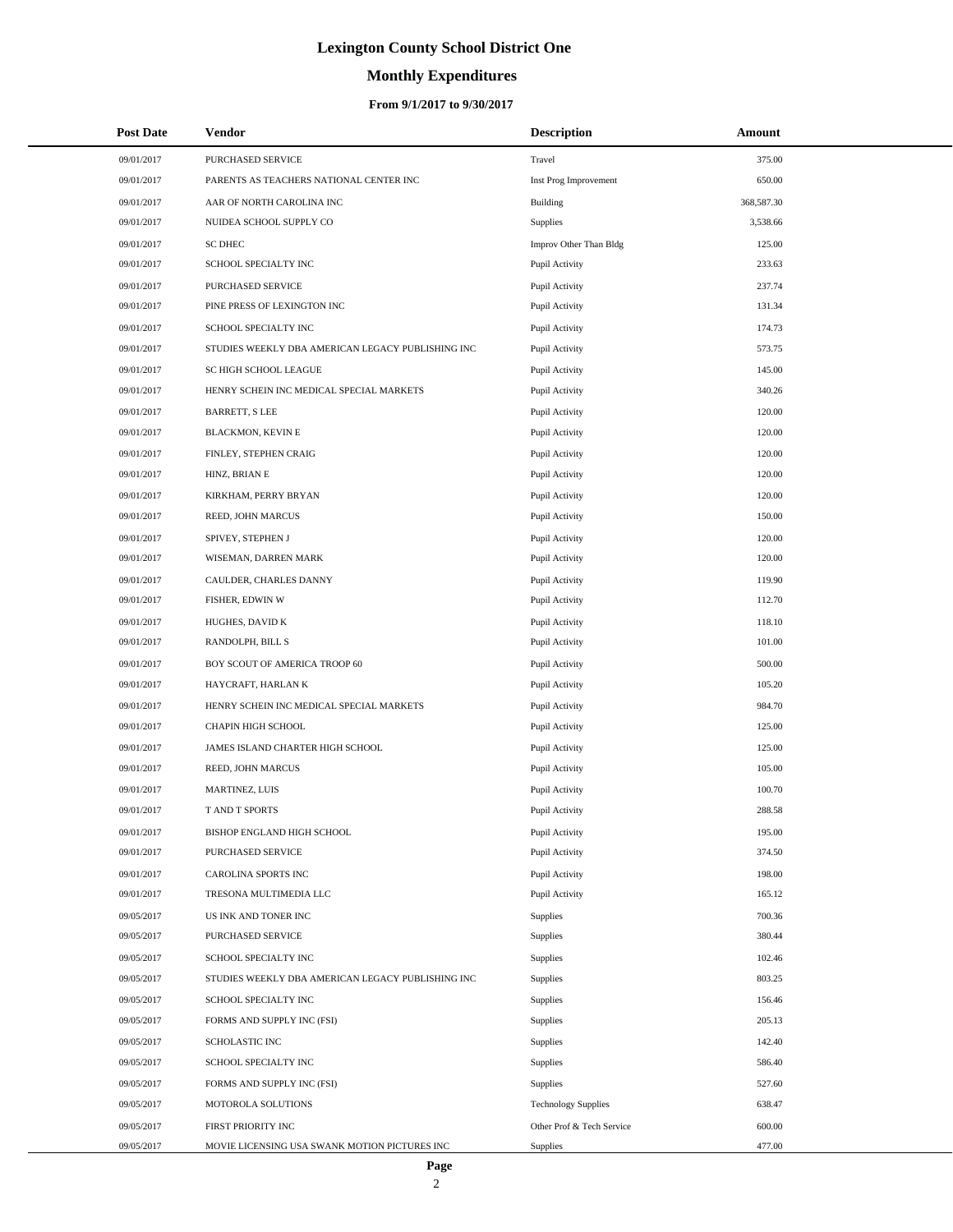# **Monthly Expenditures**

### **From 9/1/2017 to 9/30/2017**

| <b>Post Date</b> | Vendor                                            | <b>Description</b>         | Amount     |  |
|------------------|---------------------------------------------------|----------------------------|------------|--|
| 09/01/2017       | PURCHASED SERVICE                                 | Travel                     | 375.00     |  |
| 09/01/2017       | PARENTS AS TEACHERS NATIONAL CENTER INC           | Inst Prog Improvement      | 650.00     |  |
| 09/01/2017       | AAR OF NORTH CAROLINA INC                         | Building                   | 368,587.30 |  |
| 09/01/2017       | NUIDEA SCHOOL SUPPLY CO                           | Supplies                   | 3,538.66   |  |
| 09/01/2017       | <b>SC DHEC</b>                                    | Improv Other Than Bldg     | 125.00     |  |
| 09/01/2017       | SCHOOL SPECIALTY INC                              | Pupil Activity             | 233.63     |  |
| 09/01/2017       | PURCHASED SERVICE                                 | Pupil Activity             | 237.74     |  |
| 09/01/2017       | PINE PRESS OF LEXINGTON INC                       | Pupil Activity             | 131.34     |  |
| 09/01/2017       | SCHOOL SPECIALTY INC                              | Pupil Activity             | 174.73     |  |
| 09/01/2017       | STUDIES WEEKLY DBA AMERICAN LEGACY PUBLISHING INC | Pupil Activity             | 573.75     |  |
| 09/01/2017       | SC HIGH SCHOOL LEAGUE                             | Pupil Activity             | 145.00     |  |
| 09/01/2017       | HENRY SCHEIN INC MEDICAL SPECIAL MARKETS          | Pupil Activity             | 340.26     |  |
| 09/01/2017       | <b>BARRETT, S LEE</b>                             | Pupil Activity             | 120.00     |  |
| 09/01/2017       | BLACKMON, KEVIN E                                 | Pupil Activity             | 120.00     |  |
| 09/01/2017       | FINLEY, STEPHEN CRAIG                             | Pupil Activity             | 120.00     |  |
| 09/01/2017       | HINZ, BRIAN E                                     | Pupil Activity             | 120.00     |  |
| 09/01/2017       | KIRKHAM, PERRY BRYAN                              | Pupil Activity             | 120.00     |  |
| 09/01/2017       | REED, JOHN MARCUS                                 | Pupil Activity             | 150.00     |  |
| 09/01/2017       | SPIVEY, STEPHEN J                                 | Pupil Activity             | 120.00     |  |
| 09/01/2017       | WISEMAN, DARREN MARK                              | Pupil Activity             | 120.00     |  |
| 09/01/2017       | CAULDER, CHARLES DANNY                            | Pupil Activity             | 119.90     |  |
| 09/01/2017       | FISHER, EDWIN W                                   | Pupil Activity             | 112.70     |  |
| 09/01/2017       | HUGHES, DAVID K                                   | Pupil Activity             | 118.10     |  |
| 09/01/2017       | RANDOLPH, BILL S                                  | Pupil Activity             | 101.00     |  |
| 09/01/2017       | BOY SCOUT OF AMERICA TROOP 60                     | Pupil Activity             | 500.00     |  |
| 09/01/2017       | HAYCRAFT, HARLAN K                                | Pupil Activity             | 105.20     |  |
| 09/01/2017       | HENRY SCHEIN INC MEDICAL SPECIAL MARKETS          | Pupil Activity             | 984.70     |  |
| 09/01/2017       | <b>CHAPIN HIGH SCHOOL</b>                         | Pupil Activity             | 125.00     |  |
| 09/01/2017       | JAMES ISLAND CHARTER HIGH SCHOOL                  | Pupil Activity             | 125.00     |  |
| 09/01/2017       | REED, JOHN MARCUS                                 | Pupil Activity             | 105.00     |  |
| 09/01/2017       | MARTINEZ, LUIS                                    | Pupil Activity             | 100.70     |  |
| 09/01/2017       | <b>TAND T SPORTS</b>                              | Pupil Activity             | 288.58     |  |
| 09/01/2017       | BISHOP ENGLAND HIGH SCHOOL                        | Pupil Activity             | 195.00     |  |
| 09/01/2017       | PURCHASED SERVICE                                 | Pupil Activity             | 374.50     |  |
| 09/01/2017       | CAROLINA SPORTS INC                               | Pupil Activity             | 198.00     |  |
| 09/01/2017       | TRESONA MULTIMEDIA LLC                            | Pupil Activity             | 165.12     |  |
| 09/05/2017       | US INK AND TONER INC                              | Supplies                   | 700.36     |  |
| 09/05/2017       | PURCHASED SERVICE                                 | Supplies                   | 380.44     |  |
| 09/05/2017       | SCHOOL SPECIALTY INC                              | Supplies                   | 102.46     |  |
| 09/05/2017       | STUDIES WEEKLY DBA AMERICAN LEGACY PUBLISHING INC | Supplies                   | 803.25     |  |
| 09/05/2017       | SCHOOL SPECIALTY INC                              | Supplies                   | 156.46     |  |
| 09/05/2017       | FORMS AND SUPPLY INC (FSI)                        | Supplies                   | 205.13     |  |
| 09/05/2017       | SCHOLASTIC INC                                    | Supplies                   | 142.40     |  |
| 09/05/2017       | SCHOOL SPECIALTY INC                              | Supplies                   | 586.40     |  |
| 09/05/2017       | FORMS AND SUPPLY INC (FSI)                        | Supplies                   | 527.60     |  |
| 09/05/2017       | MOTOROLA SOLUTIONS                                | <b>Technology Supplies</b> | 638.47     |  |
| 09/05/2017       | FIRST PRIORITY INC                                | Other Prof & Tech Service  | 600.00     |  |
| 09/05/2017       | MOVIE LICENSING USA SWANK MOTION PICTURES INC     | Supplies                   | 477.00     |  |

÷.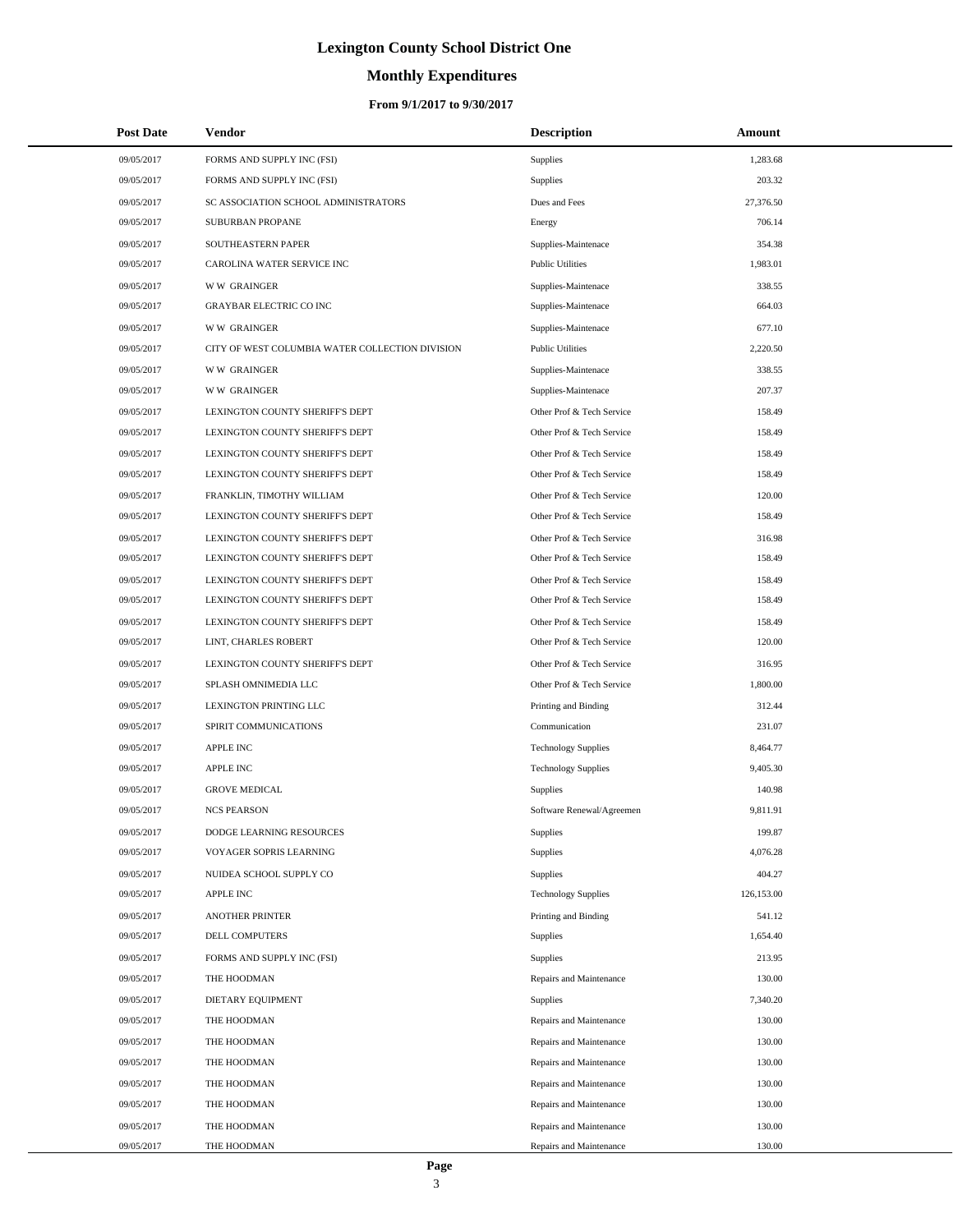# **Monthly Expenditures**

### **From 9/1/2017 to 9/30/2017**

| <b>Post Date</b> | Vendor                                          | <b>Description</b>         | Amount     |
|------------------|-------------------------------------------------|----------------------------|------------|
| 09/05/2017       | FORMS AND SUPPLY INC (FSI)                      | Supplies                   | 1,283.68   |
| 09/05/2017       | FORMS AND SUPPLY INC (FSI)                      | Supplies                   | 203.32     |
| 09/05/2017       | SC ASSOCIATION SCHOOL ADMINISTRATORS            | Dues and Fees              | 27,376.50  |
| 09/05/2017       | <b>SUBURBAN PROPANE</b>                         | Energy                     | 706.14     |
| 09/05/2017       | SOUTHEASTERN PAPER                              | Supplies-Maintenace        | 354.38     |
| 09/05/2017       | CAROLINA WATER SERVICE INC                      | <b>Public Utilities</b>    | 1,983.01   |
| 09/05/2017       | <b>WW GRAINGER</b>                              | Supplies-Maintenace        | 338.55     |
| 09/05/2017       | <b>GRAYBAR ELECTRIC CO INC</b>                  | Supplies-Maintenace        | 664.03     |
| 09/05/2017       | <b>WW GRAINGER</b>                              | Supplies-Maintenace        | 677.10     |
| 09/05/2017       | CITY OF WEST COLUMBIA WATER COLLECTION DIVISION | <b>Public Utilities</b>    | 2,220.50   |
| 09/05/2017       | <b>WW GRAINGER</b>                              | Supplies-Maintenace        | 338.55     |
| 09/05/2017       | <b>WW GRAINGER</b>                              | Supplies-Maintenace        | 207.37     |
| 09/05/2017       | LEXINGTON COUNTY SHERIFF'S DEPT                 | Other Prof & Tech Service  | 158.49     |
| 09/05/2017       | LEXINGTON COUNTY SHERIFF'S DEPT                 | Other Prof & Tech Service  | 158.49     |
| 09/05/2017       | LEXINGTON COUNTY SHERIFF'S DEPT                 | Other Prof & Tech Service  | 158.49     |
| 09/05/2017       | LEXINGTON COUNTY SHERIFF'S DEPT                 | Other Prof & Tech Service  | 158.49     |
| 09/05/2017       | FRANKLIN, TIMOTHY WILLIAM                       | Other Prof & Tech Service  | 120.00     |
| 09/05/2017       | LEXINGTON COUNTY SHERIFF'S DEPT                 | Other Prof & Tech Service  | 158.49     |
| 09/05/2017       | LEXINGTON COUNTY SHERIFF'S DEPT                 | Other Prof & Tech Service  | 316.98     |
| 09/05/2017       | LEXINGTON COUNTY SHERIFF'S DEPT                 | Other Prof & Tech Service  | 158.49     |
| 09/05/2017       | LEXINGTON COUNTY SHERIFF'S DEPT                 | Other Prof & Tech Service  | 158.49     |
| 09/05/2017       | LEXINGTON COUNTY SHERIFF'S DEPT                 | Other Prof & Tech Service  | 158.49     |
| 09/05/2017       | LEXINGTON COUNTY SHERIFF'S DEPT                 | Other Prof & Tech Service  | 158.49     |
| 09/05/2017       | LINT, CHARLES ROBERT                            | Other Prof & Tech Service  | 120.00     |
| 09/05/2017       | LEXINGTON COUNTY SHERIFF'S DEPT                 | Other Prof & Tech Service  | 316.95     |
| 09/05/2017       | SPLASH OMNIMEDIA LLC                            | Other Prof & Tech Service  | 1,800.00   |
| 09/05/2017       | LEXINGTON PRINTING LLC                          | Printing and Binding       | 312.44     |
| 09/05/2017       | SPIRIT COMMUNICATIONS                           | Communication              | 231.07     |
| 09/05/2017       | <b>APPLE INC</b>                                | <b>Technology Supplies</b> | 8,464.77   |
| 09/05/2017       | <b>APPLE INC</b>                                | <b>Technology Supplies</b> | 9,405.30   |
| 09/05/2017       | <b>GROVE MEDICAL</b>                            | <b>Supplies</b>            | 140.98     |
| 09/05/2017       | <b>NCS PEARSON</b>                              | Software Renewal/Agreemen  | 9,811.91   |
| 09/05/2017       | DODGE LEARNING RESOURCES                        | Supplies                   | 199.87     |
| 09/05/2017       | VOYAGER SOPRIS LEARNING                         | Supplies                   | 4,076.28   |
| 09/05/2017       | NUIDEA SCHOOL SUPPLY CO                         | Supplies                   | 404.27     |
| 09/05/2017       | <b>APPLE INC</b>                                | <b>Technology Supplies</b> | 126,153.00 |
| 09/05/2017       | <b>ANOTHER PRINTER</b>                          | Printing and Binding       | 541.12     |
| 09/05/2017       | DELL COMPUTERS                                  | Supplies                   | 1,654.40   |
| 09/05/2017       | FORMS AND SUPPLY INC (FSI)                      | Supplies                   | 213.95     |
| 09/05/2017       | THE HOODMAN                                     | Repairs and Maintenance    | 130.00     |
| 09/05/2017       | DIETARY EQUIPMENT                               | Supplies                   | 7,340.20   |
| 09/05/2017       | THE HOODMAN                                     | Repairs and Maintenance    | 130.00     |
| 09/05/2017       | THE HOODMAN                                     | Repairs and Maintenance    | 130.00     |
| 09/05/2017       | THE HOODMAN                                     | Repairs and Maintenance    | 130.00     |
| 09/05/2017       | THE HOODMAN                                     | Repairs and Maintenance    | 130.00     |
| 09/05/2017       | THE HOODMAN                                     | Repairs and Maintenance    | 130.00     |
| 09/05/2017       | THE HOODMAN                                     | Repairs and Maintenance    | 130.00     |
| 09/05/2017       | THE HOODMAN                                     | Repairs and Maintenance    | 130.00     |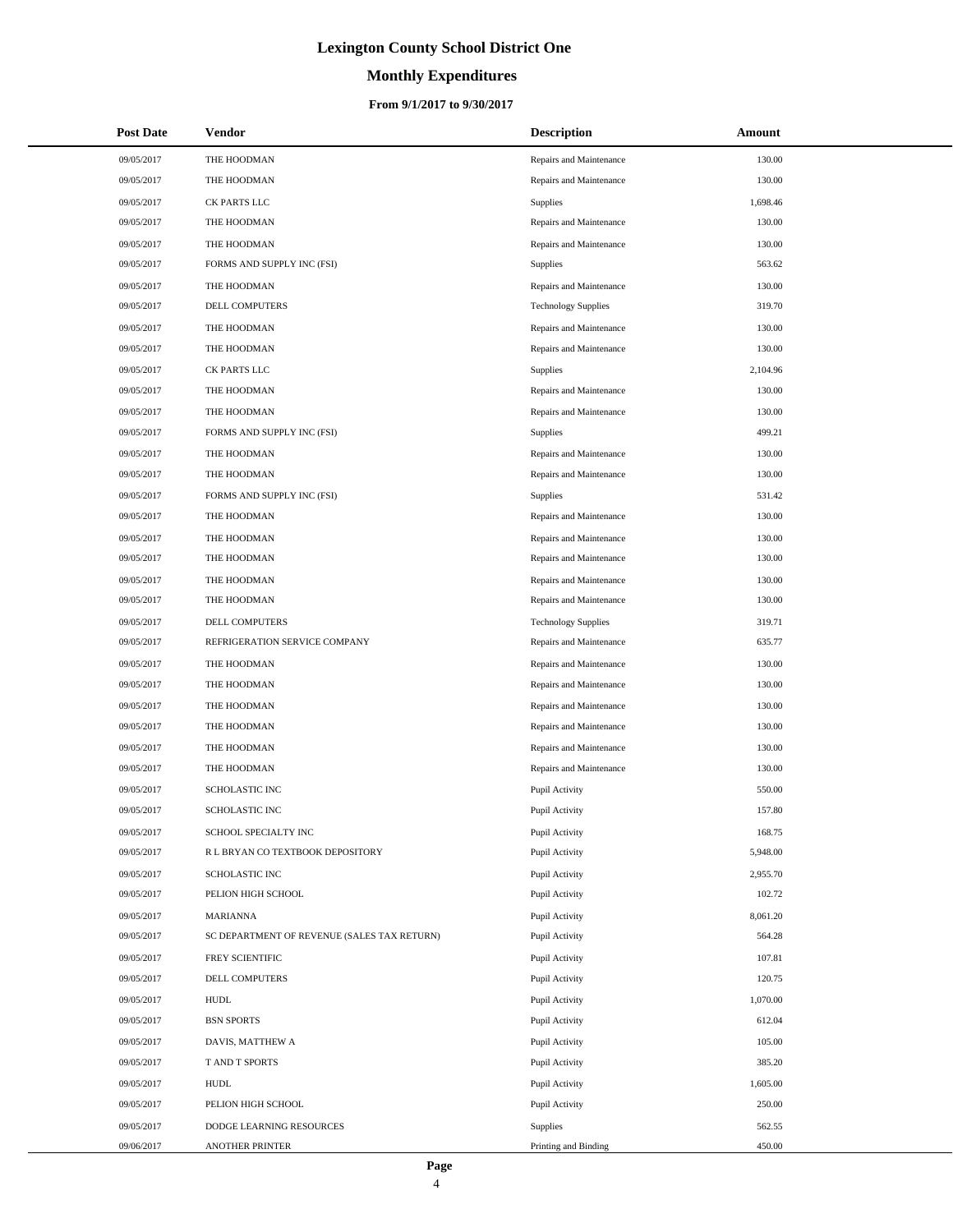# **Monthly Expenditures**

### **From 9/1/2017 to 9/30/2017**

| <b>Post Date</b> | Vendor                                      | <b>Description</b>         | Amount   |  |
|------------------|---------------------------------------------|----------------------------|----------|--|
| 09/05/2017       | THE HOODMAN                                 | Repairs and Maintenance    | 130.00   |  |
| 09/05/2017       | THE HOODMAN                                 | Repairs and Maintenance    | 130.00   |  |
| 09/05/2017       | CK PARTS LLC                                | Supplies                   | 1,698.46 |  |
| 09/05/2017       | THE HOODMAN                                 | Repairs and Maintenance    | 130.00   |  |
| 09/05/2017       | THE HOODMAN                                 | Repairs and Maintenance    | 130.00   |  |
| 09/05/2017       | FORMS AND SUPPLY INC (FSI)                  | <b>Supplies</b>            | 563.62   |  |
| 09/05/2017       | THE HOODMAN                                 | Repairs and Maintenance    | 130.00   |  |
| 09/05/2017       | DELL COMPUTERS                              | <b>Technology Supplies</b> | 319.70   |  |
| 09/05/2017       | THE HOODMAN                                 | Repairs and Maintenance    | 130.00   |  |
| 09/05/2017       | THE HOODMAN                                 | Repairs and Maintenance    | 130.00   |  |
| 09/05/2017       | CK PARTS LLC                                | Supplies                   | 2,104.96 |  |
| 09/05/2017       | THE HOODMAN                                 | Repairs and Maintenance    | 130.00   |  |
| 09/05/2017       | THE HOODMAN                                 | Repairs and Maintenance    | 130.00   |  |
| 09/05/2017       | FORMS AND SUPPLY INC (FSI)                  | <b>Supplies</b>            | 499.21   |  |
| 09/05/2017       | THE HOODMAN                                 | Repairs and Maintenance    | 130.00   |  |
| 09/05/2017       | THE HOODMAN                                 | Repairs and Maintenance    | 130.00   |  |
| 09/05/2017       | FORMS AND SUPPLY INC (FSI)                  | <b>Supplies</b>            | 531.42   |  |
| 09/05/2017       | THE HOODMAN                                 | Repairs and Maintenance    | 130.00   |  |
| 09/05/2017       | THE HOODMAN                                 | Repairs and Maintenance    | 130.00   |  |
| 09/05/2017       | THE HOODMAN                                 | Repairs and Maintenance    | 130.00   |  |
| 09/05/2017       | THE HOODMAN                                 | Repairs and Maintenance    | 130.00   |  |
| 09/05/2017       | THE HOODMAN                                 | Repairs and Maintenance    | 130.00   |  |
| 09/05/2017       | DELL COMPUTERS                              | <b>Technology Supplies</b> | 319.71   |  |
| 09/05/2017       | REFRIGERATION SERVICE COMPANY               | Repairs and Maintenance    | 635.77   |  |
| 09/05/2017       | THE HOODMAN                                 | Repairs and Maintenance    | 130.00   |  |
| 09/05/2017       | THE HOODMAN                                 | Repairs and Maintenance    | 130.00   |  |
| 09/05/2017       | THE HOODMAN                                 | Repairs and Maintenance    | 130.00   |  |
| 09/05/2017       | THE HOODMAN                                 | Repairs and Maintenance    | 130.00   |  |
| 09/05/2017       | THE HOODMAN                                 | Repairs and Maintenance    | 130.00   |  |
| 09/05/2017       | THE HOODMAN                                 | Repairs and Maintenance    | 130.00   |  |
| 09/05/2017       | SCHOLASTIC INC                              | Pupil Activity             | 550.00   |  |
| 09/05/2017       | <b>SCHOLASTIC INC</b>                       | Pupil Activity             | 157.80   |  |
| 09/05/2017       | SCHOOL SPECIALTY INC                        | Pupil Activity             | 168.75   |  |
| 09/05/2017       | R L BRYAN CO TEXTBOOK DEPOSITORY            | Pupil Activity             | 5,948.00 |  |
| 09/05/2017       | SCHOLASTIC INC                              | Pupil Activity             | 2,955.70 |  |
| 09/05/2017       | PELION HIGH SCHOOL                          | Pupil Activity             | 102.72   |  |
| 09/05/2017       | MARIANNA                                    | Pupil Activity             | 8,061.20 |  |
| 09/05/2017       | SC DEPARTMENT OF REVENUE (SALES TAX RETURN) | Pupil Activity             | 564.28   |  |
| 09/05/2017       | FREY SCIENTIFIC                             | Pupil Activity             | 107.81   |  |
| 09/05/2017       | DELL COMPUTERS                              | Pupil Activity             | 120.75   |  |
| 09/05/2017       | <b>HUDL</b>                                 | Pupil Activity             | 1,070.00 |  |
| 09/05/2017       | <b>BSN SPORTS</b>                           | Pupil Activity             | 612.04   |  |
| 09/05/2017       | DAVIS, MATTHEW A                            | Pupil Activity             | 105.00   |  |
| 09/05/2017       | T AND T SPORTS                              | Pupil Activity             | 385.20   |  |
| 09/05/2017       | <b>HUDL</b>                                 | Pupil Activity             | 1,605.00 |  |
| 09/05/2017       | PELION HIGH SCHOOL                          | Pupil Activity             | 250.00   |  |
| 09/05/2017       | DODGE LEARNING RESOURCES                    | Supplies                   | 562.55   |  |
| 09/06/2017       | ANOTHER PRINTER                             | Printing and Binding       | 450.00   |  |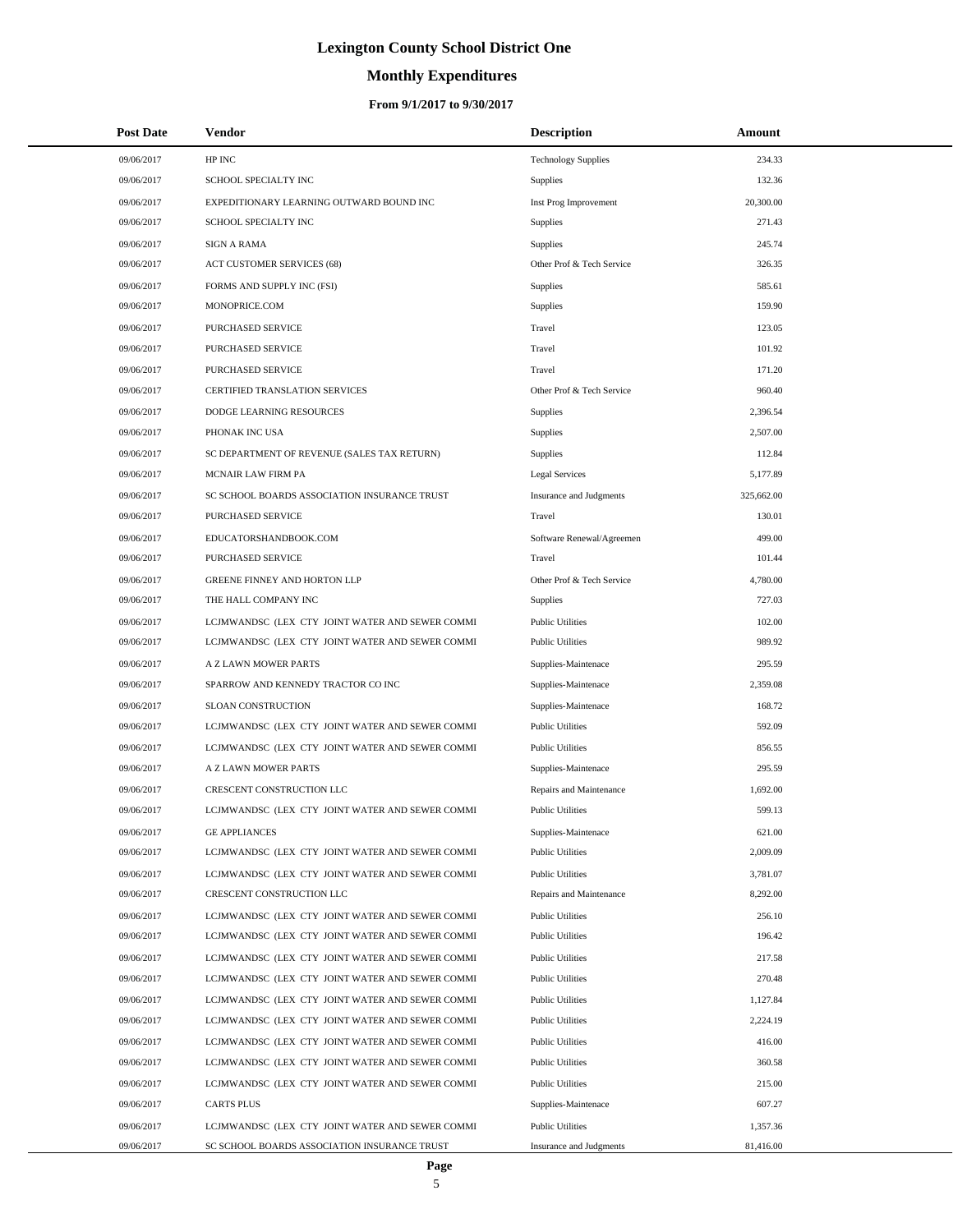# **Monthly Expenditures**

| <b>Post Date</b>         | Vendor                                                                                             | <b>Description</b>                                 | Amount               |
|--------------------------|----------------------------------------------------------------------------------------------------|----------------------------------------------------|----------------------|
| 09/06/2017               | HP INC                                                                                             | <b>Technology Supplies</b>                         | 234.33               |
| 09/06/2017               | SCHOOL SPECIALTY INC                                                                               | Supplies                                           | 132.36               |
| 09/06/2017               | EXPEDITIONARY LEARNING OUTWARD BOUND INC                                                           | Inst Prog Improvement                              | 20,300.00            |
| 09/06/2017               | SCHOOL SPECIALTY INC                                                                               | Supplies                                           | 271.43               |
| 09/06/2017               | <b>SIGN A RAMA</b>                                                                                 | Supplies                                           | 245.74               |
| 09/06/2017               | <b>ACT CUSTOMER SERVICES (68)</b>                                                                  | Other Prof & Tech Service                          | 326.35               |
| 09/06/2017               | FORMS AND SUPPLY INC (FSI)                                                                         | Supplies                                           | 585.61               |
| 09/06/2017               | MONOPRICE.COM                                                                                      | Supplies                                           | 159.90               |
| 09/06/2017               | PURCHASED SERVICE                                                                                  | Travel                                             | 123.05               |
| 09/06/2017               | PURCHASED SERVICE                                                                                  | Travel                                             | 101.92               |
| 09/06/2017               | PURCHASED SERVICE                                                                                  | Travel                                             | 171.20               |
| 09/06/2017               | <b>CERTIFIED TRANSLATION SERVICES</b>                                                              | Other Prof & Tech Service                          | 960.40               |
| 09/06/2017               | DODGE LEARNING RESOURCES                                                                           | Supplies                                           | 2,396.54             |
| 09/06/2017               | PHONAK INC USA                                                                                     | Supplies                                           | 2,507.00             |
| 09/06/2017               | SC DEPARTMENT OF REVENUE (SALES TAX RETURN)                                                        | Supplies                                           | 112.84               |
| 09/06/2017               | MCNAIR LAW FIRM PA                                                                                 | <b>Legal Services</b>                              | 5,177.89             |
| 09/06/2017               | SC SCHOOL BOARDS ASSOCIATION INSURANCE TRUST                                                       | <b>Insurance and Judgments</b>                     | 325,662.00           |
| 09/06/2017               | PURCHASED SERVICE                                                                                  | Travel                                             | 130.01               |
| 09/06/2017               | EDUCATORSHANDBOOK.COM                                                                              | Software Renewal/Agreemen                          | 499.00               |
| 09/06/2017               | PURCHASED SERVICE                                                                                  | Travel                                             | 101.44               |
| 09/06/2017               | GREENE FINNEY AND HORTON LLP                                                                       | Other Prof & Tech Service                          | 4,780.00             |
| 09/06/2017               | THE HALL COMPANY INC                                                                               | Supplies                                           | 727.03               |
| 09/06/2017               | LCJMWANDSC (LEX CTY JOINT WATER AND SEWER COMMI                                                    | <b>Public Utilities</b>                            | 102.00               |
| 09/06/2017               | LCJMWANDSC (LEX CTY JOINT WATER AND SEWER COMMI                                                    | <b>Public Utilities</b>                            | 989.92               |
| 09/06/2017               | A Z LAWN MOWER PARTS                                                                               | Supplies-Maintenace                                | 295.59               |
| 09/06/2017               | SPARROW AND KENNEDY TRACTOR CO INC                                                                 | Supplies-Maintenace                                | 2,359.08             |
| 09/06/2017               | <b>SLOAN CONSTRUCTION</b>                                                                          | Supplies-Maintenace                                | 168.72               |
| 09/06/2017               | LCJMWANDSC (LEX CTY JOINT WATER AND SEWER COMMI                                                    | <b>Public Utilities</b>                            | 592.09               |
| 09/06/2017               | LCJMWANDSC (LEX CTY JOINT WATER AND SEWER COMMI                                                    | <b>Public Utilities</b>                            | 856.55               |
| 09/06/2017               | A Z LAWN MOWER PARTS                                                                               | Supplies-Maintenace                                | 295.59               |
| 09/06/2017               | CRESCENT CONSTRUCTION LLC                                                                          | Repairs and Maintenance                            | 1,692.00             |
| 09/06/2017               | LCJMWANDSC (LEX CTY JOINT WATER AND SEWER COMMI                                                    | <b>Public Utilities</b>                            | 599.13               |
| 09/06/2017               | <b>GE APPLIANCES</b>                                                                               | Supplies-Maintenace                                | 621.00               |
| 09/06/2017               | LCJMWANDSC (LEX CTY JOINT WATER AND SEWER COMMI                                                    | <b>Public Utilities</b>                            | 2,009.09             |
| 09/06/2017<br>09/06/2017 | LCJMWANDSC (LEX CTY JOINT WATER AND SEWER COMMI<br>CRESCENT CONSTRUCTION LLC                       | <b>Public Utilities</b><br>Repairs and Maintenance | 3,781.07<br>8,292.00 |
|                          |                                                                                                    | <b>Public Utilities</b>                            | 256.10               |
| 09/06/2017<br>09/06/2017 | LCJMWANDSC (LEX CTY JOINT WATER AND SEWER COMMI<br>LCJMWANDSC (LEX CTY JOINT WATER AND SEWER COMMI | <b>Public Utilities</b>                            | 196.42               |
| 09/06/2017               | LCJMWANDSC (LEX CTY JOINT WATER AND SEWER COMMI                                                    | <b>Public Utilities</b>                            | 217.58               |
| 09/06/2017               | LCJMWANDSC (LEX CTY JOINT WATER AND SEWER COMMI                                                    | <b>Public Utilities</b>                            | 270.48               |
| 09/06/2017               | LCJMWANDSC (LEX CTY JOINT WATER AND SEWER COMMI                                                    | <b>Public Utilities</b>                            | 1,127.84             |
| 09/06/2017               | LCJMWANDSC (LEX CTY JOINT WATER AND SEWER COMMI                                                    | <b>Public Utilities</b>                            | 2,224.19             |
| 09/06/2017               | LCJMWANDSC (LEX CTY JOINT WATER AND SEWER COMMI                                                    | <b>Public Utilities</b>                            | 416.00               |
| 09/06/2017               | LCJMWANDSC (LEX CTY JOINT WATER AND SEWER COMMI                                                    | <b>Public Utilities</b>                            | 360.58               |
| 09/06/2017               | LCJMWANDSC (LEX CTY JOINT WATER AND SEWER COMMI                                                    | <b>Public Utilities</b>                            | 215.00               |
| 09/06/2017               | <b>CARTS PLUS</b>                                                                                  | Supplies-Maintenace                                | 607.27               |
| 09/06/2017               | LCJMWANDSC (LEX CTY JOINT WATER AND SEWER COMMI                                                    | <b>Public Utilities</b>                            | 1,357.36             |
| 09/06/2017               | SC SCHOOL BOARDS ASSOCIATION INSURANCE TRUST                                                       | Insurance and Judgments                            | 81,416.00            |
|                          |                                                                                                    |                                                    |                      |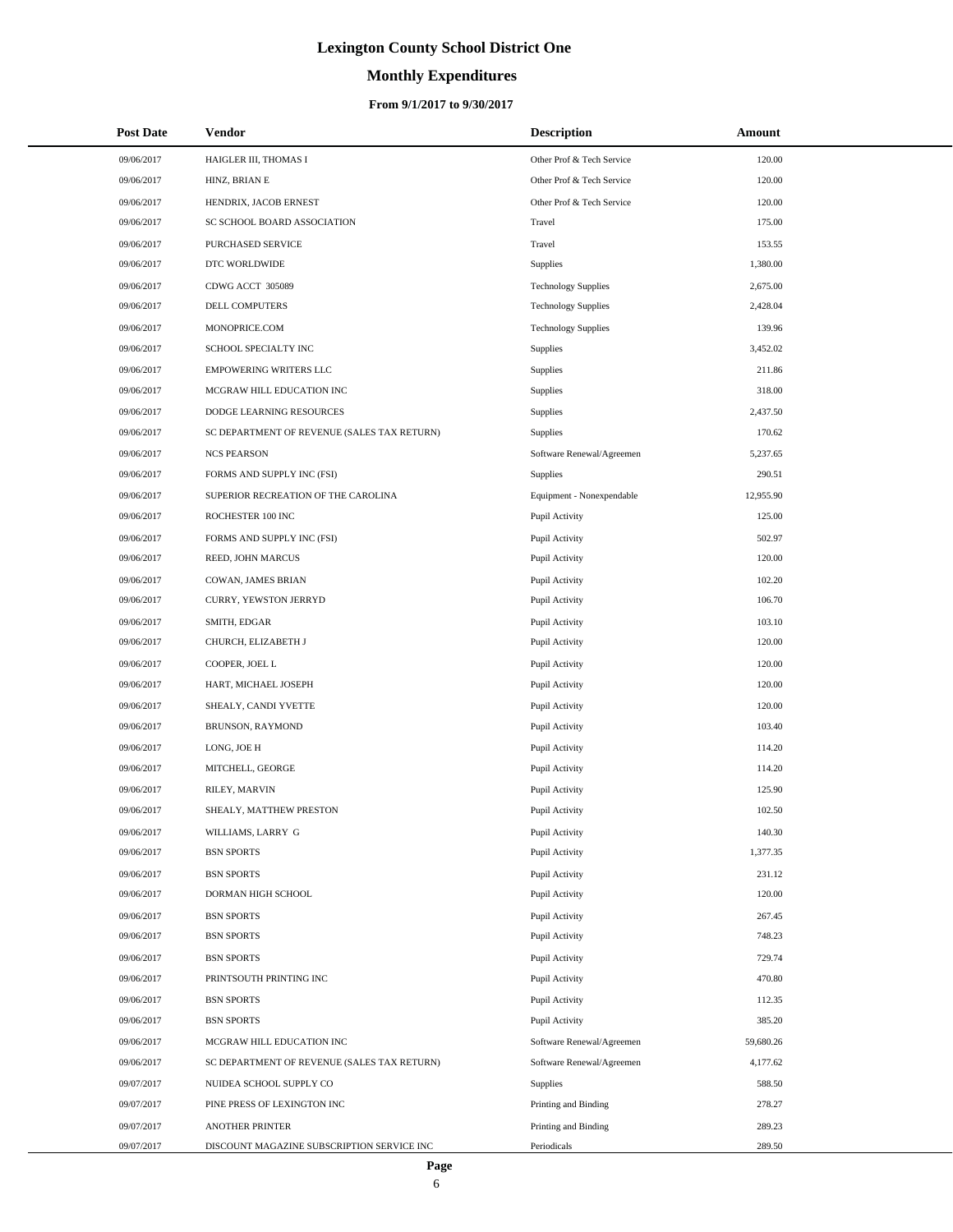# **Monthly Expenditures**

### **From 9/1/2017 to 9/30/2017**

| <b>Post Date</b> | Vendor                                      | <b>Description</b>         | Amount    |  |
|------------------|---------------------------------------------|----------------------------|-----------|--|
| 09/06/2017       | HAIGLER III, THOMAS I                       | Other Prof & Tech Service  | 120.00    |  |
| 09/06/2017       | HINZ, BRIAN E                               | Other Prof & Tech Service  | 120.00    |  |
| 09/06/2017       | HENDRIX, JACOB ERNEST                       | Other Prof & Tech Service  | 120.00    |  |
| 09/06/2017       | SC SCHOOL BOARD ASSOCIATION                 | Travel                     | 175.00    |  |
| 09/06/2017       | PURCHASED SERVICE                           | Travel                     | 153.55    |  |
| 09/06/2017       | DTC WORLDWIDE                               | Supplies                   | 1,380.00  |  |
| 09/06/2017       | CDWG ACCT 305089                            | <b>Technology Supplies</b> | 2,675.00  |  |
| 09/06/2017       | DELL COMPUTERS                              | <b>Technology Supplies</b> | 2,428.04  |  |
| 09/06/2017       | MONOPRICE.COM                               | <b>Technology Supplies</b> | 139.96    |  |
| 09/06/2017       | SCHOOL SPECIALTY INC                        | <b>Supplies</b>            | 3,452.02  |  |
| 09/06/2017       | <b>EMPOWERING WRITERS LLC</b>               | Supplies                   | 211.86    |  |
| 09/06/2017       | MCGRAW HILL EDUCATION INC                   | Supplies                   | 318.00    |  |
| 09/06/2017       | DODGE LEARNING RESOURCES                    | Supplies                   | 2,437.50  |  |
| 09/06/2017       | SC DEPARTMENT OF REVENUE (SALES TAX RETURN) | Supplies                   | 170.62    |  |
| 09/06/2017       | <b>NCS PEARSON</b>                          | Software Renewal/Agreemen  | 5,237.65  |  |
| 09/06/2017       | FORMS AND SUPPLY INC (FSI)                  | <b>Supplies</b>            | 290.51    |  |
| 09/06/2017       | SUPERIOR RECREATION OF THE CAROLINA         | Equipment - Nonexpendable  | 12,955.90 |  |
| 09/06/2017       | ROCHESTER 100 INC                           | Pupil Activity             | 125.00    |  |
| 09/06/2017       | FORMS AND SUPPLY INC (FSI)                  | Pupil Activity             | 502.97    |  |
| 09/06/2017       | REED, JOHN MARCUS                           | Pupil Activity             | 120.00    |  |
| 09/06/2017       | COWAN, JAMES BRIAN                          | Pupil Activity             | 102.20    |  |
| 09/06/2017       | CURRY, YEWSTON JERRYD                       | Pupil Activity             | 106.70    |  |
| 09/06/2017       | SMITH, EDGAR                                | Pupil Activity             | 103.10    |  |
| 09/06/2017       | CHURCH, ELIZABETH J                         | Pupil Activity             | 120.00    |  |
| 09/06/2017       | COOPER, JOEL L                              | Pupil Activity             | 120.00    |  |
| 09/06/2017       | HART, MICHAEL JOSEPH                        | Pupil Activity             | 120.00    |  |
| 09/06/2017       | SHEALY, CANDI YVETTE                        | Pupil Activity             | 120.00    |  |
| 09/06/2017       | BRUNSON, RAYMOND                            | Pupil Activity             | 103.40    |  |
| 09/06/2017       | LONG, JOE H                                 | Pupil Activity             | 114.20    |  |
| 09/06/2017       | MITCHELL, GEORGE                            | Pupil Activity             | 114.20    |  |
| 09/06/2017       | RILEY, MARVIN                               | Pupil Activity             | 125.90    |  |
| 09/06/2017       | SHEALY, MATTHEW PRESTON                     | Pupil Activity             | 102.50    |  |
| 09/06/2017       | WILLIAMS, LARRY G                           | Pupil Activity             | 140.30    |  |
| 09/06/2017       | <b>BSN SPORTS</b>                           | Pupil Activity             | 1,377.35  |  |
| 09/06/2017       | <b>BSN SPORTS</b>                           | Pupil Activity             | 231.12    |  |
| 09/06/2017       | DORMAN HIGH SCHOOL                          | Pupil Activity             | 120.00    |  |
| 09/06/2017       | <b>BSN SPORTS</b>                           | Pupil Activity             | 267.45    |  |
| 09/06/2017       | <b>BSN SPORTS</b>                           | Pupil Activity             | 748.23    |  |
| 09/06/2017       | <b>BSN SPORTS</b>                           | Pupil Activity             | 729.74    |  |
| 09/06/2017       | PRINTSOUTH PRINTING INC                     | Pupil Activity             | 470.80    |  |
| 09/06/2017       | <b>BSN SPORTS</b>                           | Pupil Activity             | 112.35    |  |
| 09/06/2017       | <b>BSN SPORTS</b>                           | Pupil Activity             | 385.20    |  |
| 09/06/2017       | MCGRAW HILL EDUCATION INC                   | Software Renewal/Agreemen  | 59,680.26 |  |
| 09/06/2017       | SC DEPARTMENT OF REVENUE (SALES TAX RETURN) | Software Renewal/Agreemen  | 4,177.62  |  |
| 09/07/2017       | NUIDEA SCHOOL SUPPLY CO                     | Supplies                   | 588.50    |  |
| 09/07/2017       | PINE PRESS OF LEXINGTON INC                 | Printing and Binding       | 278.27    |  |
| 09/07/2017       | <b>ANOTHER PRINTER</b>                      | Printing and Binding       | 289.23    |  |
| 09/07/2017       | DISCOUNT MAGAZINE SUBSCRIPTION SERVICE INC  | Periodicals                | 289.50    |  |

L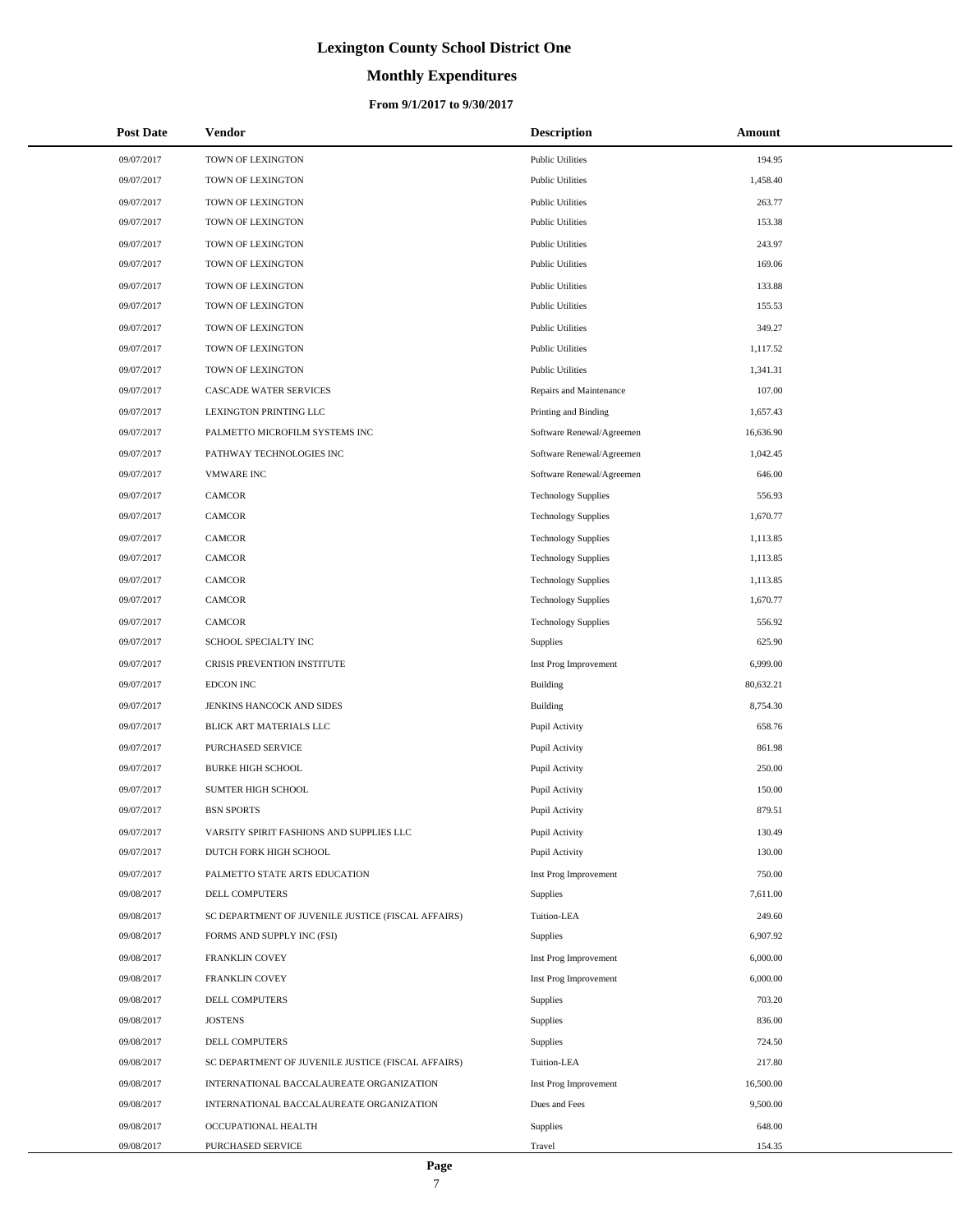### **Monthly Expenditures**

### **From 9/1/2017 to 9/30/2017**

| <b>Post Date</b> | Vendor                                             | <b>Description</b>         | Amount    |
|------------------|----------------------------------------------------|----------------------------|-----------|
| 09/07/2017       | TOWN OF LEXINGTON                                  | <b>Public Utilities</b>    | 194.95    |
| 09/07/2017       | TOWN OF LEXINGTON                                  | <b>Public Utilities</b>    | 1,458.40  |
| 09/07/2017       | TOWN OF LEXINGTON                                  | <b>Public Utilities</b>    | 263.77    |
| 09/07/2017       | TOWN OF LEXINGTON                                  | <b>Public Utilities</b>    | 153.38    |
| 09/07/2017       | TOWN OF LEXINGTON                                  | <b>Public Utilities</b>    | 243.97    |
| 09/07/2017       | TOWN OF LEXINGTON                                  | <b>Public Utilities</b>    | 169.06    |
| 09/07/2017       | TOWN OF LEXINGTON                                  | <b>Public Utilities</b>    | 133.88    |
| 09/07/2017       | TOWN OF LEXINGTON                                  | <b>Public Utilities</b>    | 155.53    |
| 09/07/2017       | TOWN OF LEXINGTON                                  | <b>Public Utilities</b>    | 349.27    |
| 09/07/2017       | TOWN OF LEXINGTON                                  | <b>Public Utilities</b>    | 1,117.52  |
| 09/07/2017       | TOWN OF LEXINGTON                                  | <b>Public Utilities</b>    | 1,341.31  |
| 09/07/2017       | CASCADE WATER SERVICES                             | Repairs and Maintenance    | 107.00    |
| 09/07/2017       | LEXINGTON PRINTING LLC                             | Printing and Binding       | 1,657.43  |
| 09/07/2017       | PALMETTO MICROFILM SYSTEMS INC                     | Software Renewal/Agreemen  | 16,636.90 |
| 09/07/2017       | PATHWAY TECHNOLOGIES INC                           | Software Renewal/Agreemen  | 1,042.45  |
| 09/07/2017       | <b>VMWARE INC</b>                                  | Software Renewal/Agreemen  | 646.00    |
| 09/07/2017       | <b>CAMCOR</b>                                      | <b>Technology Supplies</b> | 556.93    |
| 09/07/2017       | <b>CAMCOR</b>                                      | <b>Technology Supplies</b> | 1,670.77  |
| 09/07/2017       | <b>CAMCOR</b>                                      | <b>Technology Supplies</b> | 1,113.85  |
| 09/07/2017       | <b>CAMCOR</b>                                      | <b>Technology Supplies</b> | 1,113.85  |
| 09/07/2017       | <b>CAMCOR</b>                                      | <b>Technology Supplies</b> | 1,113.85  |
| 09/07/2017       | <b>CAMCOR</b>                                      | <b>Technology Supplies</b> | 1,670.77  |
| 09/07/2017       | <b>CAMCOR</b>                                      | <b>Technology Supplies</b> | 556.92    |
| 09/07/2017       | SCHOOL SPECIALTY INC                               | <b>Supplies</b>            | 625.90    |
| 09/07/2017       | CRISIS PREVENTION INSTITUTE                        | Inst Prog Improvement      | 6,999.00  |
| 09/07/2017       | EDCON INC                                          | <b>Building</b>            | 80,632.21 |
| 09/07/2017       | JENKINS HANCOCK AND SIDES                          | <b>Building</b>            | 8,754.30  |
| 09/07/2017       | BLICK ART MATERIALS LLC                            | Pupil Activity             | 658.76    |
| 09/07/2017       | <b>PURCHASED SERVICE</b>                           | Pupil Activity             | 861.98    |
| 09/07/2017       | <b>BURKE HIGH SCHOOL</b>                           | Pupil Activity             | 250.00    |
| 09/07/2017       | SUMTER HIGH SCHOOL                                 | Pupil Activity             | 150.00    |
| 09/07/2017       | <b>BSN SPORTS</b>                                  | Pupil Activity             | 879.51    |
| 09/07/2017       | VARSITY SPIRIT FASHIONS AND SUPPLIES LLC           | Pupil Activity             | 130.49    |
| 09/07/2017       | DUTCH FORK HIGH SCHOOL                             | Pupil Activity             | 130.00    |
| 09/07/2017       | PALMETTO STATE ARTS EDUCATION                      | Inst Prog Improvement      | 750.00    |
| 09/08/2017       | DELL COMPUTERS                                     | <b>Supplies</b>            | 7,611.00  |
| 09/08/2017       | SC DEPARTMENT OF JUVENILE JUSTICE (FISCAL AFFAIRS) | Tuition-LEA                | 249.60    |
| 09/08/2017       | FORMS AND SUPPLY INC (FSI)                         | Supplies                   | 6,907.92  |
| 09/08/2017       | FRANKLIN COVEY                                     | Inst Prog Improvement      | 6,000.00  |
| 09/08/2017       | FRANKLIN COVEY                                     | Inst Prog Improvement      | 6,000.00  |
| 09/08/2017       | DELL COMPUTERS                                     | Supplies                   | 703.20    |
| 09/08/2017       | <b>JOSTENS</b>                                     | Supplies                   | 836.00    |
| 09/08/2017       | DELL COMPUTERS                                     | Supplies                   | 724.50    |
| 09/08/2017       | SC DEPARTMENT OF JUVENILE JUSTICE (FISCAL AFFAIRS) | Tuition-LEA                | 217.80    |
| 09/08/2017       | INTERNATIONAL BACCALAUREATE ORGANIZATION           | Inst Prog Improvement      | 16,500.00 |
| 09/08/2017       | INTERNATIONAL BACCALAUREATE ORGANIZATION           | Dues and Fees              | 9,500.00  |
| 09/08/2017       | OCCUPATIONAL HEALTH                                | Supplies                   | 648.00    |
| 09/08/2017       | PURCHASED SERVICE                                  | Travel                     | 154.35    |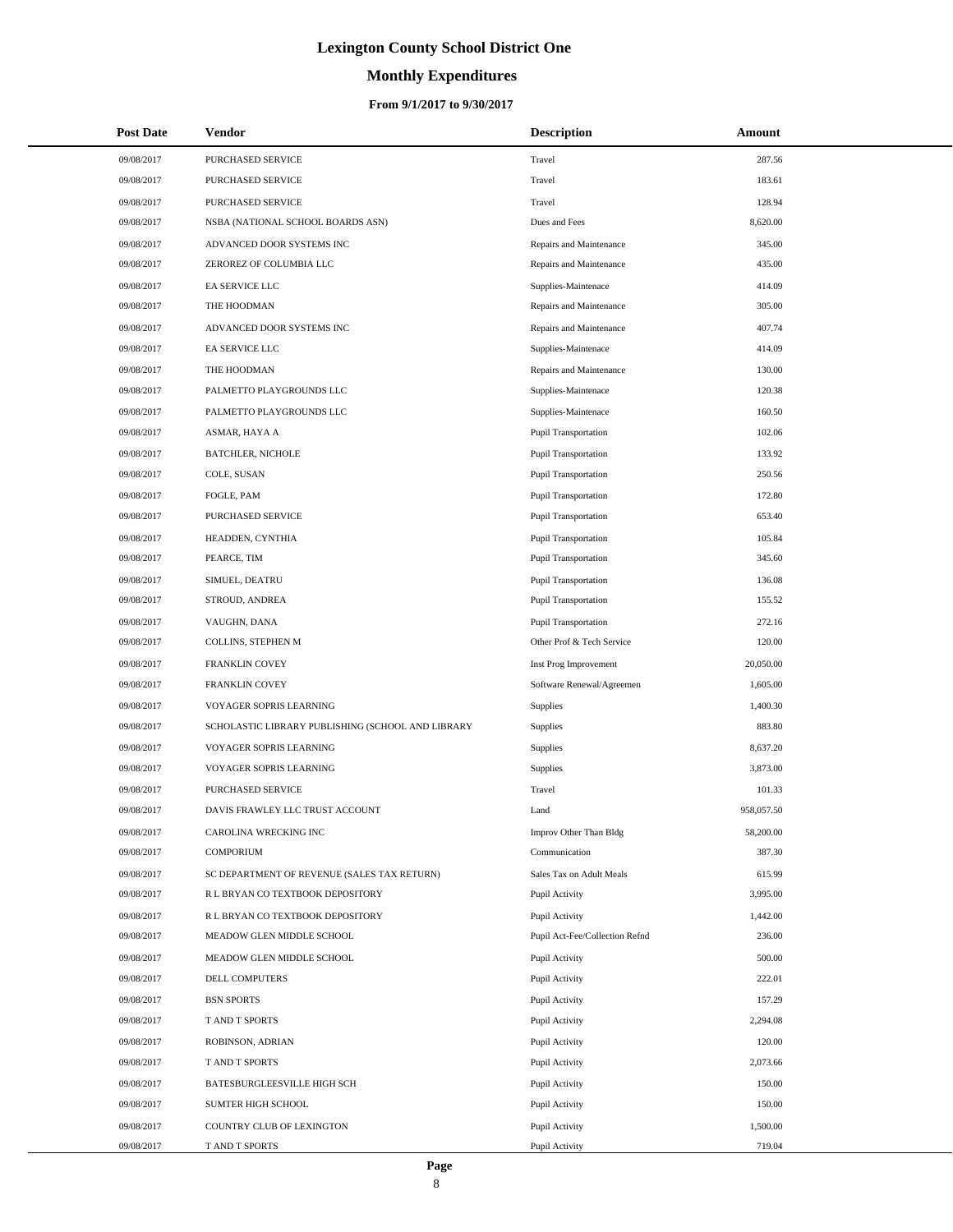# **Monthly Expenditures**

| <b>Post Date</b> | Vendor                                            | <b>Description</b>             | Amount     |
|------------------|---------------------------------------------------|--------------------------------|------------|
| 09/08/2017       | PURCHASED SERVICE                                 | Travel                         | 287.56     |
| 09/08/2017       | PURCHASED SERVICE                                 | Travel                         | 183.61     |
| 09/08/2017       | PURCHASED SERVICE                                 | Travel                         | 128.94     |
| 09/08/2017       | NSBA (NATIONAL SCHOOL BOARDS ASN)                 | Dues and Fees                  | 8,620.00   |
| 09/08/2017       | ADVANCED DOOR SYSTEMS INC                         | Repairs and Maintenance        | 345.00     |
| 09/08/2017       | ZEROREZ OF COLUMBIA LLC                           | Repairs and Maintenance        | 435.00     |
| 09/08/2017       | EA SERVICE LLC                                    | Supplies-Maintenace            | 414.09     |
| 09/08/2017       | THE HOODMAN                                       | Repairs and Maintenance        | 305.00     |
| 09/08/2017       | ADVANCED DOOR SYSTEMS INC                         | Repairs and Maintenance        | 407.74     |
| 09/08/2017       | EA SERVICE LLC                                    | Supplies-Maintenace            | 414.09     |
| 09/08/2017       | THE HOODMAN                                       | Repairs and Maintenance        | 130.00     |
| 09/08/2017       | PALMETTO PLAYGROUNDS LLC                          | Supplies-Maintenace            | 120.38     |
| 09/08/2017       | PALMETTO PLAYGROUNDS LLC                          | Supplies-Maintenace            | 160.50     |
| 09/08/2017       | ASMAR, HAYA A                                     | <b>Pupil Transportation</b>    | 102.06     |
| 09/08/2017       | <b>BATCHLER, NICHOLE</b>                          | <b>Pupil Transportation</b>    | 133.92     |
| 09/08/2017       | COLE, SUSAN                                       | <b>Pupil Transportation</b>    | 250.56     |
| 09/08/2017       | FOGLE, PAM                                        | <b>Pupil Transportation</b>    | 172.80     |
| 09/08/2017       | <b>PURCHASED SERVICE</b>                          | <b>Pupil Transportation</b>    | 653.40     |
| 09/08/2017       | HEADDEN, CYNTHIA                                  | <b>Pupil Transportation</b>    | 105.84     |
| 09/08/2017       | PEARCE, TIM                                       | <b>Pupil Transportation</b>    | 345.60     |
| 09/08/2017       | SIMUEL, DEATRU                                    | <b>Pupil Transportation</b>    | 136.08     |
| 09/08/2017       | STROUD, ANDREA                                    | <b>Pupil Transportation</b>    | 155.52     |
| 09/08/2017       | VAUGHN, DANA                                      | <b>Pupil Transportation</b>    | 272.16     |
| 09/08/2017       | COLLINS, STEPHEN M                                | Other Prof & Tech Service      | 120.00     |
| 09/08/2017       | FRANKLIN COVEY                                    | Inst Prog Improvement          | 20,050.00  |
| 09/08/2017       | FRANKLIN COVEY                                    | Software Renewal/Agreemen      | 1,605.00   |
| 09/08/2017       | VOYAGER SOPRIS LEARNING                           | Supplies                       | 1,400.30   |
| 09/08/2017       | SCHOLASTIC LIBRARY PUBLISHING (SCHOOL AND LIBRARY | Supplies                       | 883.80     |
| 09/08/2017       | VOYAGER SOPRIS LEARNING                           | Supplies                       | 8,637.20   |
| 09/08/2017       | VOYAGER SOPRIS LEARNING                           | Supplies                       | 3,873.00   |
| 09/08/2017       | PURCHASED SERVICE                                 | Travel                         | 101.33     |
| 09/08/2017       | DAVIS FRAWLEY LLC TRUST ACCOUNT                   | Land                           | 958,057.50 |
| 09/08/2017       | CAROLINA WRECKING INC                             | Improv Other Than Bldg         | 58,200.00  |
| 09/08/2017       | <b>COMPORIUM</b>                                  | Communication                  | 387.30     |
| 09/08/2017       | SC DEPARTMENT OF REVENUE (SALES TAX RETURN)       | Sales Tax on Adult Meals       | 615.99     |
| 09/08/2017       | R L BRYAN CO TEXTBOOK DEPOSITORY                  | Pupil Activity                 | 3,995.00   |
| 09/08/2017       | R L BRYAN CO TEXTBOOK DEPOSITORY                  | Pupil Activity                 | 1,442.00   |
| 09/08/2017       | MEADOW GLEN MIDDLE SCHOOL                         | Pupil Act-Fee/Collection Refnd | 236.00     |
| 09/08/2017       | MEADOW GLEN MIDDLE SCHOOL                         | Pupil Activity                 | 500.00     |
| 09/08/2017       | DELL COMPUTERS                                    | Pupil Activity                 | 222.01     |
| 09/08/2017       | <b>BSN SPORTS</b>                                 | Pupil Activity                 | 157.29     |
| 09/08/2017       | T AND T SPORTS                                    | Pupil Activity                 | 2,294.08   |
| 09/08/2017       | ROBINSON, ADRIAN                                  | Pupil Activity                 | 120.00     |
| 09/08/2017       | T AND T SPORTS                                    | Pupil Activity                 | 2,073.66   |
| 09/08/2017       | BATESBURGLEESVILLE HIGH SCH                       | Pupil Activity                 | 150.00     |
| 09/08/2017       | SUMTER HIGH SCHOOL                                | Pupil Activity                 | 150.00     |
| 09/08/2017       | COUNTRY CLUB OF LEXINGTON                         | Pupil Activity                 | 1,500.00   |
| 09/08/2017       | T AND T SPORTS                                    | Pupil Activity                 | 719.04     |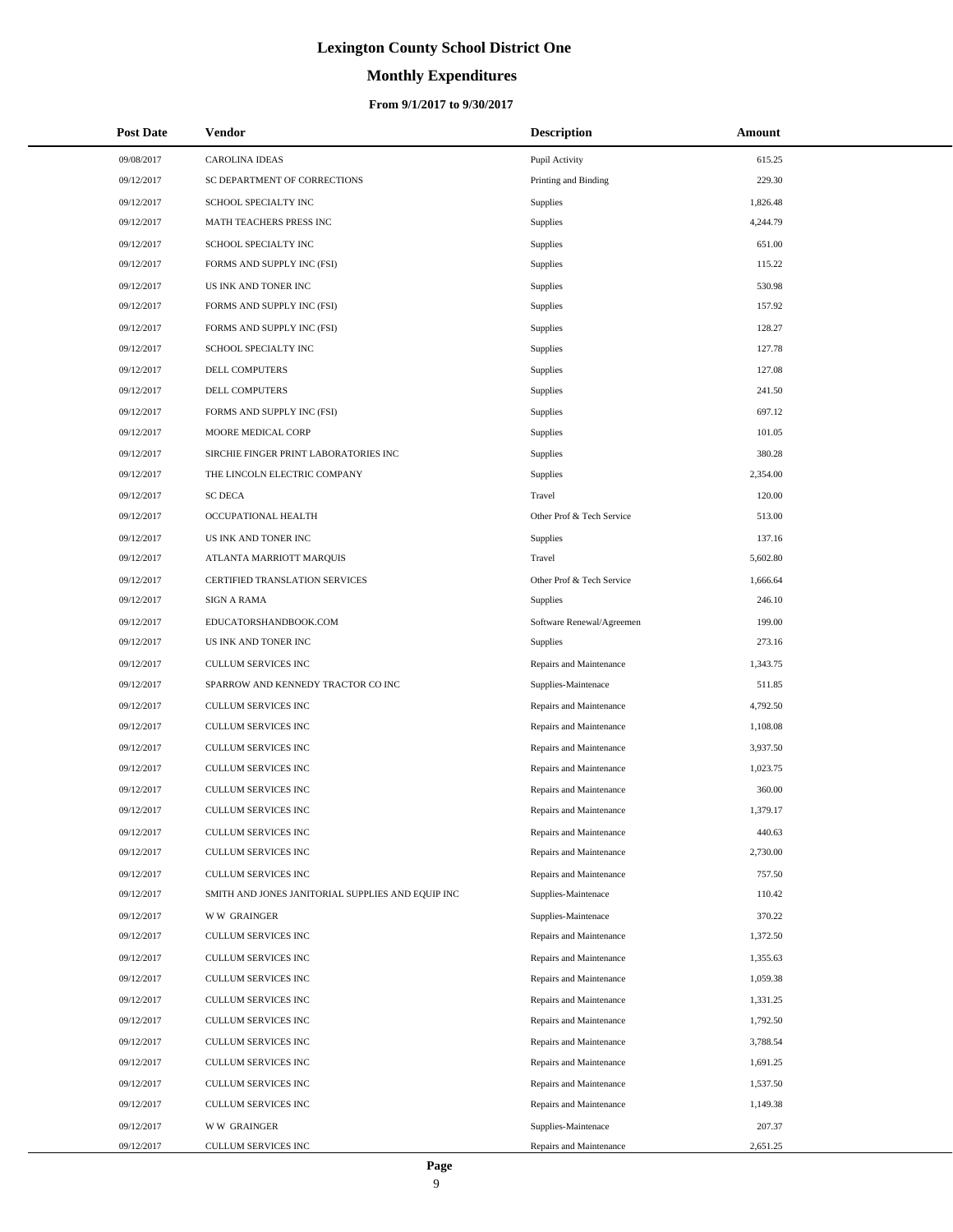### **Monthly Expenditures**

### **From 9/1/2017 to 9/30/2017**

| <b>Post Date</b> | Vendor                                            | <b>Description</b>        | Amount   |
|------------------|---------------------------------------------------|---------------------------|----------|
| 09/08/2017       | <b>CAROLINA IDEAS</b>                             | Pupil Activity            | 615.25   |
| 09/12/2017       | SC DEPARTMENT OF CORRECTIONS                      | Printing and Binding      | 229.30   |
| 09/12/2017       | SCHOOL SPECIALTY INC                              | <b>Supplies</b>           | 1,826.48 |
| 09/12/2017       | MATH TEACHERS PRESS INC                           | Supplies                  | 4,244.79 |
| 09/12/2017       | SCHOOL SPECIALTY INC                              | Supplies                  | 651.00   |
| 09/12/2017       | FORMS AND SUPPLY INC (FSI)                        | Supplies                  | 115.22   |
| 09/12/2017       | US INK AND TONER INC                              | Supplies                  | 530.98   |
| 09/12/2017       | FORMS AND SUPPLY INC (FSI)                        | Supplies                  | 157.92   |
| 09/12/2017       | FORMS AND SUPPLY INC (FSI)                        | Supplies                  | 128.27   |
| 09/12/2017       | SCHOOL SPECIALTY INC                              | Supplies                  | 127.78   |
| 09/12/2017       | DELL COMPUTERS                                    | Supplies                  | 127.08   |
| 09/12/2017       | DELL COMPUTERS                                    | Supplies                  | 241.50   |
| 09/12/2017       | FORMS AND SUPPLY INC (FSI)                        | Supplies                  | 697.12   |
| 09/12/2017       | MOORE MEDICAL CORP                                | Supplies                  | 101.05   |
| 09/12/2017       | SIRCHIE FINGER PRINT LABORATORIES INC             | Supplies                  | 380.28   |
| 09/12/2017       | THE LINCOLN ELECTRIC COMPANY                      | Supplies                  | 2,354.00 |
| 09/12/2017       | <b>SC DECA</b>                                    | Travel                    | 120.00   |
| 09/12/2017       | OCCUPATIONAL HEALTH                               | Other Prof & Tech Service | 513.00   |
| 09/12/2017       | US INK AND TONER INC                              | <b>Supplies</b>           | 137.16   |
| 09/12/2017       | ATLANTA MARRIOTT MARQUIS                          | Travel                    | 5,602.80 |
| 09/12/2017       | CERTIFIED TRANSLATION SERVICES                    | Other Prof & Tech Service | 1,666.64 |
| 09/12/2017       | <b>SIGN A RAMA</b>                                | <b>Supplies</b>           | 246.10   |
| 09/12/2017       | EDUCATORSHANDBOOK.COM                             | Software Renewal/Agreemen | 199.00   |
| 09/12/2017       | US INK AND TONER INC                              | <b>Supplies</b>           | 273.16   |
| 09/12/2017       | CULLUM SERVICES INC                               | Repairs and Maintenance   | 1,343.75 |
| 09/12/2017       | SPARROW AND KENNEDY TRACTOR CO INC                | Supplies-Maintenace       | 511.85   |
| 09/12/2017       | CULLUM SERVICES INC                               | Repairs and Maintenance   | 4,792.50 |
| 09/12/2017       | CULLUM SERVICES INC                               | Repairs and Maintenance   | 1,108.08 |
| 09/12/2017       | CULLUM SERVICES INC                               | Repairs and Maintenance   | 3,937.50 |
| 09/12/2017       | <b>CULLUM SERVICES INC</b>                        | Repairs and Maintenance   | 1,023.75 |
| 09/12/2017       | CULLUM SERVICES INC                               | Repairs and Maintenance   | 360.00   |
| 09/12/2017       | CULLUM SERVICES INC                               | Repairs and Maintenance   | 1,379.17 |
| 09/12/2017       | CULLUM SERVICES INC                               | Repairs and Maintenance   | 440.63   |
| 09/12/2017       | CULLUM SERVICES INC                               | Repairs and Maintenance   | 2,730.00 |
| 09/12/2017       | CULLUM SERVICES INC                               | Repairs and Maintenance   | 757.50   |
| 09/12/2017       | SMITH AND JONES JANITORIAL SUPPLIES AND EQUIP INC | Supplies-Maintenace       | 110.42   |
| 09/12/2017       | <b>WW GRAINGER</b>                                | Supplies-Maintenace       | 370.22   |
| 09/12/2017       | CULLUM SERVICES INC                               | Repairs and Maintenance   | 1,372.50 |
| 09/12/2017       | CULLUM SERVICES INC                               | Repairs and Maintenance   | 1,355.63 |
| 09/12/2017       | CULLUM SERVICES INC                               | Repairs and Maintenance   | 1,059.38 |
| 09/12/2017       | CULLUM SERVICES INC                               | Repairs and Maintenance   | 1,331.25 |
| 09/12/2017       | CULLUM SERVICES INC                               | Repairs and Maintenance   | 1,792.50 |
| 09/12/2017       | CULLUM SERVICES INC                               | Repairs and Maintenance   | 3,788.54 |
| 09/12/2017       | CULLUM SERVICES INC                               | Repairs and Maintenance   | 1,691.25 |
| 09/12/2017       | CULLUM SERVICES INC                               | Repairs and Maintenance   | 1,537.50 |
| 09/12/2017       | CULLUM SERVICES INC                               | Repairs and Maintenance   | 1,149.38 |
| 09/12/2017       | <b>WW GRAINGER</b>                                | Supplies-Maintenace       | 207.37   |
| 09/12/2017       | CULLUM SERVICES INC                               | Repairs and Maintenance   | 2,651.25 |

 $\overline{a}$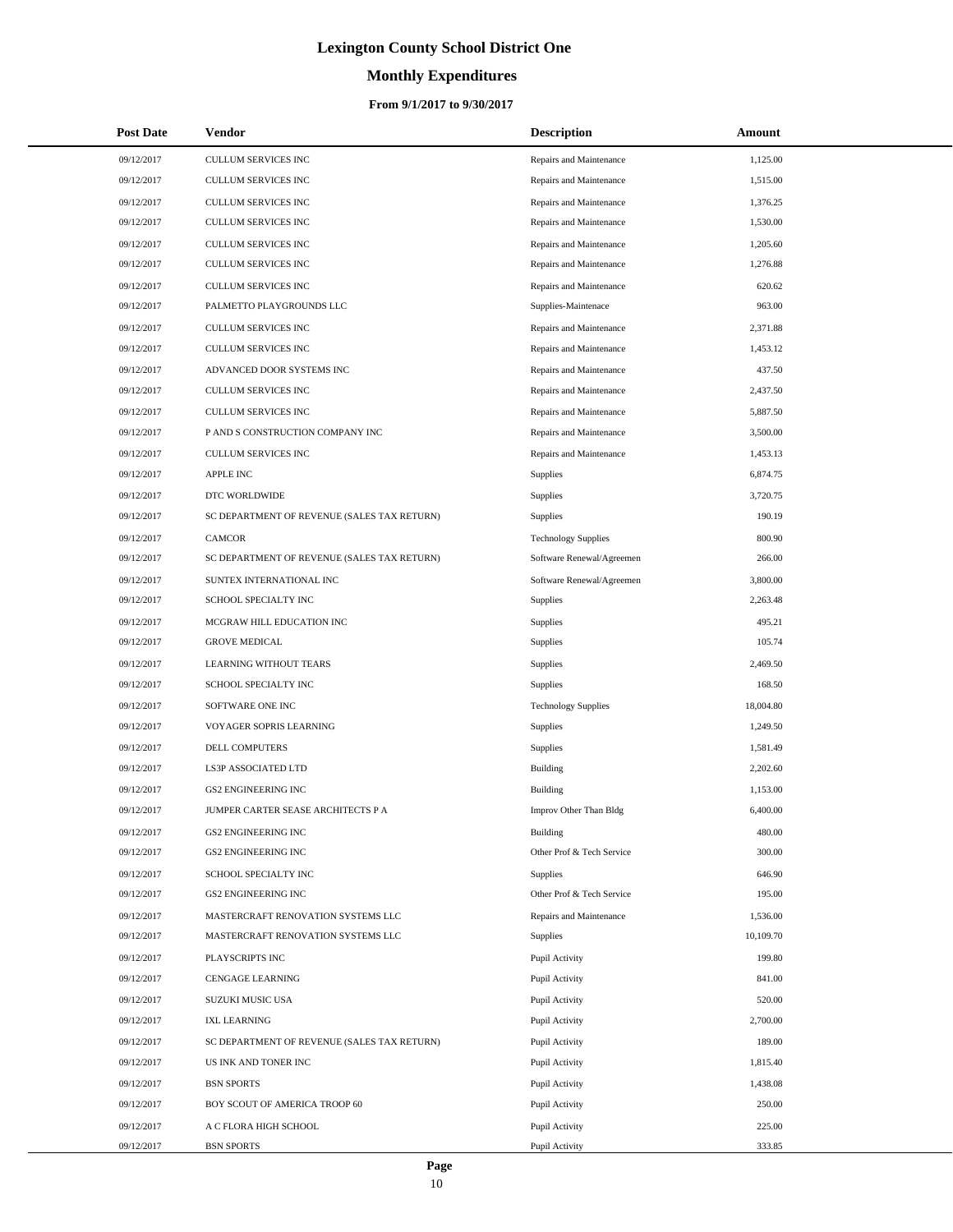# **Monthly Expenditures**

| <b>Post Date</b> | Vendor                                      | <b>Description</b>         | Amount    |
|------------------|---------------------------------------------|----------------------------|-----------|
| 09/12/2017       | CULLUM SERVICES INC                         | Repairs and Maintenance    | 1,125.00  |
| 09/12/2017       | <b>CULLUM SERVICES INC</b>                  | Repairs and Maintenance    | 1,515.00  |
| 09/12/2017       | CULLUM SERVICES INC                         | Repairs and Maintenance    | 1,376.25  |
| 09/12/2017       | CULLUM SERVICES INC                         | Repairs and Maintenance    | 1,530.00  |
| 09/12/2017       | <b>CULLUM SERVICES INC</b>                  | Repairs and Maintenance    | 1,205.60  |
| 09/12/2017       | CULLUM SERVICES INC                         | Repairs and Maintenance    | 1,276.88  |
| 09/12/2017       | CULLUM SERVICES INC                         | Repairs and Maintenance    | 620.62    |
| 09/12/2017       | PALMETTO PLAYGROUNDS LLC                    | Supplies-Maintenace        | 963.00    |
| 09/12/2017       | CULLUM SERVICES INC                         | Repairs and Maintenance    | 2,371.88  |
| 09/12/2017       | CULLUM SERVICES INC                         | Repairs and Maintenance    | 1,453.12  |
| 09/12/2017       | ADVANCED DOOR SYSTEMS INC                   | Repairs and Maintenance    | 437.50    |
| 09/12/2017       | CULLUM SERVICES INC                         | Repairs and Maintenance    | 2,437.50  |
| 09/12/2017       | <b>CULLUM SERVICES INC</b>                  | Repairs and Maintenance    | 5,887.50  |
| 09/12/2017       | P AND S CONSTRUCTION COMPANY INC            | Repairs and Maintenance    | 3,500.00  |
| 09/12/2017       | <b>CULLUM SERVICES INC</b>                  | Repairs and Maintenance    | 1,453.13  |
| 09/12/2017       | <b>APPLE INC</b>                            | <b>Supplies</b>            | 6,874.75  |
| 09/12/2017       | DTC WORLDWIDE                               | Supplies                   | 3,720.75  |
| 09/12/2017       | SC DEPARTMENT OF REVENUE (SALES TAX RETURN) | <b>Supplies</b>            | 190.19    |
| 09/12/2017       | <b>CAMCOR</b>                               | <b>Technology Supplies</b> | 800.90    |
| 09/12/2017       | SC DEPARTMENT OF REVENUE (SALES TAX RETURN) | Software Renewal/Agreemen  | 266.00    |
| 09/12/2017       | SUNTEX INTERNATIONAL INC                    | Software Renewal/Agreemen  | 3,800.00  |
| 09/12/2017       | SCHOOL SPECIALTY INC                        | Supplies                   | 2,263.48  |
| 09/12/2017       | MCGRAW HILL EDUCATION INC                   | Supplies                   | 495.21    |
| 09/12/2017       | <b>GROVE MEDICAL</b>                        | <b>Supplies</b>            | 105.74    |
| 09/12/2017       | LEARNING WITHOUT TEARS                      | Supplies                   | 2,469.50  |
| 09/12/2017       | SCHOOL SPECIALTY INC                        | <b>Supplies</b>            | 168.50    |
| 09/12/2017       | SOFTWARE ONE INC                            | <b>Technology Supplies</b> | 18,004.80 |
| 09/12/2017       | VOYAGER SOPRIS LEARNING                     | <b>Supplies</b>            | 1,249.50  |
| 09/12/2017       | DELL COMPUTERS                              | Supplies                   | 1.581.49  |
| 09/12/2017       | LS3P ASSOCIATED LTD                         | <b>Building</b>            | 2,202.60  |
| 09/12/2017       | <b>GS2 ENGINEERING INC</b>                  | <b>Building</b>            | 1,153.00  |
| 09/12/2017       | JUMPER CARTER SEASE ARCHITECTS P A          | Improv Other Than Bldg     | 6,400.00  |
| 09/12/2017       | <b>GS2 ENGINEERING INC</b>                  | <b>Building</b>            | 480.00    |
| 09/12/2017       | <b>GS2 ENGINEERING INC</b>                  | Other Prof & Tech Service  | 300.00    |
| 09/12/2017       | SCHOOL SPECIALTY INC                        | Supplies                   | 646.90    |
| 09/12/2017       | GS2 ENGINEERING INC                         | Other Prof & Tech Service  | 195.00    |
| 09/12/2017       | MASTERCRAFT RENOVATION SYSTEMS LLC          | Repairs and Maintenance    | 1,536.00  |
| 09/12/2017       | MASTERCRAFT RENOVATION SYSTEMS LLC          | <b>Supplies</b>            | 10,109.70 |
| 09/12/2017       | PLAYSCRIPTS INC                             | Pupil Activity             | 199.80    |
| 09/12/2017       | <b>CENGAGE LEARNING</b>                     | Pupil Activity             | 841.00    |
| 09/12/2017       | SUZUKI MUSIC USA                            | Pupil Activity             | 520.00    |
| 09/12/2017       | <b>IXL LEARNING</b>                         | Pupil Activity             | 2,700.00  |
| 09/12/2017       | SC DEPARTMENT OF REVENUE (SALES TAX RETURN) | Pupil Activity             | 189.00    |
| 09/12/2017       | US INK AND TONER INC                        | Pupil Activity             | 1,815.40  |
| 09/12/2017       | <b>BSN SPORTS</b>                           | Pupil Activity             | 1,438.08  |
| 09/12/2017       | BOY SCOUT OF AMERICA TROOP 60               | Pupil Activity             | 250.00    |
| 09/12/2017       | A C FLORA HIGH SCHOOL                       | Pupil Activity             | 225.00    |
| 09/12/2017       | <b>BSN SPORTS</b>                           | Pupil Activity             | 333.85    |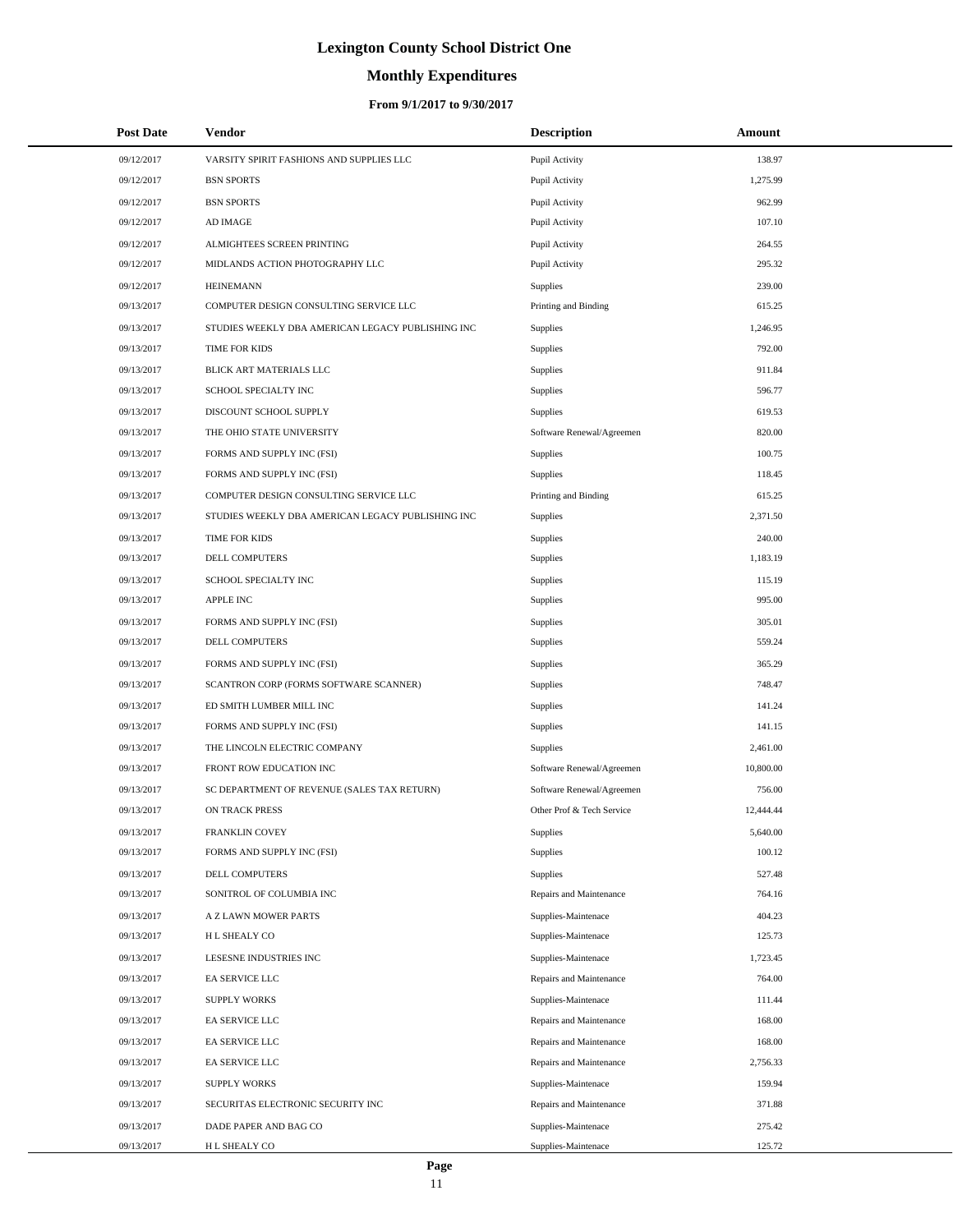# **Monthly Expenditures**

### **From 9/1/2017 to 9/30/2017**

| <b>Post Date</b> | Vendor                                            | <b>Description</b>        | Amount    |
|------------------|---------------------------------------------------|---------------------------|-----------|
| 09/12/2017       | VARSITY SPIRIT FASHIONS AND SUPPLIES LLC          | Pupil Activity            | 138.97    |
| 09/12/2017       | <b>BSN SPORTS</b>                                 | Pupil Activity            | 1,275.99  |
| 09/12/2017       | <b>BSN SPORTS</b>                                 | Pupil Activity            | 962.99    |
| 09/12/2017       | AD IMAGE                                          | Pupil Activity            | 107.10    |
| 09/12/2017       | ALMIGHTEES SCREEN PRINTING                        | Pupil Activity            | 264.55    |
| 09/12/2017       | MIDLANDS ACTION PHOTOGRAPHY LLC                   | Pupil Activity            | 295.32    |
| 09/12/2017       | <b>HEINEMANN</b>                                  | Supplies                  | 239.00    |
| 09/13/2017       | COMPUTER DESIGN CONSULTING SERVICE LLC            | Printing and Binding      | 615.25    |
| 09/13/2017       | STUDIES WEEKLY DBA AMERICAN LEGACY PUBLISHING INC | Supplies                  | 1,246.95  |
| 09/13/2017       | TIME FOR KIDS                                     | Supplies                  | 792.00    |
| 09/13/2017       | BLICK ART MATERIALS LLC                           | Supplies                  | 911.84    |
| 09/13/2017       | SCHOOL SPECIALTY INC                              | Supplies                  | 596.77    |
| 09/13/2017       | DISCOUNT SCHOOL SUPPLY                            | Supplies                  | 619.53    |
| 09/13/2017       | THE OHIO STATE UNIVERSITY                         | Software Renewal/Agreemen | 820.00    |
| 09/13/2017       | FORMS AND SUPPLY INC (FSI)                        | Supplies                  | 100.75    |
| 09/13/2017       | FORMS AND SUPPLY INC (FSI)                        | <b>Supplies</b>           | 118.45    |
| 09/13/2017       | COMPUTER DESIGN CONSULTING SERVICE LLC            | Printing and Binding      | 615.25    |
| 09/13/2017       | STUDIES WEEKLY DBA AMERICAN LEGACY PUBLISHING INC | Supplies                  | 2,371.50  |
| 09/13/2017       | TIME FOR KIDS                                     | Supplies                  | 240.00    |
| 09/13/2017       | <b>DELL COMPUTERS</b>                             | Supplies                  | 1,183.19  |
| 09/13/2017       | SCHOOL SPECIALTY INC                              | Supplies                  | 115.19    |
| 09/13/2017       | <b>APPLE INC</b>                                  | Supplies                  | 995.00    |
| 09/13/2017       | FORMS AND SUPPLY INC (FSI)                        | Supplies                  | 305.01    |
| 09/13/2017       | DELL COMPUTERS                                    | Supplies                  | 559.24    |
| 09/13/2017       | FORMS AND SUPPLY INC (FSI)                        | Supplies                  | 365.29    |
| 09/13/2017       | SCANTRON CORP (FORMS SOFTWARE SCANNER)            | Supplies                  | 748.47    |
| 09/13/2017       | ED SMITH LUMBER MILL INC                          | Supplies                  | 141.24    |
| 09/13/2017       | FORMS AND SUPPLY INC (FSI)                        | Supplies                  | 141.15    |
| 09/13/2017       | THE LINCOLN ELECTRIC COMPANY                      | Supplies                  | 2,461.00  |
| 09/13/2017       | FRONT ROW EDUCATION INC                           | Software Renewal/Agreemen | 10,800.00 |
| 09/13/2017       | SC DEPARTMENT OF REVENUE (SALES TAX RETURN)       | Software Renewal/Agreemen | 756.00    |
| 09/13/2017       | <b>ON TRACK PRESS</b>                             | Other Prof & Tech Service | 12,444.44 |
| 09/13/2017       | FRANKLIN COVEY                                    | Supplies                  | 5,640.00  |
| 09/13/2017       | FORMS AND SUPPLY INC (FSI)                        | Supplies                  | 100.12    |
| 09/13/2017       | <b>DELL COMPUTERS</b>                             | Supplies                  | 527.48    |
| 09/13/2017       | SONITROL OF COLUMBIA INC                          | Repairs and Maintenance   | 764.16    |
| 09/13/2017       | A Z LAWN MOWER PARTS                              | Supplies-Maintenace       | 404.23    |
| 09/13/2017       | H L SHEALY CO                                     | Supplies-Maintenace       | 125.73    |
| 09/13/2017       | LESESNE INDUSTRIES INC                            | Supplies-Maintenace       | 1,723.45  |
| 09/13/2017       | EA SERVICE LLC                                    | Repairs and Maintenance   | 764.00    |
| 09/13/2017       | <b>SUPPLY WORKS</b>                               | Supplies-Maintenace       | 111.44    |
| 09/13/2017       | EA SERVICE LLC                                    | Repairs and Maintenance   | 168.00    |
| 09/13/2017       | EA SERVICE LLC                                    | Repairs and Maintenance   | 168.00    |
| 09/13/2017       | EA SERVICE LLC                                    | Repairs and Maintenance   | 2,756.33  |
| 09/13/2017       | <b>SUPPLY WORKS</b>                               | Supplies-Maintenace       | 159.94    |
| 09/13/2017       | SECURITAS ELECTRONIC SECURITY INC                 | Repairs and Maintenance   | 371.88    |
| 09/13/2017       | DADE PAPER AND BAG CO                             | Supplies-Maintenace       | 275.42    |
| 09/13/2017       | H L SHEALY CO                                     | Supplies-Maintenace       | 125.72    |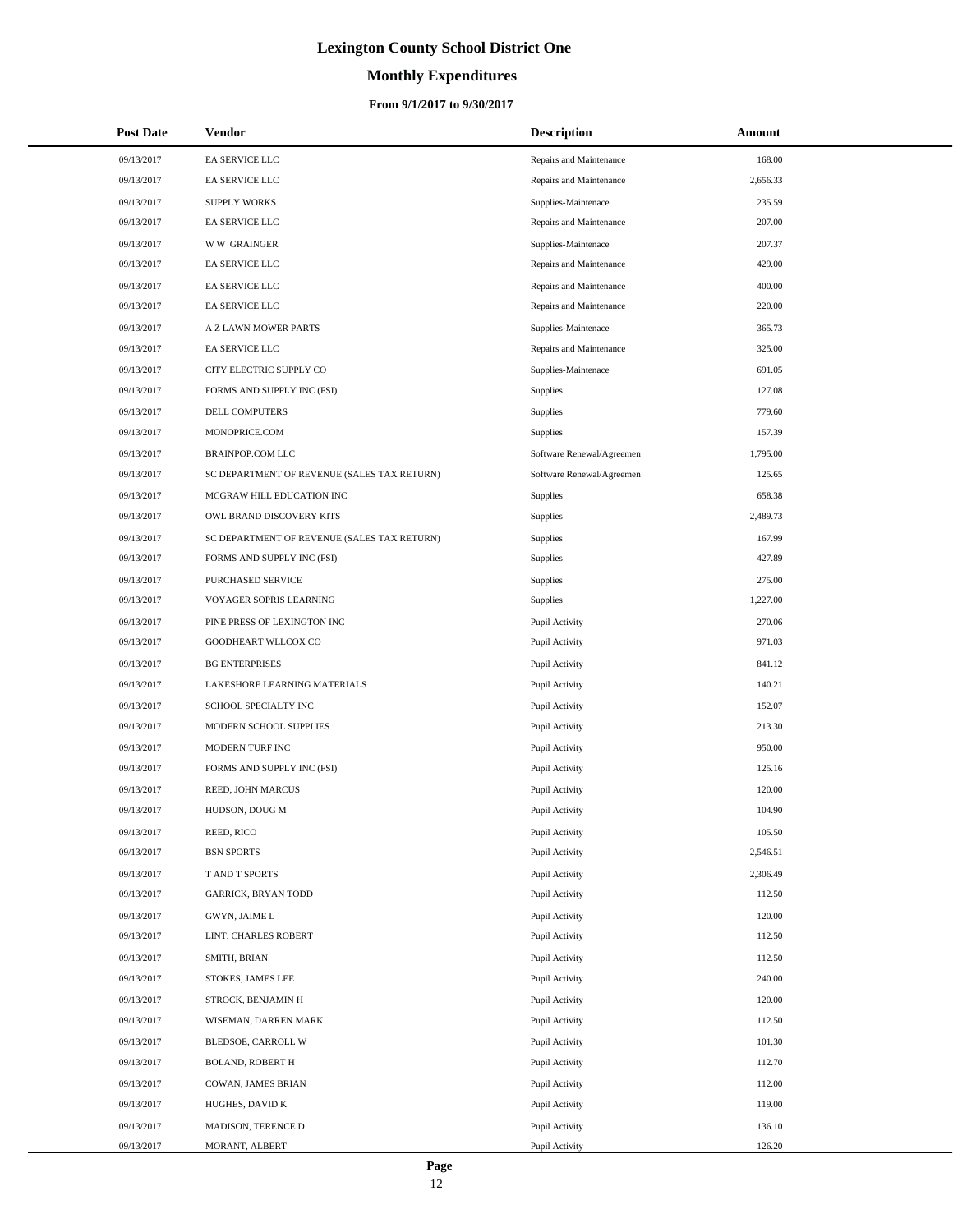# **Monthly Expenditures**

### **From 9/1/2017 to 9/30/2017**

| <b>Post Date</b> | Vendor                                      | <b>Description</b>        | Amount   |
|------------------|---------------------------------------------|---------------------------|----------|
| 09/13/2017       | EA SERVICE LLC                              | Repairs and Maintenance   | 168.00   |
| 09/13/2017       | EA SERVICE LLC                              | Repairs and Maintenance   | 2,656.33 |
| 09/13/2017       | <b>SUPPLY WORKS</b>                         | Supplies-Maintenace       | 235.59   |
| 09/13/2017       | EA SERVICE LLC                              | Repairs and Maintenance   | 207.00   |
| 09/13/2017       | <b>WW GRAINGER</b>                          | Supplies-Maintenace       | 207.37   |
| 09/13/2017       | EA SERVICE LLC                              | Repairs and Maintenance   | 429.00   |
| 09/13/2017       | EA SERVICE LLC                              | Repairs and Maintenance   | 400.00   |
| 09/13/2017       | EA SERVICE LLC                              | Repairs and Maintenance   | 220.00   |
| 09/13/2017       | <b>A Z LAWN MOWER PARTS</b>                 | Supplies-Maintenace       | 365.73   |
| 09/13/2017       | EA SERVICE LLC                              | Repairs and Maintenance   | 325.00   |
| 09/13/2017       | CITY ELECTRIC SUPPLY CO                     | Supplies-Maintenace       | 691.05   |
| 09/13/2017       | FORMS AND SUPPLY INC (FSI)                  | <b>Supplies</b>           | 127.08   |
| 09/13/2017       | DELL COMPUTERS                              | Supplies                  | 779.60   |
| 09/13/2017       | MONOPRICE.COM                               | Supplies                  | 157.39   |
| 09/13/2017       | <b>BRAINPOP.COM LLC</b>                     | Software Renewal/Agreemen | 1,795.00 |
| 09/13/2017       | SC DEPARTMENT OF REVENUE (SALES TAX RETURN) | Software Renewal/Agreemen | 125.65   |
| 09/13/2017       | MCGRAW HILL EDUCATION INC                   | <b>Supplies</b>           | 658.38   |
| 09/13/2017       | OWL BRAND DISCOVERY KITS                    | <b>Supplies</b>           | 2,489.73 |
| 09/13/2017       | SC DEPARTMENT OF REVENUE (SALES TAX RETURN) | Supplies                  | 167.99   |
| 09/13/2017       | FORMS AND SUPPLY INC (FSI)                  | Supplies                  | 427.89   |
| 09/13/2017       | PURCHASED SERVICE                           | Supplies                  | 275.00   |
| 09/13/2017       | VOYAGER SOPRIS LEARNING                     | Supplies                  | 1,227.00 |
| 09/13/2017       | PINE PRESS OF LEXINGTON INC                 | Pupil Activity            | 270.06   |
| 09/13/2017       | GOODHEART WLLCOX CO                         | Pupil Activity            | 971.03   |
| 09/13/2017       | <b>BG ENTERPRISES</b>                       | Pupil Activity            | 841.12   |
| 09/13/2017       | LAKESHORE LEARNING MATERIALS                | Pupil Activity            | 140.21   |
| 09/13/2017       | SCHOOL SPECIALTY INC                        | Pupil Activity            | 152.07   |
| 09/13/2017       | MODERN SCHOOL SUPPLIES                      | Pupil Activity            | 213.30   |
| 09/13/2017       | MODERN TURF INC                             | Pupil Activity            | 950.00   |
| 09/13/2017       | FORMS AND SUPPLY INC (FSI)                  | Pupil Activity            | 125.16   |
| 09/13/2017       | REED, JOHN MARCUS                           | Pupil Activity            | 120.00   |
| 09/13/2017       | HUDSON, DOUG M                              | Pupil Activity            | 104.90   |
| 09/13/2017       | REED, RICO                                  | Pupil Activity            | 105.50   |
| 09/13/2017       | <b>BSN SPORTS</b>                           | Pupil Activity            | 2,546.51 |
| 09/13/2017       | T AND T SPORTS                              | Pupil Activity            | 2,306.49 |
| 09/13/2017       | <b>GARRICK, BRYAN TODD</b>                  | Pupil Activity            | 112.50   |
| 09/13/2017       | GWYN, JAIME L                               | Pupil Activity            | 120.00   |
| 09/13/2017       | LINT, CHARLES ROBERT                        | Pupil Activity            | 112.50   |
| 09/13/2017       | SMITH, BRIAN                                | Pupil Activity            | 112.50   |
| 09/13/2017       | STOKES, JAMES LEE                           | Pupil Activity            | 240.00   |
| 09/13/2017       | STROCK, BENJAMIN H                          | Pupil Activity            | 120.00   |
| 09/13/2017       | WISEMAN, DARREN MARK                        | Pupil Activity            | 112.50   |
| 09/13/2017       | BLEDSOE, CARROLL W                          | Pupil Activity            | 101.30   |
| 09/13/2017       | <b>BOLAND, ROBERT H</b>                     | Pupil Activity            | 112.70   |
| 09/13/2017       | COWAN, JAMES BRIAN                          | Pupil Activity            | 112.00   |
| 09/13/2017       | HUGHES, DAVID K                             | Pupil Activity            | 119.00   |
| 09/13/2017       | MADISON, TERENCE D                          | Pupil Activity            | 136.10   |
| 09/13/2017       | MORANT, ALBERT                              | Pupil Activity            | 126.20   |

÷.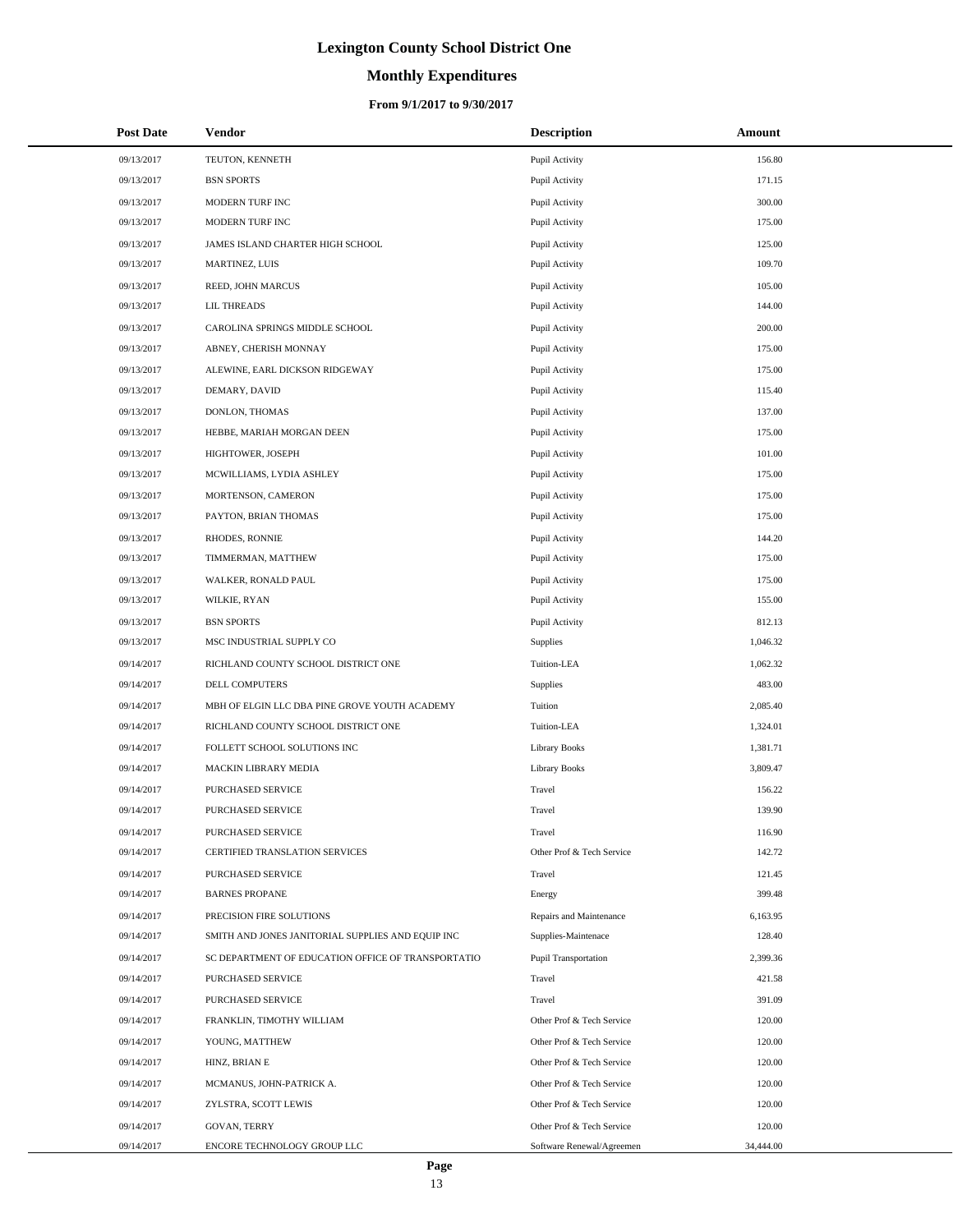# **Monthly Expenditures**

| <b>Post Date</b> | Vendor                                             | <b>Description</b>          | Amount    |
|------------------|----------------------------------------------------|-----------------------------|-----------|
| 09/13/2017       | TEUTON, KENNETH                                    | Pupil Activity              | 156.80    |
| 09/13/2017       | <b>BSN SPORTS</b>                                  | Pupil Activity              | 171.15    |
| 09/13/2017       | MODERN TURF INC                                    | Pupil Activity              | 300.00    |
| 09/13/2017       | MODERN TURF INC                                    | Pupil Activity              | 175.00    |
| 09/13/2017       | JAMES ISLAND CHARTER HIGH SCHOOL                   | Pupil Activity              | 125.00    |
| 09/13/2017       | MARTINEZ, LUIS                                     | Pupil Activity              | 109.70    |
| 09/13/2017       | REED, JOHN MARCUS                                  | Pupil Activity              | 105.00    |
| 09/13/2017       | <b>LIL THREADS</b>                                 | Pupil Activity              | 144.00    |
| 09/13/2017       | CAROLINA SPRINGS MIDDLE SCHOOL                     | Pupil Activity              | 200.00    |
| 09/13/2017       | ABNEY, CHERISH MONNAY                              | Pupil Activity              | 175.00    |
| 09/13/2017       | ALEWINE, EARL DICKSON RIDGEWAY                     | Pupil Activity              | 175.00    |
| 09/13/2017       | DEMARY, DAVID                                      | Pupil Activity              | 115.40    |
| 09/13/2017       | DONLON, THOMAS                                     | Pupil Activity              | 137.00    |
| 09/13/2017       | HEBBE, MARIAH MORGAN DEEN                          | Pupil Activity              | 175.00    |
| 09/13/2017       | HIGHTOWER, JOSEPH                                  | Pupil Activity              | 101.00    |
| 09/13/2017       | MCWILLIAMS, LYDIA ASHLEY                           | Pupil Activity              | 175.00    |
| 09/13/2017       | MORTENSON, CAMERON                                 | Pupil Activity              | 175.00    |
| 09/13/2017       | PAYTON, BRIAN THOMAS                               | Pupil Activity              | 175.00    |
| 09/13/2017       | RHODES, RONNIE                                     | Pupil Activity              | 144.20    |
| 09/13/2017       | TIMMERMAN, MATTHEW                                 | Pupil Activity              | 175.00    |
| 09/13/2017       | WALKER, RONALD PAUL                                | Pupil Activity              | 175.00    |
| 09/13/2017       | WILKIE, RYAN                                       | Pupil Activity              | 155.00    |
| 09/13/2017       | <b>BSN SPORTS</b>                                  | Pupil Activity              | 812.13    |
| 09/13/2017       | MSC INDUSTRIAL SUPPLY CO                           | Supplies                    | 1,046.32  |
| 09/14/2017       | RICHLAND COUNTY SCHOOL DISTRICT ONE                | Tuition-LEA                 | 1,062.32  |
| 09/14/2017       | DELL COMPUTERS                                     | Supplies                    | 483.00    |
| 09/14/2017       | MBH OF ELGIN LLC DBA PINE GROVE YOUTH ACADEMY      | Tuition                     | 2,085.40  |
| 09/14/2017       | RICHLAND COUNTY SCHOOL DISTRICT ONE                | Tuition-LEA                 | 1,324.01  |
| 09/14/2017       | FOLLETT SCHOOL SOLUTIONS INC                       | <b>Library Books</b>        | 1,381.71  |
| 09/14/2017       | MACKIN LIBRARY MEDIA                               | <b>Library Books</b>        | 3,809.47  |
| 09/14/2017       | PURCHASED SERVICE                                  | Travel                      | 156.22    |
| 09/14/2017       | <b>PURCHASED SERVICE</b>                           | Travel                      | 139.90    |
| 09/14/2017       | PURCHASED SERVICE                                  | Travel                      | 116.90    |
| 09/14/2017       | CERTIFIED TRANSLATION SERVICES                     | Other Prof & Tech Service   | 142.72    |
| 09/14/2017       | PURCHASED SERVICE                                  | Travel                      | 121.45    |
| 09/14/2017       | <b>BARNES PROPANE</b>                              | Energy                      | 399.48    |
| 09/14/2017       | PRECISION FIRE SOLUTIONS                           | Repairs and Maintenance     | 6,163.95  |
| 09/14/2017       | SMITH AND JONES JANITORIAL SUPPLIES AND EQUIP INC  | Supplies-Maintenace         | 128.40    |
| 09/14/2017       | SC DEPARTMENT OF EDUCATION OFFICE OF TRANSPORTATIO | <b>Pupil Transportation</b> | 2,399.36  |
| 09/14/2017       | PURCHASED SERVICE                                  | Travel                      | 421.58    |
| 09/14/2017       | PURCHASED SERVICE                                  | Travel                      | 391.09    |
| 09/14/2017       | FRANKLIN, TIMOTHY WILLIAM                          | Other Prof & Tech Service   | 120.00    |
| 09/14/2017       | YOUNG, MATTHEW                                     | Other Prof & Tech Service   | 120.00    |
| 09/14/2017       | HINZ, BRIAN E                                      | Other Prof & Tech Service   | 120.00    |
| 09/14/2017       | MCMANUS, JOHN-PATRICK A.                           | Other Prof & Tech Service   | 120.00    |
| 09/14/2017       | ZYLSTRA, SCOTT LEWIS                               | Other Prof & Tech Service   | 120.00    |
| 09/14/2017       | GOVAN, TERRY                                       | Other Prof & Tech Service   | 120.00    |
| 09/14/2017       | ENCORE TECHNOLOGY GROUP LLC                        | Software Renewal/Agreemen   | 34,444.00 |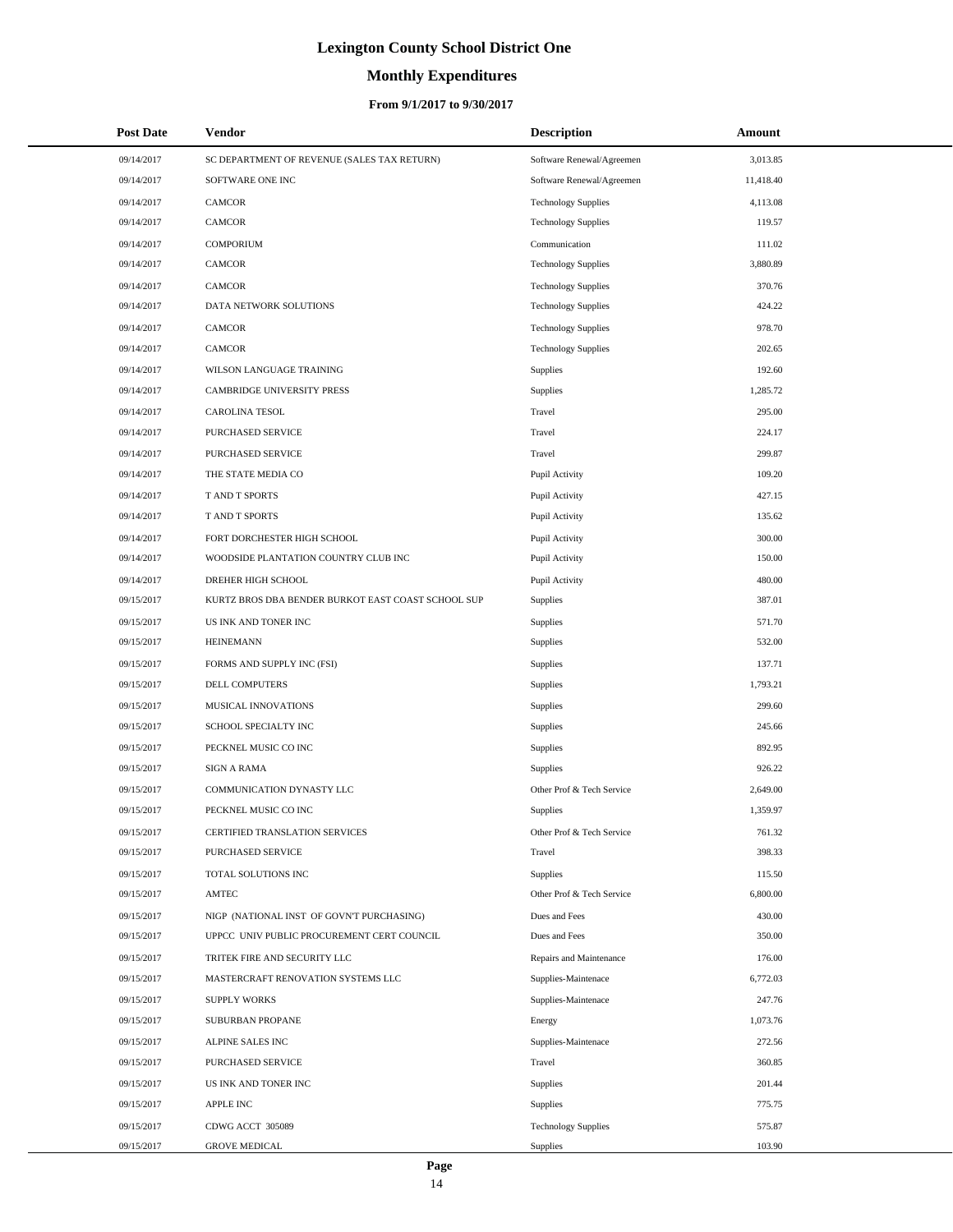# **Monthly Expenditures**

### **From 9/1/2017 to 9/30/2017**

| <b>Post Date</b> | Vendor                                             | <b>Description</b>         | Amount    |
|------------------|----------------------------------------------------|----------------------------|-----------|
| 09/14/2017       | SC DEPARTMENT OF REVENUE (SALES TAX RETURN)        | Software Renewal/Agreemen  | 3,013.85  |
| 09/14/2017       | SOFTWARE ONE INC                                   | Software Renewal/Agreemen  | 11,418.40 |
| 09/14/2017       | <b>CAMCOR</b>                                      | <b>Technology Supplies</b> | 4,113.08  |
| 09/14/2017       | <b>CAMCOR</b>                                      | <b>Technology Supplies</b> | 119.57    |
| 09/14/2017       | <b>COMPORIUM</b>                                   | Communication              | 111.02    |
| 09/14/2017       | <b>CAMCOR</b>                                      | <b>Technology Supplies</b> | 3,880.89  |
| 09/14/2017       | CAMCOR                                             | <b>Technology Supplies</b> | 370.76    |
| 09/14/2017       | DATA NETWORK SOLUTIONS                             | <b>Technology Supplies</b> | 424.22    |
| 09/14/2017       | <b>CAMCOR</b>                                      | <b>Technology Supplies</b> | 978.70    |
| 09/14/2017       | <b>CAMCOR</b>                                      | <b>Technology Supplies</b> | 202.65    |
| 09/14/2017       | WILSON LANGUAGE TRAINING                           | Supplies                   | 192.60    |
| 09/14/2017       | CAMBRIDGE UNIVERSITY PRESS                         | Supplies                   | 1,285.72  |
| 09/14/2017       | CAROLINA TESOL                                     | Travel                     | 295.00    |
| 09/14/2017       | PURCHASED SERVICE                                  | Travel                     | 224.17    |
| 09/14/2017       | PURCHASED SERVICE                                  | Travel                     | 299.87    |
| 09/14/2017       | THE STATE MEDIA CO                                 | Pupil Activity             | 109.20    |
| 09/14/2017       | T AND T SPORTS                                     | Pupil Activity             | 427.15    |
| 09/14/2017       | T AND T SPORTS                                     | Pupil Activity             | 135.62    |
| 09/14/2017       | FORT DORCHESTER HIGH SCHOOL                        | Pupil Activity             | 300.00    |
| 09/14/2017       | WOODSIDE PLANTATION COUNTRY CLUB INC               | Pupil Activity             | 150.00    |
| 09/14/2017       | DREHER HIGH SCHOOL                                 | Pupil Activity             | 480.00    |
| 09/15/2017       | KURTZ BROS DBA BENDER BURKOT EAST COAST SCHOOL SUP | Supplies                   | 387.01    |
| 09/15/2017       | US INK AND TONER INC                               | Supplies                   | 571.70    |
| 09/15/2017       | <b>HEINEMANN</b>                                   | Supplies                   | 532.00    |
| 09/15/2017       | FORMS AND SUPPLY INC (FSI)                         | Supplies                   | 137.71    |
| 09/15/2017       | DELL COMPUTERS                                     | Supplies                   | 1,793.21  |
| 09/15/2017       | MUSICAL INNOVATIONS                                | Supplies                   | 299.60    |
| 09/15/2017       | SCHOOL SPECIALTY INC                               | Supplies                   | 245.66    |
| 09/15/2017       | PECKNEL MUSIC CO INC                               | Supplies                   | 892.95    |
| 09/15/2017       | <b>SIGN A RAMA</b>                                 | Supplies                   | 926.22    |
| 09/15/2017       | COMMUNICATION DYNASTY LLC                          | Other Prof & Tech Service  | 2,649.00  |
| 09/15/2017       | PECKNEL MUSIC CO INC                               | Supplies                   | 1,359.97  |
| 09/15/2017       | CERTIFIED TRANSLATION SERVICES                     | Other Prof & Tech Service  | 761.32    |
| 09/15/2017       | PURCHASED SERVICE                                  | Travel                     | 398.33    |
| 09/15/2017       | TOTAL SOLUTIONS INC                                | Supplies                   | 115.50    |
| 09/15/2017       | AMTEC                                              | Other Prof & Tech Service  | 6,800.00  |
| 09/15/2017       | NIGP (NATIONAL INST OF GOVN'T PURCHASING)          | Dues and Fees              | 430.00    |
| 09/15/2017       | UPPCC UNIV PUBLIC PROCUREMENT CERT COUNCIL         | Dues and Fees              | 350.00    |
| 09/15/2017       | TRITEK FIRE AND SECURITY LLC                       | Repairs and Maintenance    | 176.00    |
| 09/15/2017       | MASTERCRAFT RENOVATION SYSTEMS LLC                 | Supplies-Maintenace        | 6,772.03  |
| 09/15/2017       | <b>SUPPLY WORKS</b>                                | Supplies-Maintenace        | 247.76    |
| 09/15/2017       | SUBURBAN PROPANE                                   | Energy                     | 1,073.76  |
| 09/15/2017       | ALPINE SALES INC                                   | Supplies-Maintenace        | 272.56    |
| 09/15/2017       | PURCHASED SERVICE                                  | Travel                     | 360.85    |
| 09/15/2017       | US INK AND TONER INC                               | Supplies                   | 201.44    |
| 09/15/2017       | <b>APPLE INC</b>                                   | Supplies                   | 775.75    |
| 09/15/2017       | CDWG ACCT 305089                                   | <b>Technology Supplies</b> | 575.87    |
| 09/15/2017       | <b>GROVE MEDICAL</b>                               | Supplies                   | 103.90    |

 $\overline{a}$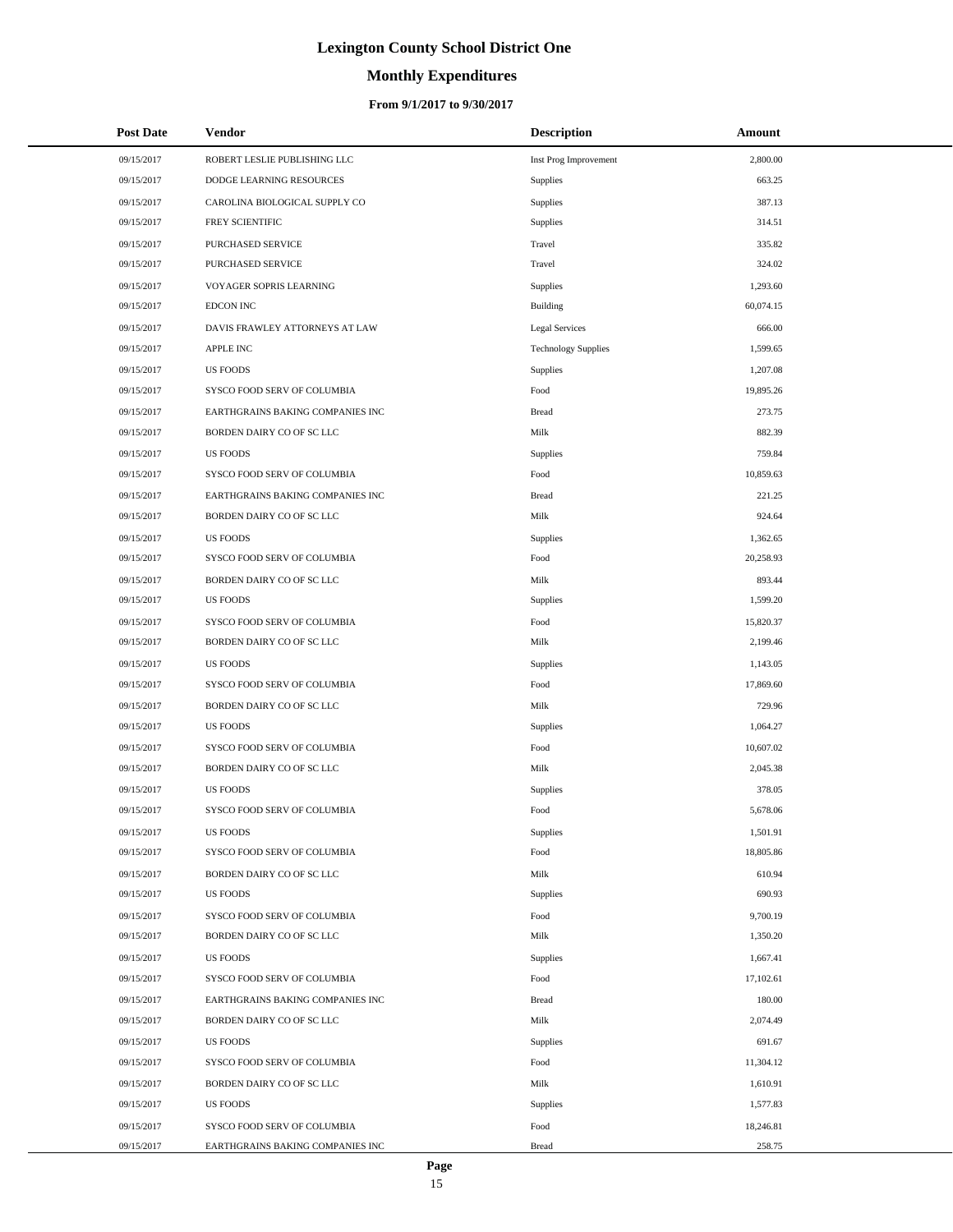# **Monthly Expenditures**

| <b>Post Date</b> | <b>Vendor</b>                    | <b>Description</b>         | Amount    |
|------------------|----------------------------------|----------------------------|-----------|
| 09/15/2017       | ROBERT LESLIE PUBLISHING LLC     | Inst Prog Improvement      | 2,800.00  |
| 09/15/2017       | DODGE LEARNING RESOURCES         | Supplies                   | 663.25    |
| 09/15/2017       | CAROLINA BIOLOGICAL SUPPLY CO    | Supplies                   | 387.13    |
| 09/15/2017       | FREY SCIENTIFIC                  | Supplies                   | 314.51    |
| 09/15/2017       | PURCHASED SERVICE                | Travel                     | 335.82    |
| 09/15/2017       | PURCHASED SERVICE                | Travel                     | 324.02    |
| 09/15/2017       | VOYAGER SOPRIS LEARNING          | Supplies                   | 1,293.60  |
| 09/15/2017       | <b>EDCON INC</b>                 | <b>Building</b>            | 60,074.15 |
| 09/15/2017       | DAVIS FRAWLEY ATTORNEYS AT LAW   | <b>Legal Services</b>      | 666.00    |
| 09/15/2017       | <b>APPLE INC</b>                 | <b>Technology Supplies</b> | 1,599.65  |
| 09/15/2017       | <b>US FOODS</b>                  | Supplies                   | 1,207.08  |
| 09/15/2017       | SYSCO FOOD SERV OF COLUMBIA      | Food                       | 19,895.26 |
| 09/15/2017       | EARTHGRAINS BAKING COMPANIES INC | <b>Bread</b>               | 273.75    |
| 09/15/2017       | BORDEN DAIRY CO OF SC LLC        | Milk                       | 882.39    |
| 09/15/2017       | <b>US FOODS</b>                  | Supplies                   | 759.84    |
| 09/15/2017       | SYSCO FOOD SERV OF COLUMBIA      | Food                       | 10,859.63 |
| 09/15/2017       | EARTHGRAINS BAKING COMPANIES INC | <b>Bread</b>               | 221.25    |
| 09/15/2017       | BORDEN DAIRY CO OF SC LLC        | Milk                       | 924.64    |
| 09/15/2017       | <b>US FOODS</b>                  | Supplies                   | 1,362.65  |
| 09/15/2017       | SYSCO FOOD SERV OF COLUMBIA      | Food                       | 20,258.93 |
| 09/15/2017       | BORDEN DAIRY CO OF SC LLC        | Milk                       | 893.44    |
| 09/15/2017       | <b>US FOODS</b>                  | Supplies                   | 1,599.20  |
| 09/15/2017       | SYSCO FOOD SERV OF COLUMBIA      | Food                       | 15,820.37 |
| 09/15/2017       | BORDEN DAIRY CO OF SC LLC        | Milk                       | 2,199.46  |
| 09/15/2017       | <b>US FOODS</b>                  | Supplies                   | 1,143.05  |
| 09/15/2017       | SYSCO FOOD SERV OF COLUMBIA      | Food                       | 17,869.60 |
| 09/15/2017       | BORDEN DAIRY CO OF SC LLC        | Milk                       | 729.96    |
| 09/15/2017       | <b>US FOODS</b>                  | Supplies                   | 1,064.27  |
| 09/15/2017       | SYSCO FOOD SERV OF COLUMBIA      | Food                       | 10,607.02 |
| 09/15/2017       | BORDEN DAIRY CO OF SC LLC        | Milk                       | 2,045.38  |
| 09/15/2017       | <b>US FOODS</b>                  | Supplies                   | 378.05    |
| 09/15/2017       | SYSCO FOOD SERV OF COLUMBIA      | Food                       | 5,678.06  |
| 09/15/2017       | <b>US FOODS</b>                  | Supplies                   | 1,501.91  |
| 09/15/2017       | SYSCO FOOD SERV OF COLUMBIA      | Food                       | 18,805.86 |
| 09/15/2017       | BORDEN DAIRY CO OF SC LLC        | Milk                       | 610.94    |
| 09/15/2017       | <b>US FOODS</b>                  | Supplies                   | 690.93    |
| 09/15/2017       | SYSCO FOOD SERV OF COLUMBIA      | Food                       | 9,700.19  |
| 09/15/2017       | BORDEN DAIRY CO OF SC LLC        | Milk                       | 1,350.20  |
| 09/15/2017       | <b>US FOODS</b>                  | Supplies                   | 1,667.41  |
| 09/15/2017       | SYSCO FOOD SERV OF COLUMBIA      | Food                       | 17,102.61 |
| 09/15/2017       | EARTHGRAINS BAKING COMPANIES INC | <b>Bread</b>               | 180.00    |
| 09/15/2017       | BORDEN DAIRY CO OF SC LLC        | Milk                       | 2,074.49  |
| 09/15/2017       | <b>US FOODS</b>                  | Supplies                   | 691.67    |
| 09/15/2017       | SYSCO FOOD SERV OF COLUMBIA      | Food                       | 11,304.12 |
| 09/15/2017       | BORDEN DAIRY CO OF SC LLC        | Milk                       | 1,610.91  |
| 09/15/2017       | <b>US FOODS</b>                  | Supplies                   | 1,577.83  |
| 09/15/2017       | SYSCO FOOD SERV OF COLUMBIA      | Food                       | 18,246.81 |
| 09/15/2017       | EARTHGRAINS BAKING COMPANIES INC | <b>Bread</b>               | 258.75    |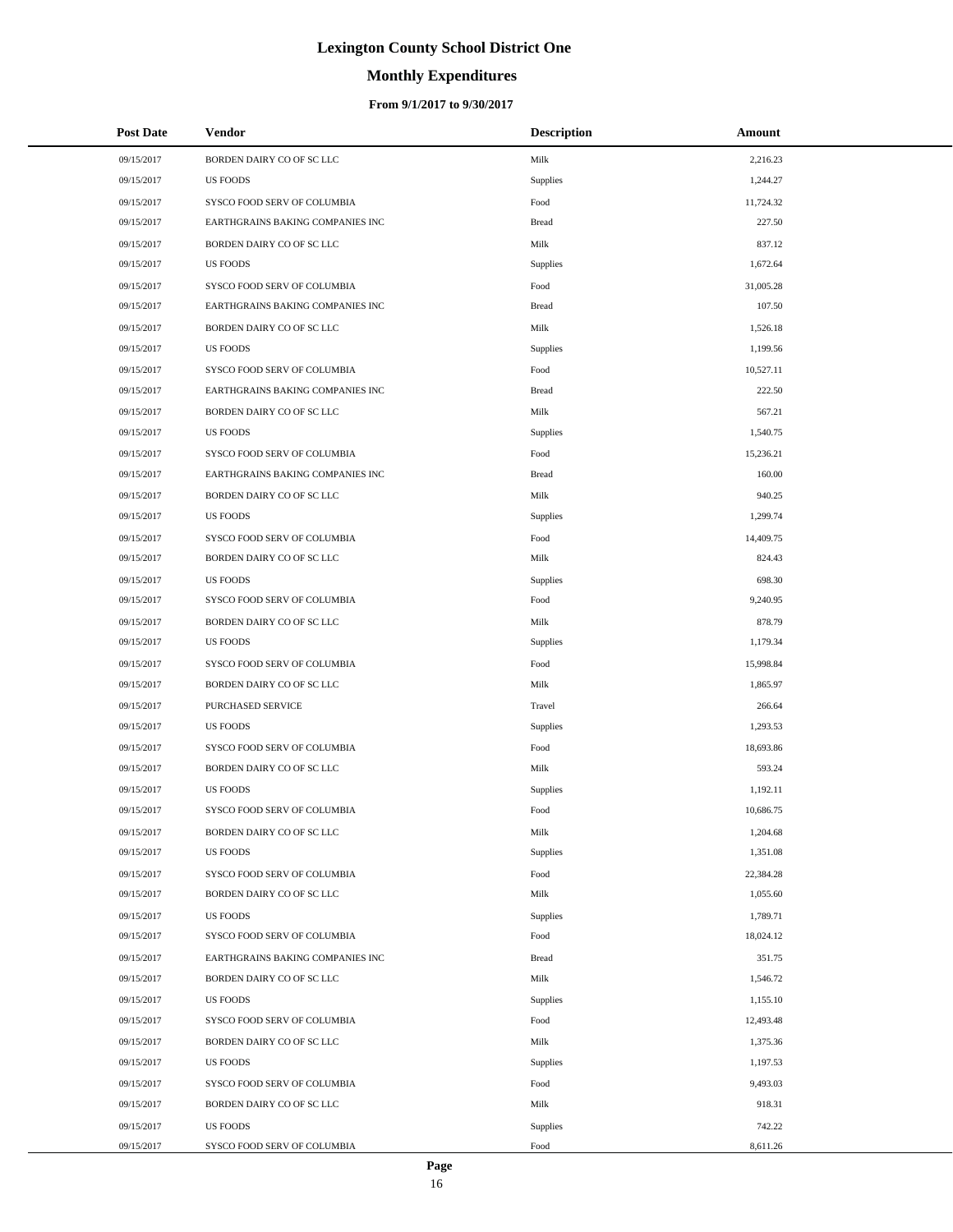# **Monthly Expenditures**

### **From 9/1/2017 to 9/30/2017**

| <b>Post Date</b> | <b>Vendor</b>                    | <b>Description</b> | Amount    |
|------------------|----------------------------------|--------------------|-----------|
| 09/15/2017       | BORDEN DAIRY CO OF SC LLC        | Milk               | 2,216.23  |
| 09/15/2017       | <b>US FOODS</b>                  | Supplies           | 1,244.27  |
| 09/15/2017       | SYSCO FOOD SERV OF COLUMBIA      | Food               | 11,724.32 |
| 09/15/2017       | EARTHGRAINS BAKING COMPANIES INC | <b>Bread</b>       | 227.50    |
| 09/15/2017       | BORDEN DAIRY CO OF SC LLC        | Milk               | 837.12    |
| 09/15/2017       | <b>US FOODS</b>                  | Supplies           | 1,672.64  |
| 09/15/2017       | SYSCO FOOD SERV OF COLUMBIA      | Food               | 31,005.28 |
| 09/15/2017       | EARTHGRAINS BAKING COMPANIES INC | <b>Bread</b>       | 107.50    |
| 09/15/2017       | BORDEN DAIRY CO OF SC LLC        | Milk               | 1,526.18  |
| 09/15/2017       | <b>US FOODS</b>                  | Supplies           | 1,199.56  |
| 09/15/2017       | SYSCO FOOD SERV OF COLUMBIA      | Food               | 10,527.11 |
| 09/15/2017       | EARTHGRAINS BAKING COMPANIES INC | <b>Bread</b>       | 222.50    |
| 09/15/2017       | BORDEN DAIRY CO OF SC LLC        | Milk               | 567.21    |
| 09/15/2017       | <b>US FOODS</b>                  | Supplies           | 1,540.75  |
| 09/15/2017       | SYSCO FOOD SERV OF COLUMBIA      | Food               | 15,236.21 |
| 09/15/2017       | EARTHGRAINS BAKING COMPANIES INC | <b>Bread</b>       | 160.00    |
| 09/15/2017       | BORDEN DAIRY CO OF SC LLC        | Milk               | 940.25    |
| 09/15/2017       | <b>US FOODS</b>                  | Supplies           | 1,299.74  |
| 09/15/2017       | SYSCO FOOD SERV OF COLUMBIA      | Food               | 14,409.75 |
| 09/15/2017       | BORDEN DAIRY CO OF SC LLC        | Milk               | 824.43    |
| 09/15/2017       | <b>US FOODS</b>                  | <b>Supplies</b>    | 698.30    |
| 09/15/2017       | SYSCO FOOD SERV OF COLUMBIA      | Food               | 9,240.95  |
| 09/15/2017       | BORDEN DAIRY CO OF SC LLC        | Milk               | 878.79    |
| 09/15/2017       | <b>US FOODS</b>                  | Supplies           | 1,179.34  |
| 09/15/2017       | SYSCO FOOD SERV OF COLUMBIA      | Food               | 15,998.84 |
| 09/15/2017       | BORDEN DAIRY CO OF SC LLC        | Milk               | 1,865.97  |
| 09/15/2017       | PURCHASED SERVICE                | Travel             | 266.64    |
| 09/15/2017       | <b>US FOODS</b>                  | Supplies           | 1,293.53  |
| 09/15/2017       | SYSCO FOOD SERV OF COLUMBIA      | Food               | 18,693.86 |
| 09/15/2017       | BORDEN DAIRY CO OF SC LLC        | Milk               | 593.24    |
| 09/15/2017       | <b>US FOODS</b>                  | Supplies           | 1,192.11  |
| 09/15/2017       | SYSCO FOOD SERV OF COLUMBIA      | Food               | 10,686.75 |
| 09/15/2017       | BORDEN DAIRY CO OF SC LLC        | Milk               | 1,204.68  |
| 09/15/2017       | <b>US FOODS</b>                  | Supplies           | 1,351.08  |
| 09/15/2017       | SYSCO FOOD SERV OF COLUMBIA      | Food               | 22,384.28 |
| 09/15/2017       | BORDEN DAIRY CO OF SC LLC        | Milk               | 1,055.60  |
| 09/15/2017       | US FOODS                         | Supplies           | 1,789.71  |
| 09/15/2017       | SYSCO FOOD SERV OF COLUMBIA      | Food               | 18,024.12 |
| 09/15/2017       | EARTHGRAINS BAKING COMPANIES INC | <b>Bread</b>       | 351.75    |
| 09/15/2017       | BORDEN DAIRY CO OF SC LLC        | Milk               | 1,546.72  |
| 09/15/2017       | US FOODS                         | Supplies           | 1,155.10  |
| 09/15/2017       | SYSCO FOOD SERV OF COLUMBIA      | Food               | 12,493.48 |
| 09/15/2017       | BORDEN DAIRY CO OF SC LLC        | Milk               | 1,375.36  |
| 09/15/2017       | US FOODS                         | Supplies           | 1,197.53  |
| 09/15/2017       | SYSCO FOOD SERV OF COLUMBIA      | Food               | 9,493.03  |
| 09/15/2017       | BORDEN DAIRY CO OF SC LLC        | Milk               | 918.31    |
| 09/15/2017       | US FOODS                         | Supplies           | 742.22    |
| 09/15/2017       | SYSCO FOOD SERV OF COLUMBIA      | Food               | 8,611.26  |

 $\overline{a}$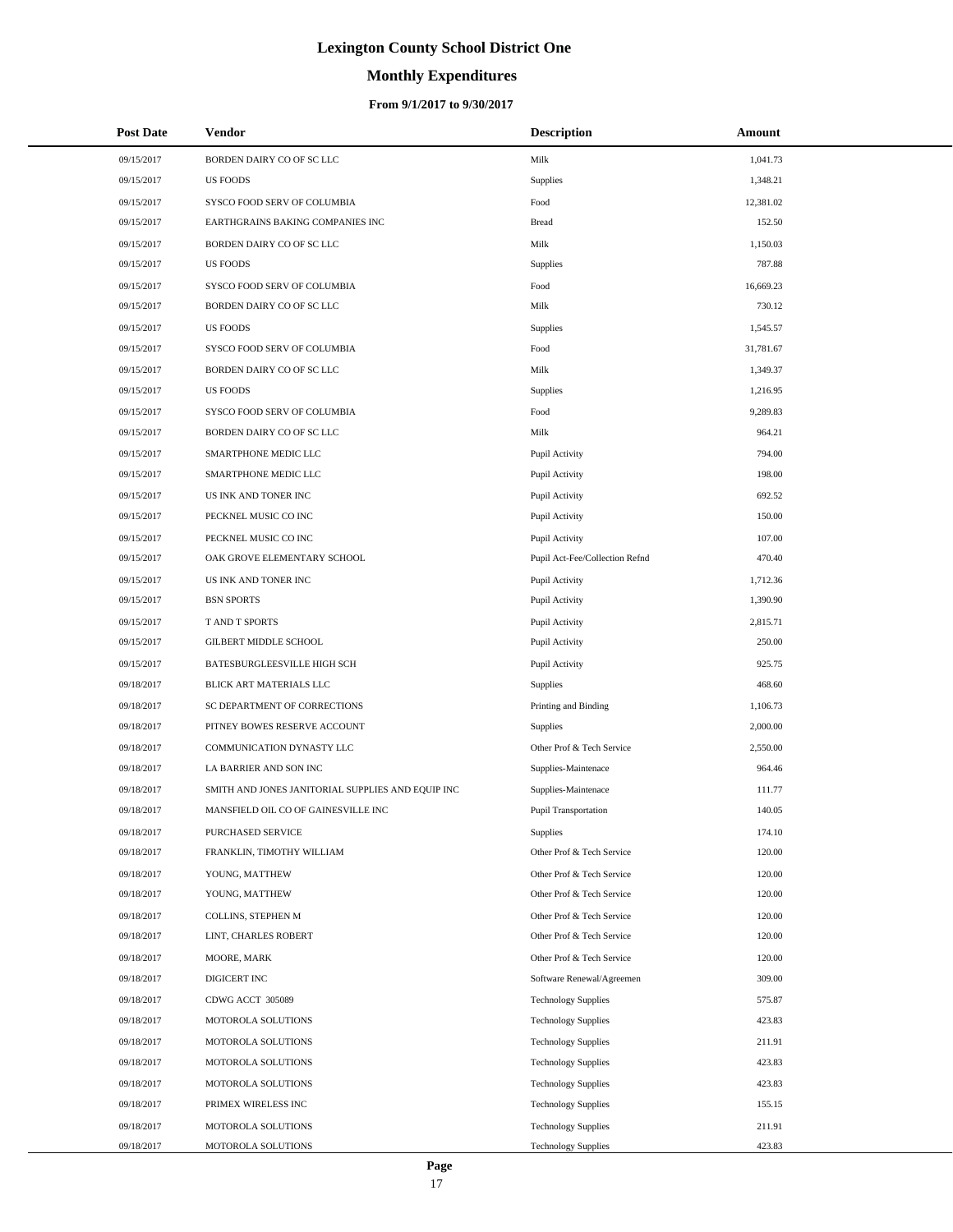# **Monthly Expenditures**

| <b>Post Date</b> | Vendor                                            | <b>Description</b>             | Amount    |
|------------------|---------------------------------------------------|--------------------------------|-----------|
| 09/15/2017       | BORDEN DAIRY CO OF SC LLC                         | Milk                           | 1,041.73  |
| 09/15/2017       | <b>US FOODS</b>                                   | <b>Supplies</b>                | 1,348.21  |
| 09/15/2017       | SYSCO FOOD SERV OF COLUMBIA                       | Food                           | 12,381.02 |
| 09/15/2017       | EARTHGRAINS BAKING COMPANIES INC                  | <b>Bread</b>                   | 152.50    |
| 09/15/2017       | BORDEN DAIRY CO OF SC LLC                         | Milk                           | 1,150.03  |
| 09/15/2017       | <b>US FOODS</b>                                   | <b>Supplies</b>                | 787.88    |
| 09/15/2017       | SYSCO FOOD SERV OF COLUMBIA                       | Food                           | 16,669.23 |
| 09/15/2017       | BORDEN DAIRY CO OF SC LLC                         | Milk                           | 730.12    |
| 09/15/2017       | <b>US FOODS</b>                                   | Supplies                       | 1,545.57  |
| 09/15/2017       | SYSCO FOOD SERV OF COLUMBIA                       | Food                           | 31,781.67 |
| 09/15/2017       | BORDEN DAIRY CO OF SC LLC                         | Milk                           | 1,349.37  |
| 09/15/2017       | <b>US FOODS</b>                                   | <b>Supplies</b>                | 1,216.95  |
| 09/15/2017       | SYSCO FOOD SERV OF COLUMBIA                       | Food                           | 9,289.83  |
| 09/15/2017       | BORDEN DAIRY CO OF SC LLC                         | Milk                           | 964.21    |
| 09/15/2017       | SMARTPHONE MEDIC LLC                              | Pupil Activity                 | 794.00    |
| 09/15/2017       | SMARTPHONE MEDIC LLC                              | Pupil Activity                 | 198.00    |
| 09/15/2017       | US INK AND TONER INC                              | Pupil Activity                 | 692.52    |
| 09/15/2017       | PECKNEL MUSIC CO INC                              | Pupil Activity                 | 150.00    |
| 09/15/2017       | PECKNEL MUSIC CO INC                              | Pupil Activity                 | 107.00    |
| 09/15/2017       | OAK GROVE ELEMENTARY SCHOOL                       | Pupil Act-Fee/Collection Refnd | 470.40    |
| 09/15/2017       | US INK AND TONER INC                              | Pupil Activity                 | 1,712.36  |
| 09/15/2017       | <b>BSN SPORTS</b>                                 | Pupil Activity                 | 1,390.90  |
| 09/15/2017       | T AND T SPORTS                                    | Pupil Activity                 | 2,815.71  |
| 09/15/2017       | GILBERT MIDDLE SCHOOL                             | Pupil Activity                 | 250.00    |
| 09/15/2017       | BATESBURGLEESVILLE HIGH SCH                       | Pupil Activity                 | 925.75    |
| 09/18/2017       | BLICK ART MATERIALS LLC                           | <b>Supplies</b>                | 468.60    |
| 09/18/2017       | SC DEPARTMENT OF CORRECTIONS                      | Printing and Binding           | 1,106.73  |
| 09/18/2017       | PITNEY BOWES RESERVE ACCOUNT                      | <b>Supplies</b>                | 2,000.00  |
| 09/18/2017       | COMMUNICATION DYNASTY LLC                         | Other Prof & Tech Service      | 2,550.00  |
| 09/18/2017       | LA BARRIER AND SON INC                            | Supplies-Maintenace            | 964.46    |
| 09/18/2017       | SMITH AND JONES JANITORIAL SUPPLIES AND EQUIP INC | Supplies-Maintenace            | 111.77    |
| 09/18/2017       | MANSFIELD OIL CO OF GAINESVILLE INC               | Pupil Transportation           | 140.05    |
| 09/18/2017       | PURCHASED SERVICE                                 | <b>Supplies</b>                | 174.10    |
| 09/18/2017       | FRANKLIN, TIMOTHY WILLIAM                         | Other Prof & Tech Service      | 120.00    |
| 09/18/2017       | YOUNG, MATTHEW                                    | Other Prof & Tech Service      | 120.00    |
| 09/18/2017       | YOUNG, MATTHEW                                    | Other Prof & Tech Service      | 120.00    |
| 09/18/2017       | COLLINS, STEPHEN M                                | Other Prof & Tech Service      | 120.00    |
| 09/18/2017       | LINT, CHARLES ROBERT                              | Other Prof & Tech Service      | 120.00    |
| 09/18/2017       | MOORE, MARK                                       | Other Prof & Tech Service      | 120.00    |
| 09/18/2017       | DIGICERT INC                                      | Software Renewal/Agreemen      | 309.00    |
| 09/18/2017       | CDWG ACCT 305089                                  | <b>Technology Supplies</b>     | 575.87    |
| 09/18/2017       | MOTOROLA SOLUTIONS                                | <b>Technology Supplies</b>     | 423.83    |
| 09/18/2017       | MOTOROLA SOLUTIONS                                | <b>Technology Supplies</b>     | 211.91    |
| 09/18/2017       | MOTOROLA SOLUTIONS                                | <b>Technology Supplies</b>     | 423.83    |
| 09/18/2017       | MOTOROLA SOLUTIONS                                | <b>Technology Supplies</b>     | 423.83    |
| 09/18/2017       | PRIMEX WIRELESS INC                               | <b>Technology Supplies</b>     | 155.15    |
| 09/18/2017       | MOTOROLA SOLUTIONS                                | <b>Technology Supplies</b>     | 211.91    |
| 09/18/2017       | MOTOROLA SOLUTIONS                                | <b>Technology Supplies</b>     | 423.83    |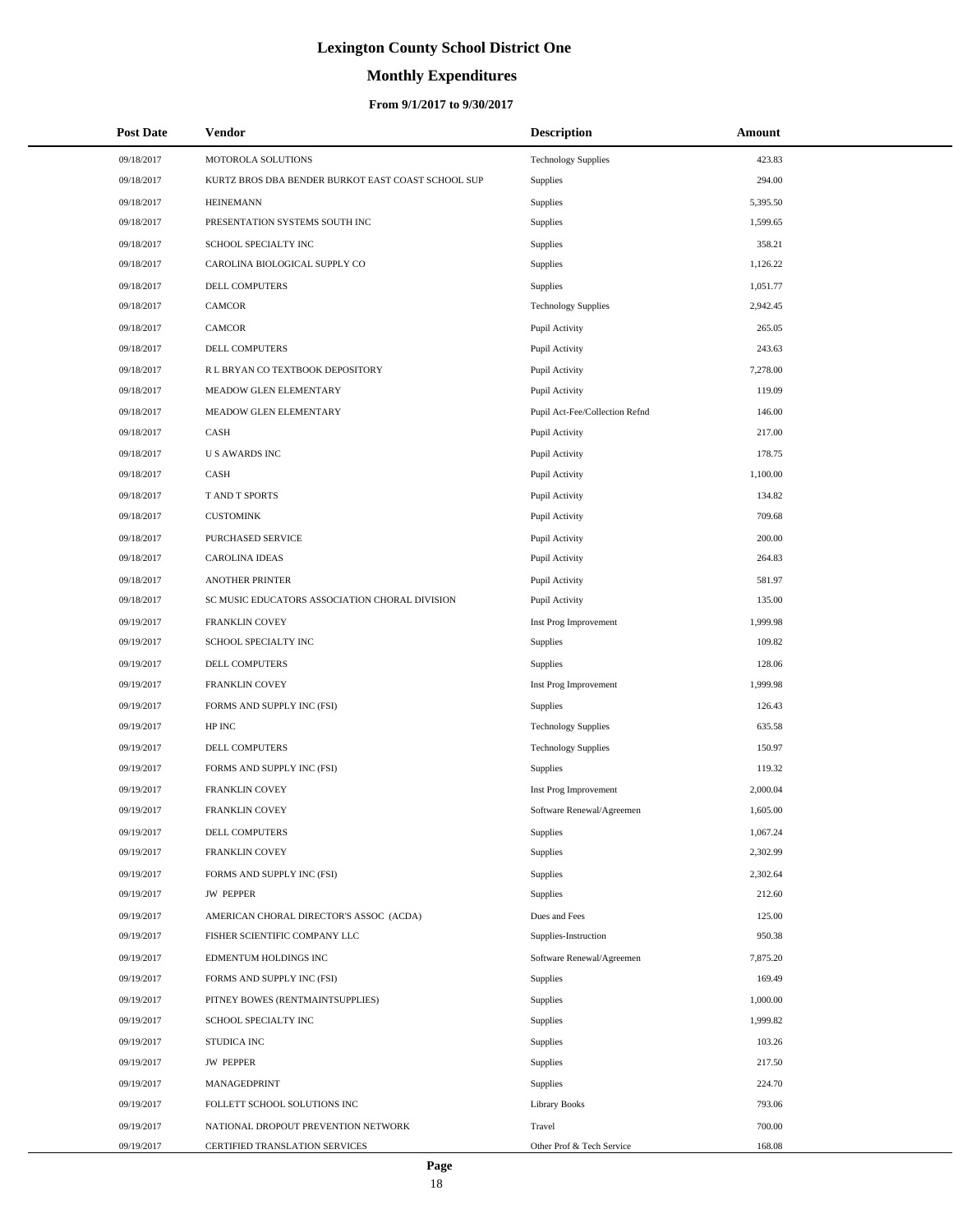# **Monthly Expenditures**

| <b>Post Date</b> | <b>Vendor</b>                                      | <b>Description</b>             | Amount   |
|------------------|----------------------------------------------------|--------------------------------|----------|
| 09/18/2017       | MOTOROLA SOLUTIONS                                 | <b>Technology Supplies</b>     | 423.83   |
| 09/18/2017       | KURTZ BROS DBA BENDER BURKOT EAST COAST SCHOOL SUP | Supplies                       | 294.00   |
| 09/18/2017       | <b>HEINEMANN</b>                                   | Supplies                       | 5,395.50 |
| 09/18/2017       | PRESENTATION SYSTEMS SOUTH INC                     | Supplies                       | 1,599.65 |
| 09/18/2017       | SCHOOL SPECIALTY INC                               | Supplies                       | 358.21   |
| 09/18/2017       | CAROLINA BIOLOGICAL SUPPLY CO                      | Supplies                       | 1,126.22 |
| 09/18/2017       | DELL COMPUTERS                                     | Supplies                       | 1,051.77 |
| 09/18/2017       | <b>CAMCOR</b>                                      | <b>Technology Supplies</b>     | 2,942.45 |
| 09/18/2017       | <b>CAMCOR</b>                                      | Pupil Activity                 | 265.05   |
| 09/18/2017       | DELL COMPUTERS                                     | Pupil Activity                 | 243.63   |
| 09/18/2017       | R L BRYAN CO TEXTBOOK DEPOSITORY                   | Pupil Activity                 | 7,278.00 |
| 09/18/2017       | MEADOW GLEN ELEMENTARY                             | Pupil Activity                 | 119.09   |
| 09/18/2017       | MEADOW GLEN ELEMENTARY                             | Pupil Act-Fee/Collection Refnd | 146.00   |
| 09/18/2017       | CASH                                               | Pupil Activity                 | 217.00   |
| 09/18/2017       | <b>US AWARDS INC</b>                               | Pupil Activity                 | 178.75   |
| 09/18/2017       | CASH                                               | Pupil Activity                 | 1,100.00 |
| 09/18/2017       | T AND T SPORTS                                     | Pupil Activity                 | 134.82   |
| 09/18/2017       | <b>CUSTOMINK</b>                                   | Pupil Activity                 | 709.68   |
| 09/18/2017       | PURCHASED SERVICE                                  | Pupil Activity                 | 200.00   |
| 09/18/2017       | <b>CAROLINA IDEAS</b>                              | Pupil Activity                 | 264.83   |
| 09/18/2017       | <b>ANOTHER PRINTER</b>                             | Pupil Activity                 | 581.97   |
| 09/18/2017       | SC MUSIC EDUCATORS ASSOCIATION CHORAL DIVISION     | Pupil Activity                 | 135.00   |
| 09/19/2017       | FRANKLIN COVEY                                     | Inst Prog Improvement          | 1,999.98 |
| 09/19/2017       | SCHOOL SPECIALTY INC                               | Supplies                       | 109.82   |
| 09/19/2017       | DELL COMPUTERS                                     | Supplies                       | 128.06   |
| 09/19/2017       | FRANKLIN COVEY                                     | Inst Prog Improvement          | 1,999.98 |
| 09/19/2017       | FORMS AND SUPPLY INC (FSI)                         | Supplies                       | 126.43   |
| 09/19/2017       | HP INC                                             | <b>Technology Supplies</b>     | 635.58   |
| 09/19/2017       | DELL COMPUTERS                                     | <b>Technology Supplies</b>     | 150.97   |
| 09/19/2017       | FORMS AND SUPPLY INC (FSI)                         | Supplies                       | 119.32   |
| 09/19/2017       | FRANKLIN COVEY                                     | Inst Prog Improvement          | 2,000.04 |
| 09/19/2017       | FRANKLIN COVEY                                     | Software Renewal/Agreemen      | 1,605.00 |
| 09/19/2017       | DELL COMPUTERS                                     | Supplies                       | 1,067.24 |
| 09/19/2017       | FRANKLIN COVEY                                     | Supplies                       | 2,302.99 |
| 09/19/2017       | FORMS AND SUPPLY INC (FSI)                         | Supplies                       | 2,302.64 |
| 09/19/2017       | <b>JW PEPPER</b>                                   | Supplies                       | 212.60   |
| 09/19/2017       | AMERICAN CHORAL DIRECTOR'S ASSOC (ACDA)            | Dues and Fees                  | 125.00   |
| 09/19/2017       | FISHER SCIENTIFIC COMPANY LLC                      | Supplies-Instruction           | 950.38   |
| 09/19/2017       | EDMENTUM HOLDINGS INC                              | Software Renewal/Agreemen      | 7,875.20 |
| 09/19/2017       | FORMS AND SUPPLY INC (FSI)                         | <b>Supplies</b>                | 169.49   |
| 09/19/2017       | PITNEY BOWES (RENTMAINTSUPPLIES)                   | Supplies                       | 1,000.00 |
| 09/19/2017       | SCHOOL SPECIALTY INC                               | Supplies                       | 1,999.82 |
| 09/19/2017       | STUDICA INC                                        | Supplies                       | 103.26   |
| 09/19/2017       | <b>JW PEPPER</b>                                   | Supplies                       | 217.50   |
| 09/19/2017       | MANAGEDPRINT                                       | Supplies                       | 224.70   |
| 09/19/2017       | FOLLETT SCHOOL SOLUTIONS INC                       | Library Books                  | 793.06   |
| 09/19/2017       | NATIONAL DROPOUT PREVENTION NETWORK                | Travel                         | 700.00   |
| 09/19/2017       | CERTIFIED TRANSLATION SERVICES                     | Other Prof & Tech Service      | 168.08   |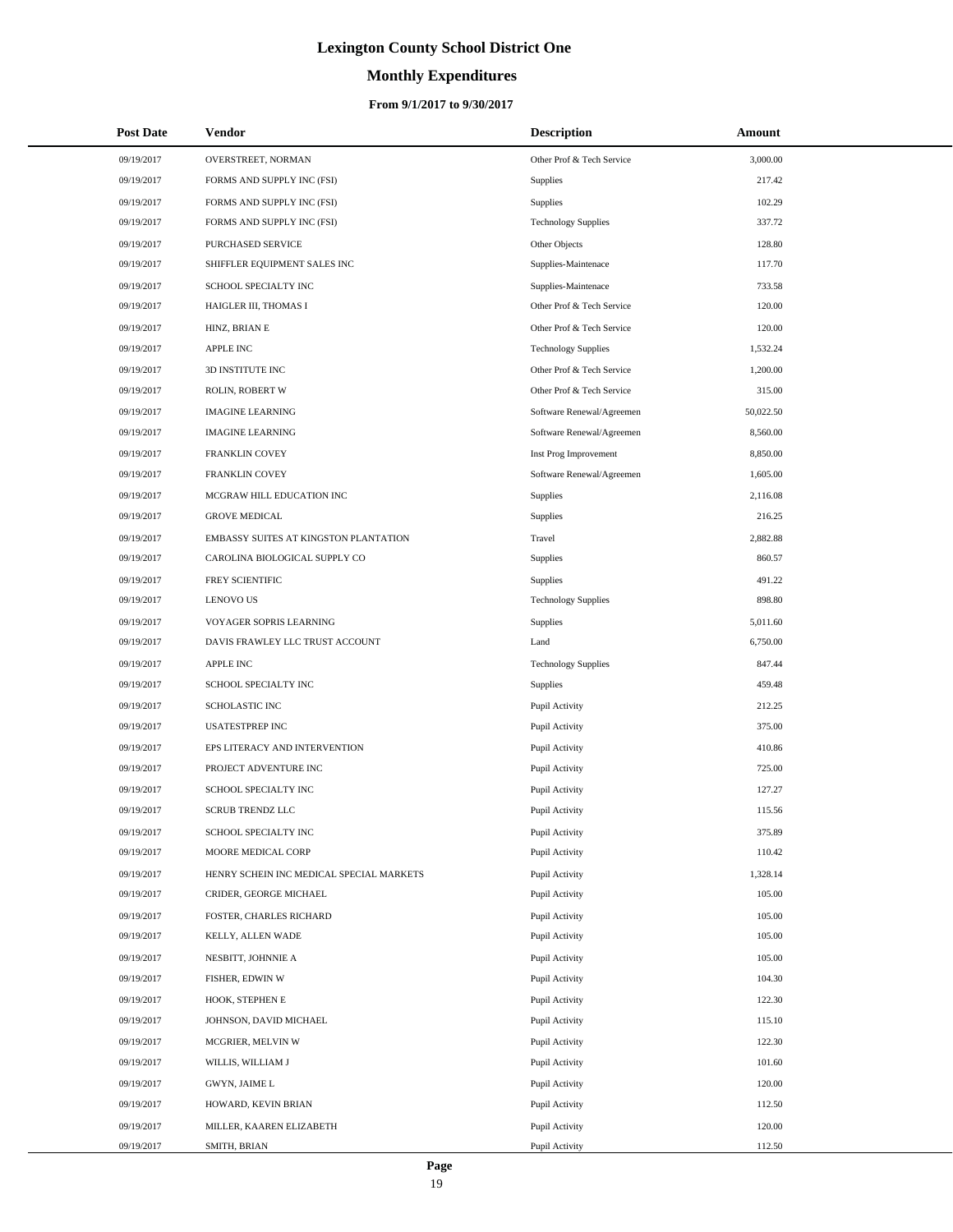# **Monthly Expenditures**

### **From 9/1/2017 to 9/30/2017**

| <b>Post Date</b> | Vendor                                   | <b>Description</b>         | Amount    |  |
|------------------|------------------------------------------|----------------------------|-----------|--|
| 09/19/2017       | OVERSTREET, NORMAN                       | Other Prof & Tech Service  | 3,000.00  |  |
| 09/19/2017       | FORMS AND SUPPLY INC (FSI)               | <b>Supplies</b>            | 217.42    |  |
| 09/19/2017       | FORMS AND SUPPLY INC (FSI)               | Supplies                   | 102.29    |  |
| 09/19/2017       | FORMS AND SUPPLY INC (FSI)               | <b>Technology Supplies</b> | 337.72    |  |
| 09/19/2017       | PURCHASED SERVICE                        | Other Objects              | 128.80    |  |
| 09/19/2017       | SHIFFLER EQUIPMENT SALES INC             | Supplies-Maintenace        | 117.70    |  |
| 09/19/2017       | SCHOOL SPECIALTY INC                     | Supplies-Maintenace        | 733.58    |  |
| 09/19/2017       | HAIGLER III, THOMAS I                    | Other Prof & Tech Service  | 120.00    |  |
| 09/19/2017       | HINZ, BRIAN E                            | Other Prof & Tech Service  | 120.00    |  |
| 09/19/2017       | <b>APPLE INC</b>                         | <b>Technology Supplies</b> | 1,532.24  |  |
| 09/19/2017       | 3D INSTITUTE INC                         | Other Prof & Tech Service  | 1,200.00  |  |
| 09/19/2017       | ROLIN, ROBERT W                          | Other Prof & Tech Service  | 315.00    |  |
| 09/19/2017       | <b>IMAGINE LEARNING</b>                  | Software Renewal/Agreemen  | 50,022.50 |  |
| 09/19/2017       | <b>IMAGINE LEARNING</b>                  | Software Renewal/Agreemen  | 8,560.00  |  |
| 09/19/2017       | FRANKLIN COVEY                           | Inst Prog Improvement      | 8,850.00  |  |
| 09/19/2017       | FRANKLIN COVEY                           | Software Renewal/Agreemen  | 1,605.00  |  |
| 09/19/2017       | MCGRAW HILL EDUCATION INC                | <b>Supplies</b>            | 2,116.08  |  |
| 09/19/2017       | <b>GROVE MEDICAL</b>                     | Supplies                   | 216.25    |  |
| 09/19/2017       | EMBASSY SUITES AT KINGSTON PLANTATION    | Travel                     | 2,882.88  |  |
| 09/19/2017       | CAROLINA BIOLOGICAL SUPPLY CO            | Supplies                   | 860.57    |  |
| 09/19/2017       | FREY SCIENTIFIC                          | Supplies                   | 491.22    |  |
| 09/19/2017       | <b>LENOVO US</b>                         | <b>Technology Supplies</b> | 898.80    |  |
| 09/19/2017       | VOYAGER SOPRIS LEARNING                  | Supplies                   | 5,011.60  |  |
| 09/19/2017       | DAVIS FRAWLEY LLC TRUST ACCOUNT          | Land                       | 6,750.00  |  |
| 09/19/2017       | <b>APPLE INC</b>                         | <b>Technology Supplies</b> | 847.44    |  |
| 09/19/2017       | SCHOOL SPECIALTY INC                     | <b>Supplies</b>            | 459.48    |  |
| 09/19/2017       | <b>SCHOLASTIC INC</b>                    | Pupil Activity             | 212.25    |  |
| 09/19/2017       | <b>USATESTPREP INC</b>                   | Pupil Activity             | 375.00    |  |
| 09/19/2017       | EPS LITERACY AND INTERVENTION            | Pupil Activity             | 410.86    |  |
| 09/19/2017       | PROJECT ADVENTURE INC                    | Pupil Activity             | 725.00    |  |
| 09/19/2017       | SCHOOL SPECIALTY INC                     | Pupil Activity             | 127.27    |  |
| 09/19/2017       | <b>SCRUB TRENDZ LLC</b>                  | Pupil Activity             | 115.56    |  |
| 09/19/2017       | SCHOOL SPECIALTY INC                     | Pupil Activity             | 375.89    |  |
| 09/19/2017       | MOORE MEDICAL CORP                       | Pupil Activity             | 110.42    |  |
| 09/19/2017       | HENRY SCHEIN INC MEDICAL SPECIAL MARKETS | Pupil Activity             | 1,328.14  |  |
| 09/19/2017       | CRIDER, GEORGE MICHAEL                   | Pupil Activity             | 105.00    |  |
| 09/19/2017       | FOSTER, CHARLES RICHARD                  | Pupil Activity             | 105.00    |  |
| 09/19/2017       | KELLY, ALLEN WADE                        | Pupil Activity             | 105.00    |  |
| 09/19/2017       | NESBITT, JOHNNIE A                       | Pupil Activity             | 105.00    |  |
| 09/19/2017       | FISHER, EDWIN W                          | Pupil Activity             | 104.30    |  |
| 09/19/2017       | HOOK, STEPHEN E                          | Pupil Activity             | 122.30    |  |
| 09/19/2017       | JOHNSON, DAVID MICHAEL                   | Pupil Activity             | 115.10    |  |
| 09/19/2017       | MCGRIER, MELVIN W                        | Pupil Activity             | 122.30    |  |
| 09/19/2017       | WILLIS, WILLIAM J                        | Pupil Activity             | 101.60    |  |
| 09/19/2017       | GWYN, JAIME L                            | Pupil Activity             | 120.00    |  |
| 09/19/2017       | HOWARD, KEVIN BRIAN                      | Pupil Activity             | 112.50    |  |
| 09/19/2017       | MILLER, KAAREN ELIZABETH                 | Pupil Activity             | 120.00    |  |
| 09/19/2017       | SMITH, BRIAN                             | Pupil Activity             | 112.50    |  |

L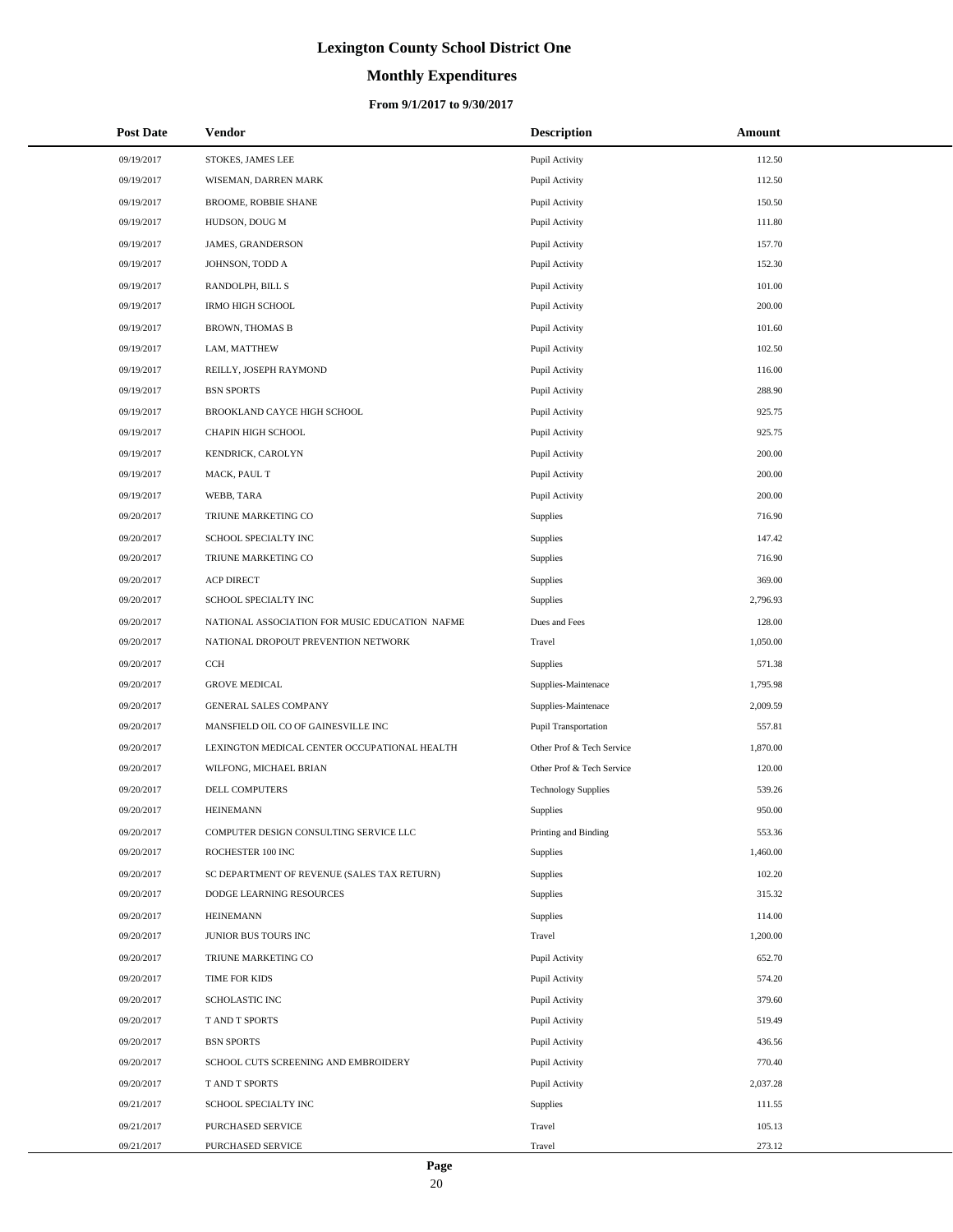# **Monthly Expenditures**

| <b>Post Date</b> | Vendor                                         | <b>Description</b>         | Amount   |
|------------------|------------------------------------------------|----------------------------|----------|
| 09/19/2017       | STOKES, JAMES LEE                              | Pupil Activity             | 112.50   |
| 09/19/2017       | WISEMAN, DARREN MARK                           | Pupil Activity             | 112.50   |
| 09/19/2017       | <b>BROOME, ROBBIE SHANE</b>                    | Pupil Activity             | 150.50   |
| 09/19/2017       | HUDSON, DOUG M                                 | Pupil Activity             | 111.80   |
| 09/19/2017       | JAMES, GRANDERSON                              | Pupil Activity             | 157.70   |
| 09/19/2017       | JOHNSON, TODD A                                | Pupil Activity             | 152.30   |
| 09/19/2017       | RANDOLPH, BILL S                               | Pupil Activity             | 101.00   |
| 09/19/2017       | <b>IRMO HIGH SCHOOL</b>                        | Pupil Activity             | 200.00   |
| 09/19/2017       | <b>BROWN, THOMAS B</b>                         | Pupil Activity             | 101.60   |
| 09/19/2017       | LAM, MATTHEW                                   | Pupil Activity             | 102.50   |
| 09/19/2017       | REILLY, JOSEPH RAYMOND                         | Pupil Activity             | 116.00   |
| 09/19/2017       | <b>BSN SPORTS</b>                              | Pupil Activity             | 288.90   |
| 09/19/2017       | BROOKLAND CAYCE HIGH SCHOOL                    | Pupil Activity             | 925.75   |
| 09/19/2017       | CHAPIN HIGH SCHOOL                             | Pupil Activity             | 925.75   |
| 09/19/2017       | KENDRICK, CAROLYN                              | Pupil Activity             | 200.00   |
| 09/19/2017       | MACK, PAUL T                                   | Pupil Activity             | 200.00   |
| 09/19/2017       | WEBB, TARA                                     | Pupil Activity             | 200.00   |
| 09/20/2017       | TRIUNE MARKETING CO                            | Supplies                   | 716.90   |
| 09/20/2017       | SCHOOL SPECIALTY INC                           | Supplies                   | 147.42   |
| 09/20/2017       | TRIUNE MARKETING CO                            | Supplies                   | 716.90   |
| 09/20/2017       | <b>ACP DIRECT</b>                              | Supplies                   | 369.00   |
| 09/20/2017       | SCHOOL SPECIALTY INC                           | Supplies                   | 2,796.93 |
| 09/20/2017       | NATIONAL ASSOCIATION FOR MUSIC EDUCATION NAFME | Dues and Fees              | 128.00   |
| 09/20/2017       | NATIONAL DROPOUT PREVENTION NETWORK            | Travel                     | 1,050.00 |
| 09/20/2017       | CCH                                            | Supplies                   | 571.38   |
| 09/20/2017       | <b>GROVE MEDICAL</b>                           | Supplies-Maintenace        | 1,795.98 |
| 09/20/2017       | <b>GENERAL SALES COMPANY</b>                   | Supplies-Maintenace        | 2,009.59 |
| 09/20/2017       | MANSFIELD OIL CO OF GAINESVILLE INC            | Pupil Transportation       | 557.81   |
| 09/20/2017       | LEXINGTON MEDICAL CENTER OCCUPATIONAL HEALTH   | Other Prof & Tech Service  | 1,870.00 |
| 09/20/2017       | WILFONG, MICHAEL BRIAN                         | Other Prof & Tech Service  | 120.00   |
| 09/20/2017       | DELL COMPUTERS                                 | <b>Technology Supplies</b> | 539.26   |
| 09/20/2017       | <b>HEINEMANN</b>                               | Supplies                   | 950.00   |
| 09/20/2017       | COMPUTER DESIGN CONSULTING SERVICE LLC         | Printing and Binding       | 553.36   |
| 09/20/2017       | ROCHESTER 100 INC                              | Supplies                   | 1,460.00 |
| 09/20/2017       | SC DEPARTMENT OF REVENUE (SALES TAX RETURN)    | Supplies                   | 102.20   |
| 09/20/2017       | DODGE LEARNING RESOURCES                       | Supplies                   | 315.32   |
| 09/20/2017       | <b>HEINEMANN</b>                               | Supplies                   | 114.00   |
| 09/20/2017       | JUNIOR BUS TOURS INC                           | Travel                     | 1,200.00 |
| 09/20/2017       | TRIUNE MARKETING CO                            | Pupil Activity             | 652.70   |
| 09/20/2017       | TIME FOR KIDS                                  | Pupil Activity             | 574.20   |
| 09/20/2017       | SCHOLASTIC INC                                 | Pupil Activity             | 379.60   |
| 09/20/2017       | T AND T SPORTS                                 | Pupil Activity             | 519.49   |
| 09/20/2017       | <b>BSN SPORTS</b>                              | Pupil Activity             | 436.56   |
| 09/20/2017       | SCHOOL CUTS SCREENING AND EMBROIDERY           | Pupil Activity             | 770.40   |
| 09/20/2017       | T AND T SPORTS                                 | Pupil Activity             | 2,037.28 |
| 09/21/2017       | SCHOOL SPECIALTY INC                           | Supplies                   | 111.55   |
| 09/21/2017       | PURCHASED SERVICE                              | Travel                     | 105.13   |
| 09/21/2017       | PURCHASED SERVICE                              | Travel                     | 273.12   |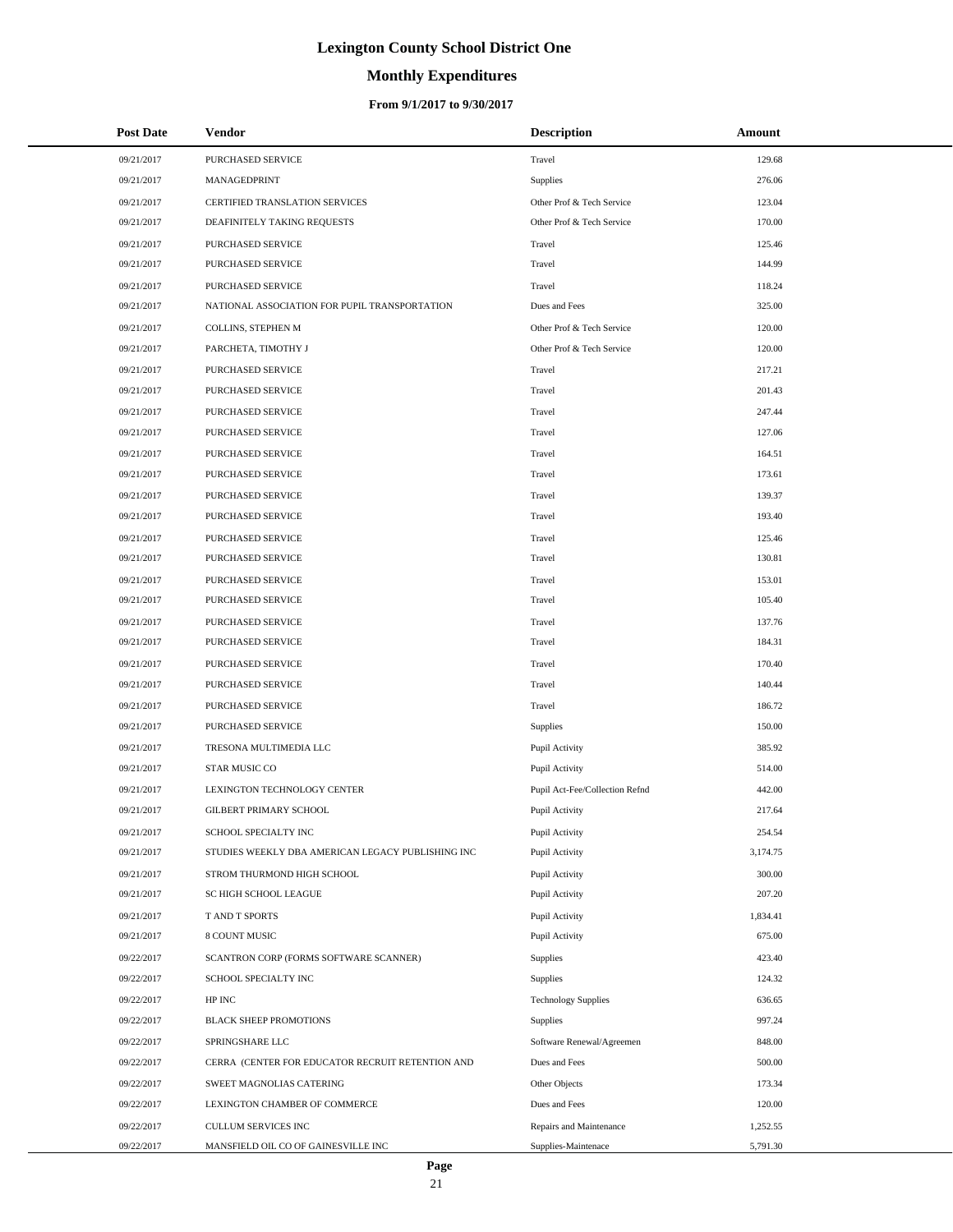# **Monthly Expenditures**

### **From 9/1/2017 to 9/30/2017**

| <b>Post Date</b> | Vendor                                            | <b>Description</b>             | Amount   |
|------------------|---------------------------------------------------|--------------------------------|----------|
| 09/21/2017       | PURCHASED SERVICE                                 | Travel                         | 129.68   |
| 09/21/2017       | MANAGEDPRINT                                      | Supplies                       | 276.06   |
| 09/21/2017       | <b>CERTIFIED TRANSLATION SERVICES</b>             | Other Prof & Tech Service      | 123.04   |
| 09/21/2017       | DEAFINITELY TAKING REQUESTS                       | Other Prof & Tech Service      | 170.00   |
| 09/21/2017       | PURCHASED SERVICE                                 | Travel                         | 125.46   |
| 09/21/2017       | PURCHASED SERVICE                                 | Travel                         | 144.99   |
| 09/21/2017       | PURCHASED SERVICE                                 | Travel                         | 118.24   |
| 09/21/2017       | NATIONAL ASSOCIATION FOR PUPIL TRANSPORTATION     | Dues and Fees                  | 325.00   |
| 09/21/2017       | COLLINS, STEPHEN M                                | Other Prof & Tech Service      | 120.00   |
| 09/21/2017       | PARCHETA, TIMOTHY J                               | Other Prof & Tech Service      | 120.00   |
| 09/21/2017       | PURCHASED SERVICE                                 | Travel                         | 217.21   |
| 09/21/2017       | PURCHASED SERVICE                                 | Travel                         | 201.43   |
| 09/21/2017       | PURCHASED SERVICE                                 | Travel                         | 247.44   |
| 09/21/2017       | PURCHASED SERVICE                                 | Travel                         | 127.06   |
| 09/21/2017       | PURCHASED SERVICE                                 | Travel                         | 164.51   |
| 09/21/2017       | PURCHASED SERVICE                                 | Travel                         | 173.61   |
| 09/21/2017       | PURCHASED SERVICE                                 | Travel                         | 139.37   |
| 09/21/2017       | PURCHASED SERVICE                                 | Travel                         | 193.40   |
| 09/21/2017       | PURCHASED SERVICE                                 | Travel                         | 125.46   |
| 09/21/2017       | PURCHASED SERVICE                                 | Travel                         | 130.81   |
| 09/21/2017       | PURCHASED SERVICE                                 | Travel                         | 153.01   |
| 09/21/2017       | PURCHASED SERVICE                                 | Travel                         | 105.40   |
| 09/21/2017       | PURCHASED SERVICE                                 | Travel                         | 137.76   |
| 09/21/2017       | PURCHASED SERVICE                                 | Travel                         | 184.31   |
| 09/21/2017       | PURCHASED SERVICE                                 | Travel                         | 170.40   |
| 09/21/2017       | PURCHASED SERVICE                                 | Travel                         | 140.44   |
| 09/21/2017       | PURCHASED SERVICE                                 | Travel                         | 186.72   |
| 09/21/2017       | PURCHASED SERVICE                                 | Supplies                       | 150.00   |
| 09/21/2017       | TRESONA MULTIMEDIA LLC                            | Pupil Activity                 | 385.92   |
| 09/21/2017       | STAR MUSIC CO                                     | Pupil Activity                 | 514.00   |
| 09/21/2017       | LEXINGTON TECHNOLOGY CENTER                       | Pupil Act-Fee/Collection Refnd | 442.00   |
| 09/21/2017       | GILBERT PRIMARY SCHOOL                            | Pupil Activity                 | 217.64   |
| 09/21/2017       | SCHOOL SPECIALTY INC                              | Pupil Activity                 | 254.54   |
| 09/21/2017       | STUDIES WEEKLY DBA AMERICAN LEGACY PUBLISHING INC | Pupil Activity                 | 3,174.75 |
| 09/21/2017       | STROM THURMOND HIGH SCHOOL                        | Pupil Activity                 | 300.00   |
| 09/21/2017       | SC HIGH SCHOOL LEAGUE                             | Pupil Activity                 | 207.20   |
| 09/21/2017       | T AND T SPORTS                                    | Pupil Activity                 | 1,834.41 |
| 09/21/2017       | 8 COUNT MUSIC                                     | Pupil Activity                 | 675.00   |
| 09/22/2017       | SCANTRON CORP (FORMS SOFTWARE SCANNER)            | Supplies                       | 423.40   |
| 09/22/2017       | SCHOOL SPECIALTY INC                              | Supplies                       | 124.32   |
| 09/22/2017       | ${\rm HP}$ INC                                    | <b>Technology Supplies</b>     | 636.65   |
| 09/22/2017       | <b>BLACK SHEEP PROMOTIONS</b>                     | Supplies                       | 997.24   |
| 09/22/2017       | SPRINGSHARE LLC                                   | Software Renewal/Agreemen      | 848.00   |
| 09/22/2017       | CERRA (CENTER FOR EDUCATOR RECRUIT RETENTION AND  | Dues and Fees                  | 500.00   |
| 09/22/2017       | SWEET MAGNOLIAS CATERING                          | Other Objects                  | 173.34   |
| 09/22/2017       | LEXINGTON CHAMBER OF COMMERCE                     | Dues and Fees                  | 120.00   |
| 09/22/2017       | CULLUM SERVICES INC                               | Repairs and Maintenance        | 1,252.55 |
| 09/22/2017       | MANSFIELD OIL CO OF GAINESVILLE INC               | Supplies-Maintenace            | 5,791.30 |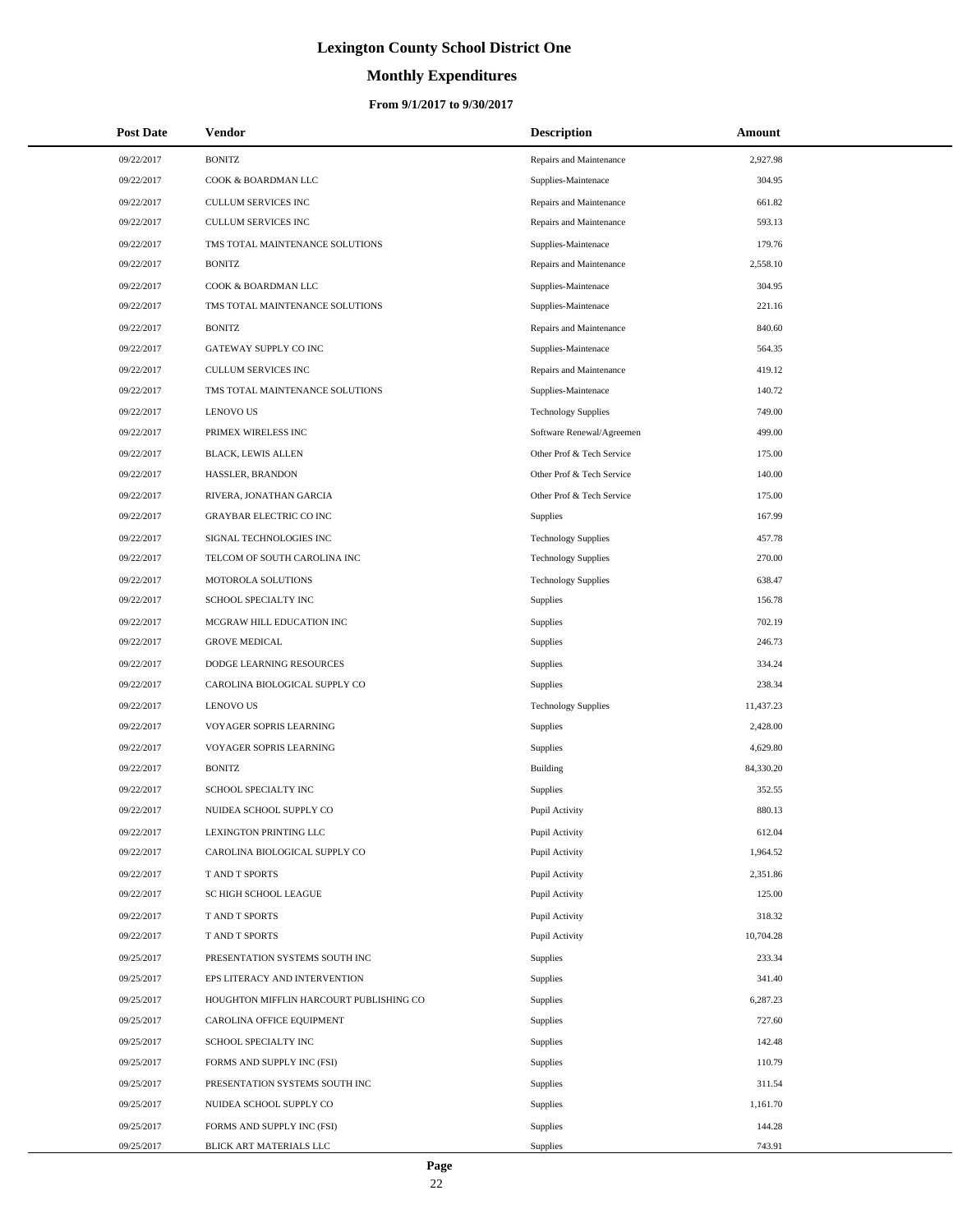# **Monthly Expenditures**

| <b>Post Date</b> | Vendor                                  | <b>Description</b>         | Amount    |
|------------------|-----------------------------------------|----------------------------|-----------|
| 09/22/2017       | <b>BONITZ</b>                           | Repairs and Maintenance    | 2,927.98  |
| 09/22/2017       | COOK & BOARDMAN LLC                     | Supplies-Maintenace        | 304.95    |
| 09/22/2017       | CULLUM SERVICES INC                     | Repairs and Maintenance    | 661.82    |
| 09/22/2017       | CULLUM SERVICES INC                     | Repairs and Maintenance    | 593.13    |
| 09/22/2017       | TMS TOTAL MAINTENANCE SOLUTIONS         | Supplies-Maintenace        | 179.76    |
| 09/22/2017       | <b>BONITZ</b>                           | Repairs and Maintenance    | 2,558.10  |
| 09/22/2017       | COOK & BOARDMAN LLC                     | Supplies-Maintenace        | 304.95    |
| 09/22/2017       | TMS TOTAL MAINTENANCE SOLUTIONS         | Supplies-Maintenace        | 221.16    |
| 09/22/2017       | <b>BONITZ</b>                           | Repairs and Maintenance    | 840.60    |
| 09/22/2017       | GATEWAY SUPPLY CO INC                   | Supplies-Maintenace        | 564.35    |
| 09/22/2017       | CULLUM SERVICES INC                     | Repairs and Maintenance    | 419.12    |
| 09/22/2017       | TMS TOTAL MAINTENANCE SOLUTIONS         | Supplies-Maintenace        | 140.72    |
| 09/22/2017       | <b>LENOVO US</b>                        | <b>Technology Supplies</b> | 749.00    |
| 09/22/2017       | PRIMEX WIRELESS INC                     | Software Renewal/Agreemen  | 499.00    |
| 09/22/2017       | <b>BLACK, LEWIS ALLEN</b>               | Other Prof & Tech Service  | 175.00    |
| 09/22/2017       | HASSLER, BRANDON                        | Other Prof & Tech Service  | 140.00    |
| 09/22/2017       | RIVERA, JONATHAN GARCIA                 | Other Prof & Tech Service  | 175.00    |
| 09/22/2017       | GRAYBAR ELECTRIC CO INC                 | <b>Supplies</b>            | 167.99    |
| 09/22/2017       | SIGNAL TECHNOLOGIES INC                 | <b>Technology Supplies</b> | 457.78    |
| 09/22/2017       | TELCOM OF SOUTH CAROLINA INC            | <b>Technology Supplies</b> | 270.00    |
| 09/22/2017       | MOTOROLA SOLUTIONS                      | <b>Technology Supplies</b> | 638.47    |
| 09/22/2017       | SCHOOL SPECIALTY INC                    | Supplies                   | 156.78    |
| 09/22/2017       | MCGRAW HILL EDUCATION INC               | <b>Supplies</b>            | 702.19    |
| 09/22/2017       | <b>GROVE MEDICAL</b>                    | Supplies                   | 246.73    |
| 09/22/2017       | DODGE LEARNING RESOURCES                | <b>Supplies</b>            | 334.24    |
| 09/22/2017       | CAROLINA BIOLOGICAL SUPPLY CO           | <b>Supplies</b>            | 238.34    |
| 09/22/2017       | <b>LENOVO US</b>                        | <b>Technology Supplies</b> | 11,437.23 |
| 09/22/2017       | VOYAGER SOPRIS LEARNING                 | <b>Supplies</b>            | 2,428.00  |
| 09/22/2017       | VOYAGER SOPRIS LEARNING                 | Supplies                   | 4,629.80  |
| 09/22/2017       | <b>BONITZ</b>                           | Building                   | 84,330.20 |
| 09/22/2017       | SCHOOL SPECIALTY INC                    | Supplies                   | 352.55    |
| 09/22/2017       | NUIDEA SCHOOL SUPPLY CO                 | Pupil Activity             | 880.13    |
| 09/22/2017       | LEXINGTON PRINTING LLC                  | Pupil Activity             | 612.04    |
| 09/22/2017       | CAROLINA BIOLOGICAL SUPPLY CO           | Pupil Activity             | 1,964.52  |
| 09/22/2017       | T AND T SPORTS                          | Pupil Activity             | 2,351.86  |
| 09/22/2017       | SC HIGH SCHOOL LEAGUE                   | Pupil Activity             | 125.00    |
| 09/22/2017       | T AND T SPORTS                          | Pupil Activity             | 318.32    |
| 09/22/2017       | T AND T SPORTS                          | Pupil Activity             | 10,704.28 |
| 09/25/2017       | PRESENTATION SYSTEMS SOUTH INC          | <b>Supplies</b>            | 233.34    |
| 09/25/2017       | EPS LITERACY AND INTERVENTION           | Supplies                   | 341.40    |
| 09/25/2017       | HOUGHTON MIFFLIN HARCOURT PUBLISHING CO | Supplies                   | 6,287.23  |
| 09/25/2017       | CAROLINA OFFICE EQUIPMENT               | Supplies                   | 727.60    |
| 09/25/2017       | SCHOOL SPECIALTY INC                    | <b>Supplies</b>            | 142.48    |
| 09/25/2017       | FORMS AND SUPPLY INC (FSI)              | Supplies                   | 110.79    |
| 09/25/2017       | PRESENTATION SYSTEMS SOUTH INC          | <b>Supplies</b>            | 311.54    |
| 09/25/2017       | NUIDEA SCHOOL SUPPLY CO                 | Supplies                   | 1,161.70  |
| 09/25/2017       | FORMS AND SUPPLY INC (FSI)              | Supplies                   | 144.28    |
| 09/25/2017       | BLICK ART MATERIALS LLC                 | Supplies                   | 743.91    |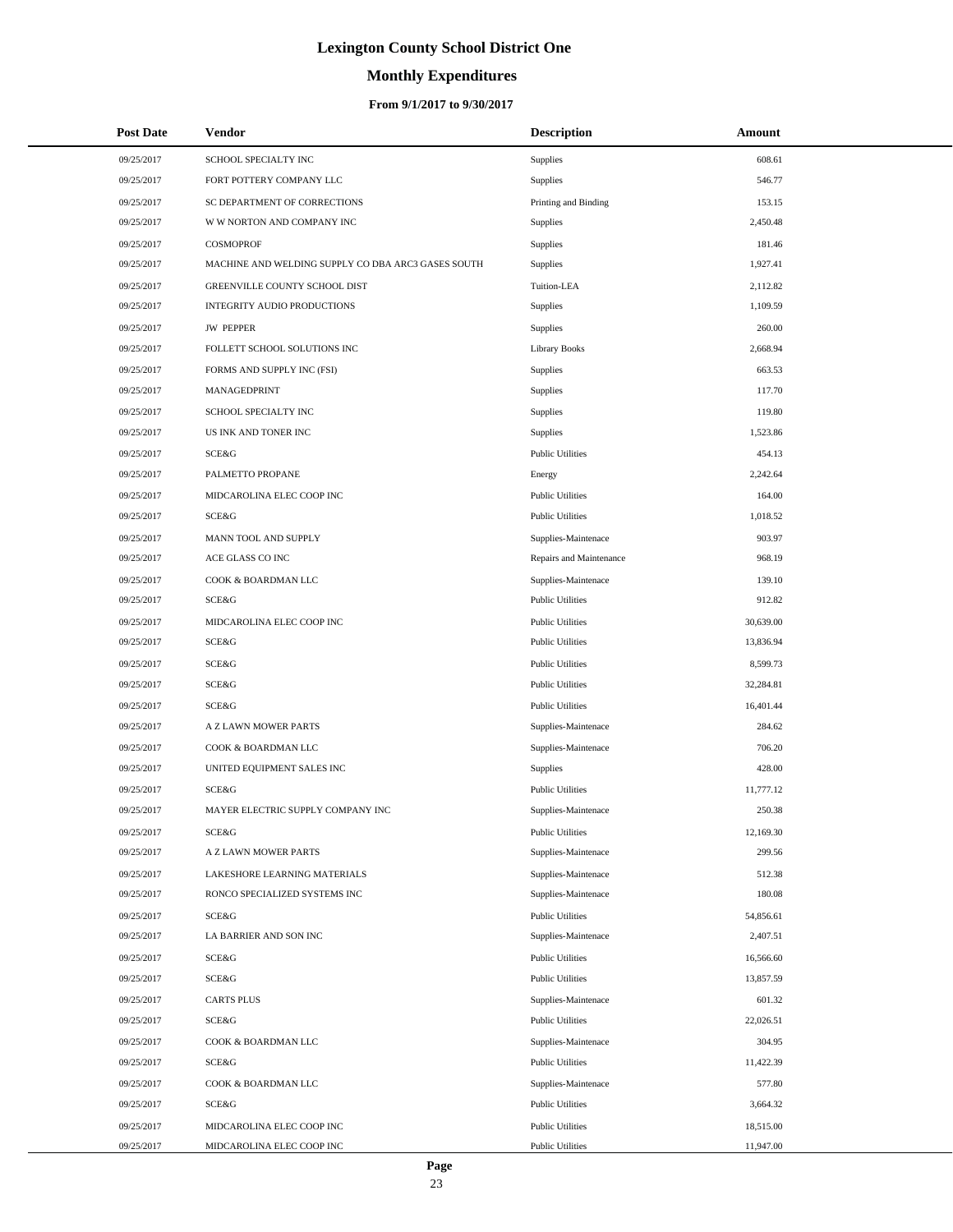# **Monthly Expenditures**

### **From 9/1/2017 to 9/30/2017**

| <b>Post Date</b> | Vendor                                             | <b>Description</b>      | Amount    |
|------------------|----------------------------------------------------|-------------------------|-----------|
| 09/25/2017       | SCHOOL SPECIALTY INC                               | Supplies                | 608.61    |
| 09/25/2017       | FORT POTTERY COMPANY LLC                           | Supplies                | 546.77    |
| 09/25/2017       | SC DEPARTMENT OF CORRECTIONS                       | Printing and Binding    | 153.15    |
| 09/25/2017       | W W NORTON AND COMPANY INC                         | Supplies                | 2,450.48  |
| 09/25/2017       | COSMOPROF                                          | Supplies                | 181.46    |
| 09/25/2017       | MACHINE AND WELDING SUPPLY CO DBA ARC3 GASES SOUTH | Supplies                | 1,927.41  |
| 09/25/2017       | GREENVILLE COUNTY SCHOOL DIST                      | Tuition-LEA             | 2,112.82  |
| 09/25/2017       | <b>INTEGRITY AUDIO PRODUCTIONS</b>                 | Supplies                | 1,109.59  |
| 09/25/2017       | <b>JW PEPPER</b>                                   | Supplies                | 260.00    |
| 09/25/2017       | FOLLETT SCHOOL SOLUTIONS INC                       | <b>Library Books</b>    | 2,668.94  |
| 09/25/2017       | FORMS AND SUPPLY INC (FSI)                         | Supplies                | 663.53    |
| 09/25/2017       | MANAGEDPRINT                                       | Supplies                | 117.70    |
| 09/25/2017       | SCHOOL SPECIALTY INC                               | Supplies                | 119.80    |
| 09/25/2017       | US INK AND TONER INC                               | Supplies                | 1,523.86  |
| 09/25/2017       | SCE&G                                              | <b>Public Utilities</b> | 454.13    |
| 09/25/2017       | PALMETTO PROPANE                                   | Energy                  | 2,242.64  |
| 09/25/2017       | MIDCAROLINA ELEC COOP INC                          | <b>Public Utilities</b> | 164.00    |
| 09/25/2017       | SCE&G                                              | <b>Public Utilities</b> | 1,018.52  |
| 09/25/2017       | MANN TOOL AND SUPPLY                               | Supplies-Maintenace     | 903.97    |
| 09/25/2017       | ACE GLASS CO INC                                   | Repairs and Maintenance | 968.19    |
| 09/25/2017       | COOK & BOARDMAN LLC                                | Supplies-Maintenace     | 139.10    |
| 09/25/2017       | SCE&G                                              | <b>Public Utilities</b> | 912.82    |
| 09/25/2017       | MIDCAROLINA ELEC COOP INC                          | <b>Public Utilities</b> | 30,639.00 |
| 09/25/2017       | SCE&G                                              | <b>Public Utilities</b> | 13,836.94 |
| 09/25/2017       | SCE&G                                              | <b>Public Utilities</b> | 8,599.73  |
| 09/25/2017       | SCE&G                                              | <b>Public Utilities</b> | 32,284.81 |
| 09/25/2017       | <b>SCE&amp;G</b>                                   | <b>Public Utilities</b> | 16,401.44 |
| 09/25/2017       | A Z LAWN MOWER PARTS                               | Supplies-Maintenace     | 284.62    |
| 09/25/2017       | COOK & BOARDMAN LLC                                | Supplies-Maintenace     | 706.20    |
| 09/25/2017       | UNITED EQUIPMENT SALES INC                         | Supplies                | 428.00    |
| 09/25/2017       | SCE&G                                              | <b>Public Utilities</b> | 11,777.12 |
| 09/25/2017       | MAYER ELECTRIC SUPPLY COMPANY INC                  | Supplies-Maintenace     | 250.38    |
| 09/25/2017       | SCE&G                                              | <b>Public Utilities</b> | 12,169.30 |
| 09/25/2017       | A Z LAWN MOWER PARTS                               | Supplies-Maintenace     | 299.56    |
| 09/25/2017       | LAKESHORE LEARNING MATERIALS                       | Supplies-Maintenace     | 512.38    |
| 09/25/2017       | RONCO SPECIALIZED SYSTEMS INC                      | Supplies-Maintenace     | 180.08    |
| 09/25/2017       | SCE&G                                              | <b>Public Utilities</b> | 54,856.61 |
| 09/25/2017       | LA BARRIER AND SON INC                             | Supplies-Maintenace     | 2,407.51  |
| 09/25/2017       | SCE&G                                              | <b>Public Utilities</b> | 16,566.60 |
| 09/25/2017       | SCE&G                                              | <b>Public Utilities</b> | 13,857.59 |
| 09/25/2017       | <b>CARTS PLUS</b>                                  | Supplies-Maintenace     | 601.32    |
| 09/25/2017       | SCE&G                                              | <b>Public Utilities</b> | 22,026.51 |
| 09/25/2017       | COOK & BOARDMAN LLC                                | Supplies-Maintenace     | 304.95    |
| 09/25/2017       | SCE&G                                              | <b>Public Utilities</b> | 11,422.39 |
| 09/25/2017       | COOK & BOARDMAN LLC                                | Supplies-Maintenace     | 577.80    |
| 09/25/2017       | SCE&G                                              | <b>Public Utilities</b> | 3,664.32  |
| 09/25/2017       | MIDCAROLINA ELEC COOP INC                          | <b>Public Utilities</b> | 18,515.00 |
| 09/25/2017       | MIDCAROLINA ELEC COOP INC                          | <b>Public Utilities</b> | 11,947.00 |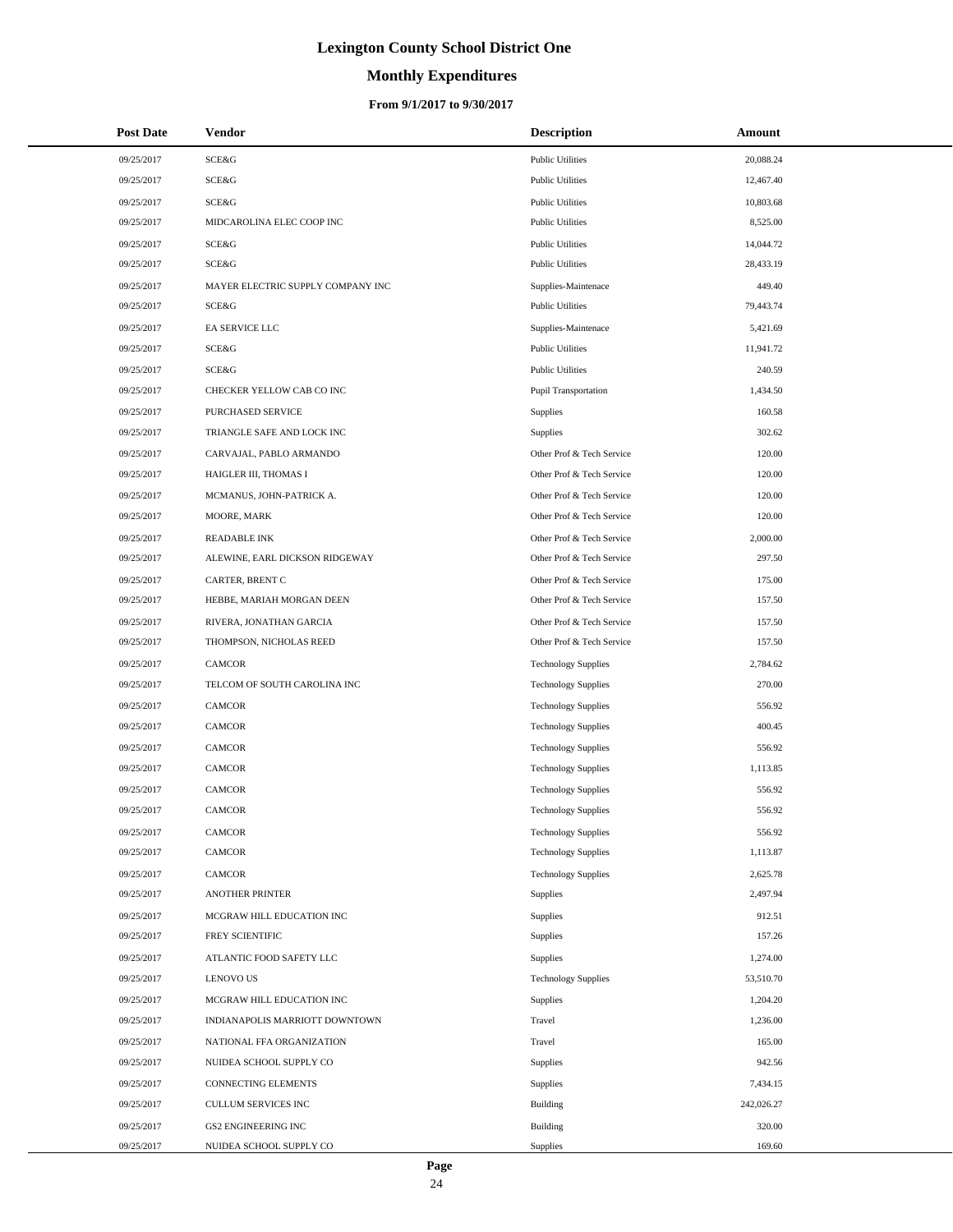# **Monthly Expenditures**

| <b>Post Date</b> | Vendor                            | <b>Description</b>         | Amount     |
|------------------|-----------------------------------|----------------------------|------------|
| 09/25/2017       | SCE&G                             | <b>Public Utilities</b>    | 20,088.24  |
| 09/25/2017       | SCE&G                             | <b>Public Utilities</b>    | 12,467.40  |
| 09/25/2017       | SCE&G                             | <b>Public Utilities</b>    | 10,803.68  |
| 09/25/2017       | MIDCAROLINA ELEC COOP INC         | <b>Public Utilities</b>    | 8,525.00   |
| 09/25/2017       | SCE&G                             | <b>Public Utilities</b>    | 14,044.72  |
| 09/25/2017       | SCE&G                             | <b>Public Utilities</b>    | 28,433.19  |
| 09/25/2017       | MAYER ELECTRIC SUPPLY COMPANY INC | Supplies-Maintenace        | 449.40     |
| 09/25/2017       | SCE&G                             | <b>Public Utilities</b>    | 79,443.74  |
| 09/25/2017       | EA SERVICE LLC                    | Supplies-Maintenace        | 5,421.69   |
| 09/25/2017       | SCE&G                             | <b>Public Utilities</b>    | 11,941.72  |
| 09/25/2017       | SCE&G                             | <b>Public Utilities</b>    | 240.59     |
| 09/25/2017       | CHECKER YELLOW CAB CO INC         | Pupil Transportation       | 1,434.50   |
| 09/25/2017       | PURCHASED SERVICE                 | Supplies                   | 160.58     |
| 09/25/2017       | TRIANGLE SAFE AND LOCK INC        | <b>Supplies</b>            | 302.62     |
| 09/25/2017       | CARVAJAL, PABLO ARMANDO           | Other Prof & Tech Service  | 120.00     |
| 09/25/2017       | HAIGLER III, THOMAS I             | Other Prof & Tech Service  | 120.00     |
| 09/25/2017       | MCMANUS, JOHN-PATRICK A.          | Other Prof & Tech Service  | 120.00     |
| 09/25/2017       | MOORE, MARK                       | Other Prof & Tech Service  | 120.00     |
| 09/25/2017       | <b>READABLE INK</b>               | Other Prof & Tech Service  | 2,000.00   |
| 09/25/2017       | ALEWINE, EARL DICKSON RIDGEWAY    | Other Prof & Tech Service  | 297.50     |
| 09/25/2017       | CARTER, BRENT C                   | Other Prof & Tech Service  | 175.00     |
| 09/25/2017       | HEBBE, MARIAH MORGAN DEEN         | Other Prof & Tech Service  | 157.50     |
| 09/25/2017       | RIVERA, JONATHAN GARCIA           | Other Prof & Tech Service  | 157.50     |
| 09/25/2017       | THOMPSON, NICHOLAS REED           | Other Prof & Tech Service  | 157.50     |
| 09/25/2017       | <b>CAMCOR</b>                     | <b>Technology Supplies</b> | 2,784.62   |
| 09/25/2017       | TELCOM OF SOUTH CAROLINA INC      | <b>Technology Supplies</b> | 270.00     |
| 09/25/2017       | <b>CAMCOR</b>                     | <b>Technology Supplies</b> | 556.92     |
| 09/25/2017       | <b>CAMCOR</b>                     | <b>Technology Supplies</b> | 400.45     |
| 09/25/2017       | <b>CAMCOR</b>                     | <b>Technology Supplies</b> | 556.92     |
| 09/25/2017       | <b>CAMCOR</b>                     | <b>Technology Supplies</b> | 1,113.85   |
| 09/25/2017       | <b>CAMCOR</b>                     | <b>Technology Supplies</b> | 556.92     |
| 09/25/2017       | <b>CAMCOR</b>                     | <b>Technology Supplies</b> | 556.92     |
| 09/25/2017       | CAMCOR                            | <b>Technology Supplies</b> | 556.92     |
| 09/25/2017       | CAMCOR                            | <b>Technology Supplies</b> | 1,113.87   |
| 09/25/2017       | CAMCOR                            | <b>Technology Supplies</b> | 2,625.78   |
| 09/25/2017       | <b>ANOTHER PRINTER</b>            | Supplies                   | 2,497.94   |
| 09/25/2017       | MCGRAW HILL EDUCATION INC         | Supplies                   | 912.51     |
| 09/25/2017       | FREY SCIENTIFIC                   | Supplies                   | 157.26     |
| 09/25/2017       | ATLANTIC FOOD SAFETY LLC          | Supplies                   | 1,274.00   |
| 09/25/2017       | <b>LENOVO US</b>                  | <b>Technology Supplies</b> | 53,510.70  |
| 09/25/2017       | MCGRAW HILL EDUCATION INC         | Supplies                   | 1,204.20   |
| 09/25/2017       | INDIANAPOLIS MARRIOTT DOWNTOWN    | Travel                     | 1,236.00   |
| 09/25/2017       | NATIONAL FFA ORGANIZATION         | Travel                     | 165.00     |
| 09/25/2017       | NUIDEA SCHOOL SUPPLY CO           | Supplies                   | 942.56     |
| 09/25/2017       | CONNECTING ELEMENTS               | Supplies                   | 7,434.15   |
| 09/25/2017       | CULLUM SERVICES INC               | Building                   | 242,026.27 |
| 09/25/2017       | <b>GS2 ENGINEERING INC</b>        | <b>Building</b>            | 320.00     |
| 09/25/2017       | NUIDEA SCHOOL SUPPLY CO           | <b>Supplies</b>            | 169.60     |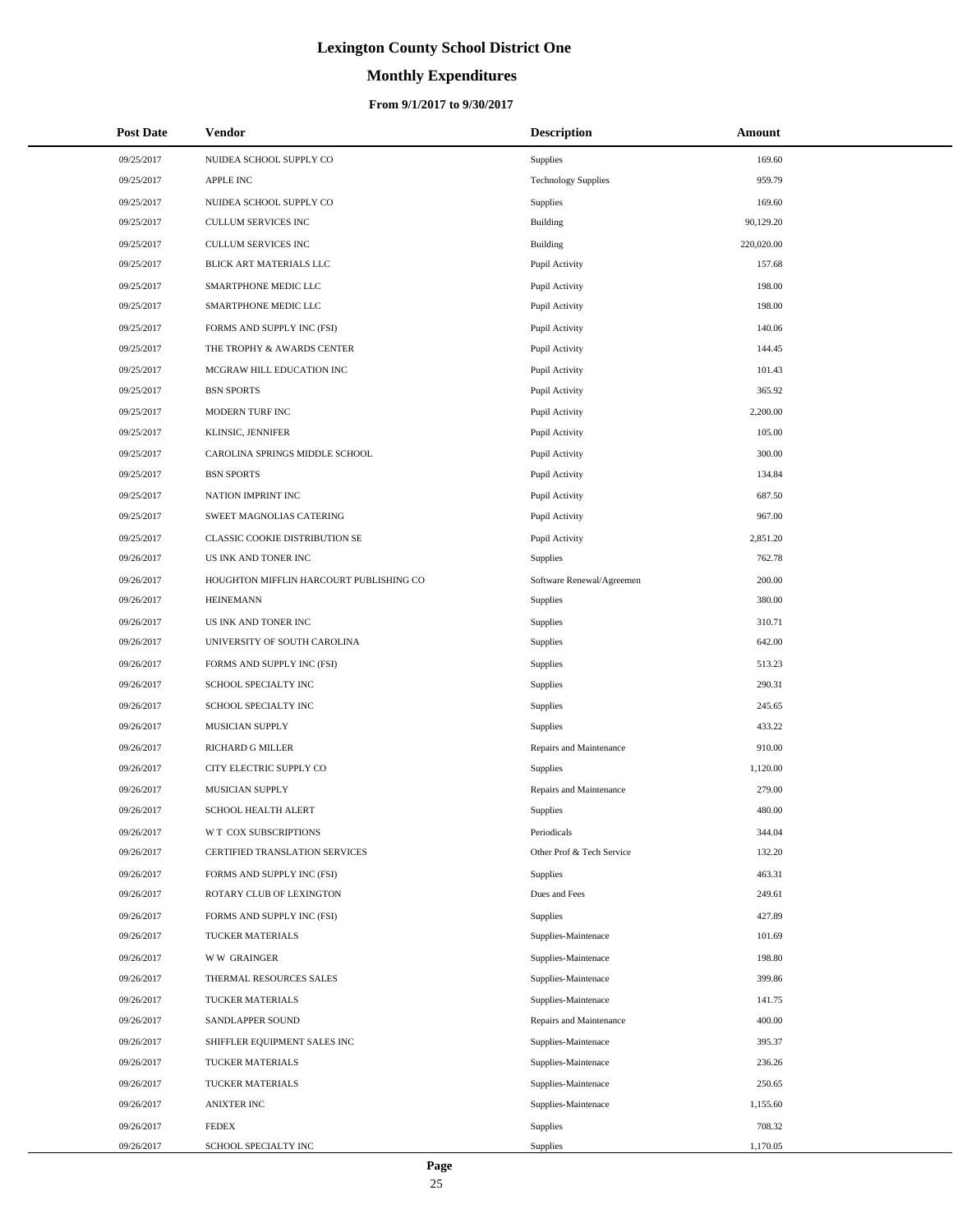# **Monthly Expenditures**

### **From 9/1/2017 to 9/30/2017**

| <b>Post Date</b> | <b>Vendor</b>                           | <b>Description</b>         | Amount     |
|------------------|-----------------------------------------|----------------------------|------------|
| 09/25/2017       | NUIDEA SCHOOL SUPPLY CO                 | Supplies                   | 169.60     |
| 09/25/2017       | <b>APPLE INC</b>                        | <b>Technology Supplies</b> | 959.79     |
| 09/25/2017       | NUIDEA SCHOOL SUPPLY CO                 | <b>Supplies</b>            | 169.60     |
| 09/25/2017       | CULLUM SERVICES INC                     | Building                   | 90,129.20  |
| 09/25/2017       | <b>CULLUM SERVICES INC</b>              | <b>Building</b>            | 220,020.00 |
| 09/25/2017       | BLICK ART MATERIALS LLC                 | Pupil Activity             | 157.68     |
| 09/25/2017       | SMARTPHONE MEDIC LLC                    | Pupil Activity             | 198.00     |
| 09/25/2017       | SMARTPHONE MEDIC LLC                    | Pupil Activity             | 198.00     |
| 09/25/2017       | FORMS AND SUPPLY INC (FSI)              | Pupil Activity             | 140.06     |
| 09/25/2017       | THE TROPHY & AWARDS CENTER              | Pupil Activity             | 144.45     |
| 09/25/2017       | MCGRAW HILL EDUCATION INC               | Pupil Activity             | 101.43     |
| 09/25/2017       | <b>BSN SPORTS</b>                       | Pupil Activity             | 365.92     |
| 09/25/2017       | MODERN TURF INC                         | Pupil Activity             | 2,200.00   |
| 09/25/2017       | KLINSIC, JENNIFER                       | Pupil Activity             | 105.00     |
| 09/25/2017       | CAROLINA SPRINGS MIDDLE SCHOOL          | Pupil Activity             | 300.00     |
| 09/25/2017       | <b>BSN SPORTS</b>                       | Pupil Activity             | 134.84     |
| 09/25/2017       | NATION IMPRINT INC                      | Pupil Activity             | 687.50     |
| 09/25/2017       | SWEET MAGNOLIAS CATERING                | Pupil Activity             | 967.00     |
| 09/25/2017       | <b>CLASSIC COOKIE DISTRIBUTION SE</b>   | Pupil Activity             | 2,851.20   |
| 09/26/2017       | US INK AND TONER INC                    | Supplies                   | 762.78     |
| 09/26/2017       | HOUGHTON MIFFLIN HARCOURT PUBLISHING CO | Software Renewal/Agreemen  | 200.00     |
| 09/26/2017       | <b>HEINEMANN</b>                        | Supplies                   | 380.00     |
| 09/26/2017       | US INK AND TONER INC                    | <b>Supplies</b>            | 310.71     |
| 09/26/2017       | UNIVERSITY OF SOUTH CAROLINA            | Supplies                   | 642.00     |
| 09/26/2017       | FORMS AND SUPPLY INC (FSI)              | <b>Supplies</b>            | 513.23     |
| 09/26/2017       | SCHOOL SPECIALTY INC                    | Supplies                   | 290.31     |
| 09/26/2017       | SCHOOL SPECIALTY INC                    | <b>Supplies</b>            | 245.65     |
| 09/26/2017       | MUSICIAN SUPPLY                         | Supplies                   | 433.22     |
| 09/26/2017       | RICHARD G MILLER                        | Repairs and Maintenance    | 910.00     |
| 09/26/2017       | CITY ELECTRIC SUPPLY CO                 | Supplies                   | 1,120.00   |
| 09/26/2017       | MUSICIAN SUPPLY                         | Repairs and Maintenance    | 279.00     |
| 09/26/2017       | <b>SCHOOL HEALTH ALERT</b>              | Supplies                   | 480.00     |
| 09/26/2017       | W T COX SUBSCRIPTIONS                   | Periodicals                | 344.04     |
| 09/26/2017       | CERTIFIED TRANSLATION SERVICES          | Other Prof & Tech Service  | 132.20     |
| 09/26/2017       | FORMS AND SUPPLY INC (FSI)              | Supplies                   | 463.31     |
| 09/26/2017       | ROTARY CLUB OF LEXINGTON                | Dues and Fees              | 249.61     |
| 09/26/2017       | FORMS AND SUPPLY INC (FSI)              | Supplies                   | 427.89     |
| 09/26/2017       | <b>TUCKER MATERIALS</b>                 | Supplies-Maintenace        | 101.69     |
| 09/26/2017       | <b>WW GRAINGER</b>                      | Supplies-Maintenace        | 198.80     |
| 09/26/2017       | THERMAL RESOURCES SALES                 | Supplies-Maintenace        | 399.86     |
| 09/26/2017       | TUCKER MATERIALS                        | Supplies-Maintenace        | 141.75     |
| 09/26/2017       | SANDLAPPER SOUND                        | Repairs and Maintenance    | 400.00     |
| 09/26/2017       | SHIFFLER EQUIPMENT SALES INC            | Supplies-Maintenace        | 395.37     |
| 09/26/2017       | TUCKER MATERIALS                        | Supplies-Maintenace        | 236.26     |
| 09/26/2017       | TUCKER MATERIALS                        | Supplies-Maintenace        | 250.65     |
| 09/26/2017       | <b>ANIXTER INC</b>                      | Supplies-Maintenace        | 1,155.60   |
| 09/26/2017       | <b>FEDEX</b>                            | Supplies                   | 708.32     |
| 09/26/2017       | SCHOOL SPECIALTY INC                    | Supplies                   | 1,170.05   |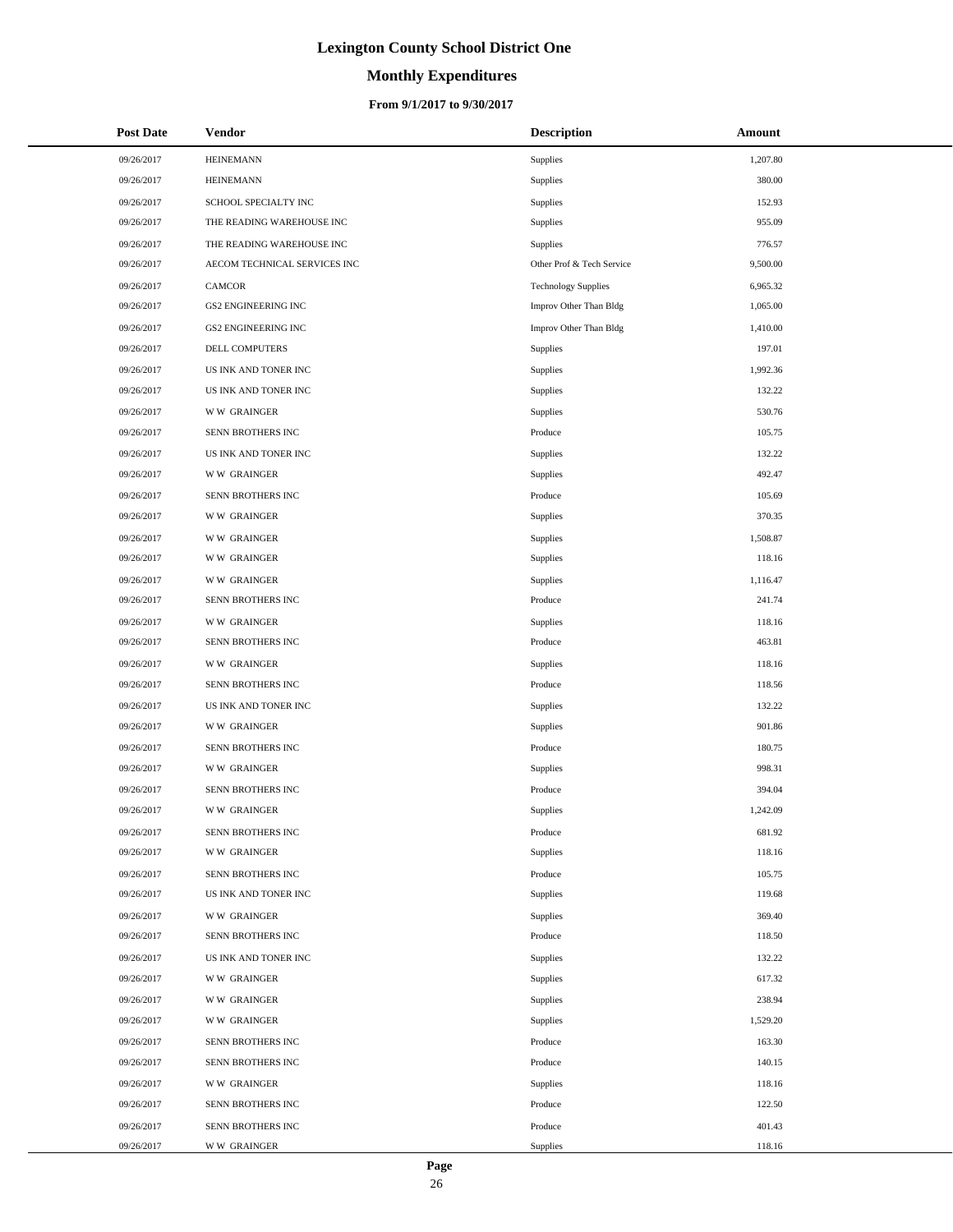# **Monthly Expenditures**

### **From 9/1/2017 to 9/30/2017**

| <b>Post Date</b> | Vendor                       | <b>Description</b>         | Amount   |
|------------------|------------------------------|----------------------------|----------|
| 09/26/2017       | <b>HEINEMANN</b>             | Supplies                   | 1,207.80 |
| 09/26/2017       | <b>HEINEMANN</b>             | Supplies                   | 380.00   |
| 09/26/2017       | SCHOOL SPECIALTY INC         | Supplies                   | 152.93   |
| 09/26/2017       | THE READING WAREHOUSE INC    | Supplies                   | 955.09   |
| 09/26/2017       | THE READING WAREHOUSE INC    | Supplies                   | 776.57   |
| 09/26/2017       | AECOM TECHNICAL SERVICES INC | Other Prof & Tech Service  | 9,500.00 |
| 09/26/2017       | CAMCOR                       | <b>Technology Supplies</b> | 6,965.32 |
| 09/26/2017       | GS2 ENGINEERING INC          | Improv Other Than Bldg     | 1,065.00 |
| 09/26/2017       | <b>GS2 ENGINEERING INC</b>   | Improv Other Than Bldg     | 1,410.00 |
| 09/26/2017       | DELL COMPUTERS               | Supplies                   | 197.01   |
| 09/26/2017       | US INK AND TONER INC         | Supplies                   | 1,992.36 |
| 09/26/2017       | US INK AND TONER INC         | Supplies                   | 132.22   |
| 09/26/2017       | <b>WW GRAINGER</b>           | Supplies                   | 530.76   |
| 09/26/2017       | SENN BROTHERS INC            | Produce                    | 105.75   |
| 09/26/2017       | US INK AND TONER INC         | Supplies                   | 132.22   |
| 09/26/2017       | <b>WW GRAINGER</b>           | Supplies                   | 492.47   |
| 09/26/2017       | SENN BROTHERS INC            | Produce                    | 105.69   |
| 09/26/2017       | <b>WW GRAINGER</b>           | Supplies                   | 370.35   |
| 09/26/2017       | <b>WW GRAINGER</b>           | Supplies                   | 1,508.87 |
| 09/26/2017       | <b>WW GRAINGER</b>           | Supplies                   | 118.16   |
| 09/26/2017       | <b>WW GRAINGER</b>           | Supplies                   | 1,116.47 |
| 09/26/2017       | SENN BROTHERS INC            | Produce                    | 241.74   |
| 09/26/2017       | <b>WW GRAINGER</b>           | Supplies                   | 118.16   |
| 09/26/2017       | SENN BROTHERS INC            | Produce                    | 463.81   |
| 09/26/2017       | <b>WW GRAINGER</b>           | Supplies                   | 118.16   |
| 09/26/2017       | SENN BROTHERS INC            | Produce                    | 118.56   |
| 09/26/2017       | US INK AND TONER INC         | Supplies                   | 132.22   |
| 09/26/2017       | <b>WW GRAINGER</b>           | Supplies                   | 901.86   |
| 09/26/2017       | SENN BROTHERS INC            | Produce                    | 180.75   |
| 09/26/2017       | <b>WW GRAINGER</b>           | Supplies                   | 998.31   |
| 09/26/2017       | SENN BROTHERS INC            | Produce                    | 394.04   |
| 09/26/2017       | <b>WW GRAINGER</b>           | Supplies                   | 1,242.09 |
| 09/26/2017       | SENN BROTHERS INC            | Produce                    | 681.92   |
| 09/26/2017       | <b>WW GRAINGER</b>           | Supplies                   | 118.16   |
| 09/26/2017       | SENN BROTHERS INC            | Produce                    | 105.75   |
| 09/26/2017       | US INK AND TONER INC         | Supplies                   | 119.68   |
| 09/26/2017       | <b>WW GRAINGER</b>           | Supplies                   | 369.40   |
| 09/26/2017       | SENN BROTHERS INC            | Produce                    | 118.50   |
| 09/26/2017       | US INK AND TONER INC         | Supplies                   | 132.22   |
| 09/26/2017       | <b>WW GRAINGER</b>           | Supplies                   | 617.32   |
| 09/26/2017       | <b>WW GRAINGER</b>           | Supplies                   | 238.94   |
| 09/26/2017       | <b>WW GRAINGER</b>           | Supplies                   | 1,529.20 |
| 09/26/2017       | SENN BROTHERS INC            | Produce                    | 163.30   |
| 09/26/2017       | SENN BROTHERS INC            | Produce                    | 140.15   |
| 09/26/2017       | <b>WW GRAINGER</b>           | Supplies                   | 118.16   |
| 09/26/2017       | SENN BROTHERS INC            | Produce                    | 122.50   |
| 09/26/2017       | SENN BROTHERS INC            | Produce                    | 401.43   |
| 09/26/2017       | <b>WW GRAINGER</b>           | Supplies                   | 118.16   |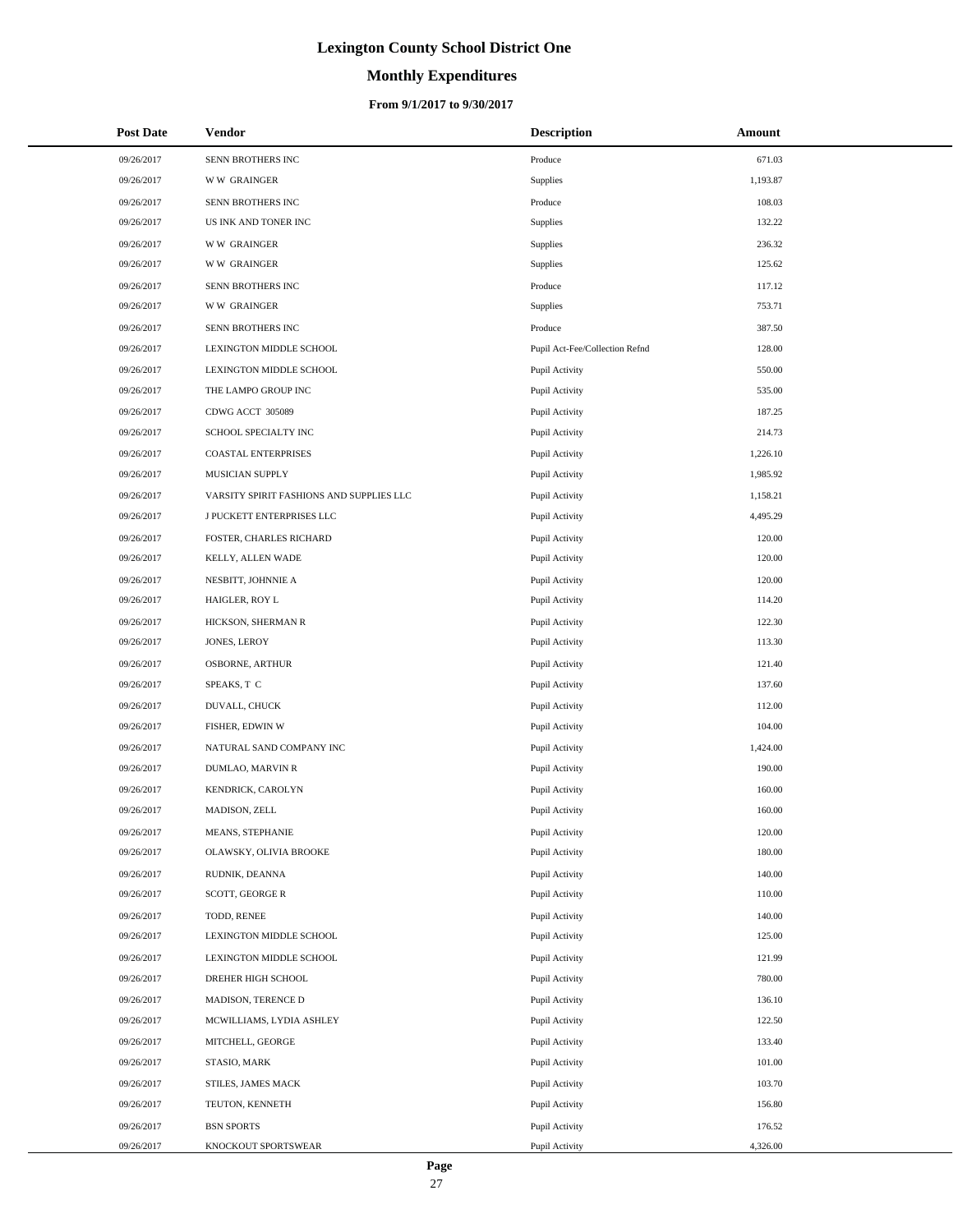# **Monthly Expenditures**

### **From 9/1/2017 to 9/30/2017**

| <b>Post Date</b> | Vendor                                   | <b>Description</b>             | Amount   |
|------------------|------------------------------------------|--------------------------------|----------|
| 09/26/2017       | SENN BROTHERS INC                        | Produce                        | 671.03   |
| 09/26/2017       | <b>WW GRAINGER</b>                       | Supplies                       | 1,193.87 |
| 09/26/2017       | SENN BROTHERS INC                        | Produce                        | 108.03   |
| 09/26/2017       | US INK AND TONER INC                     | Supplies                       | 132.22   |
| 09/26/2017       | <b>WW GRAINGER</b>                       | Supplies                       | 236.32   |
| 09/26/2017       | <b>WW GRAINGER</b>                       | Supplies                       | 125.62   |
| 09/26/2017       | SENN BROTHERS INC                        | Produce                        | 117.12   |
| 09/26/2017       | <b>WW GRAINGER</b>                       | Supplies                       | 753.71   |
| 09/26/2017       | SENN BROTHERS INC                        | Produce                        | 387.50   |
| 09/26/2017       | LEXINGTON MIDDLE SCHOOL                  | Pupil Act-Fee/Collection Refnd | 128.00   |
| 09/26/2017       | LEXINGTON MIDDLE SCHOOL                  | Pupil Activity                 | 550.00   |
| 09/26/2017       | THE LAMPO GROUP INC                      | Pupil Activity                 | 535.00   |
| 09/26/2017       | CDWG ACCT 305089                         | Pupil Activity                 | 187.25   |
| 09/26/2017       | SCHOOL SPECIALTY INC                     | Pupil Activity                 | 214.73   |
| 09/26/2017       | <b>COASTAL ENTERPRISES</b>               | Pupil Activity                 | 1,226.10 |
| 09/26/2017       | MUSICIAN SUPPLY                          | Pupil Activity                 | 1,985.92 |
| 09/26/2017       | VARSITY SPIRIT FASHIONS AND SUPPLIES LLC | Pupil Activity                 | 1,158.21 |
| 09/26/2017       | J PUCKETT ENTERPRISES LLC                | Pupil Activity                 | 4,495.29 |
| 09/26/2017       | FOSTER, CHARLES RICHARD                  | Pupil Activity                 | 120.00   |
| 09/26/2017       | KELLY, ALLEN WADE                        | Pupil Activity                 | 120.00   |
| 09/26/2017       | NESBITT, JOHNNIE A                       | Pupil Activity                 | 120.00   |
| 09/26/2017       | HAIGLER, ROY L                           | Pupil Activity                 | 114.20   |
| 09/26/2017       | HICKSON, SHERMAN R                       | Pupil Activity                 | 122.30   |
| 09/26/2017       | JONES, LEROY                             | Pupil Activity                 | 113.30   |
| 09/26/2017       | <b>OSBORNE, ARTHUR</b>                   | Pupil Activity                 | 121.40   |
| 09/26/2017       | SPEAKS, T C                              | Pupil Activity                 | 137.60   |
| 09/26/2017       | DUVALL, CHUCK                            | Pupil Activity                 | 112.00   |
| 09/26/2017       | FISHER, EDWIN W                          | Pupil Activity                 | 104.00   |
| 09/26/2017       | NATURAL SAND COMPANY INC                 | Pupil Activity                 | 1,424.00 |
| 09/26/2017       | DUMLAO, MARVIN R                         | Pupil Activity                 | 190.00   |
| 09/26/2017       | KENDRICK, CAROLYN                        | Pupil Activity                 | 160.00   |
| 09/26/2017       | MADISON, ZELL                            | Pupil Activity                 | 160.00   |
| 09/26/2017       | MEANS, STEPHANIE                         | Pupil Activity                 | 120.00   |
| 09/26/2017       | OLAWSKY, OLIVIA BROOKE                   | Pupil Activity                 | 180.00   |
| 09/26/2017       | RUDNIK, DEANNA                           | Pupil Activity                 | 140.00   |
| 09/26/2017       | SCOTT, GEORGE R                          | Pupil Activity                 | 110.00   |
| 09/26/2017       | TODD, RENEE                              | Pupil Activity                 | 140.00   |
| 09/26/2017       | LEXINGTON MIDDLE SCHOOL                  | Pupil Activity                 | 125.00   |
| 09/26/2017       | LEXINGTON MIDDLE SCHOOL                  | Pupil Activity                 | 121.99   |
| 09/26/2017       | DREHER HIGH SCHOOL                       | Pupil Activity                 | 780.00   |
| 09/26/2017       | MADISON, TERENCE D                       | Pupil Activity                 | 136.10   |
| 09/26/2017       | MCWILLIAMS, LYDIA ASHLEY                 | Pupil Activity                 | 122.50   |
| 09/26/2017       | MITCHELL, GEORGE                         | Pupil Activity                 | 133.40   |
| 09/26/2017       | STASIO, MARK                             | Pupil Activity                 | 101.00   |
| 09/26/2017       | STILES, JAMES MACK                       | Pupil Activity                 | 103.70   |
| 09/26/2017       | TEUTON, KENNETH                          | Pupil Activity                 | 156.80   |
| 09/26/2017       | <b>BSN SPORTS</b>                        | Pupil Activity                 | 176.52   |
| 09/26/2017       | KNOCKOUT SPORTSWEAR                      | Pupil Activity                 | 4,326.00 |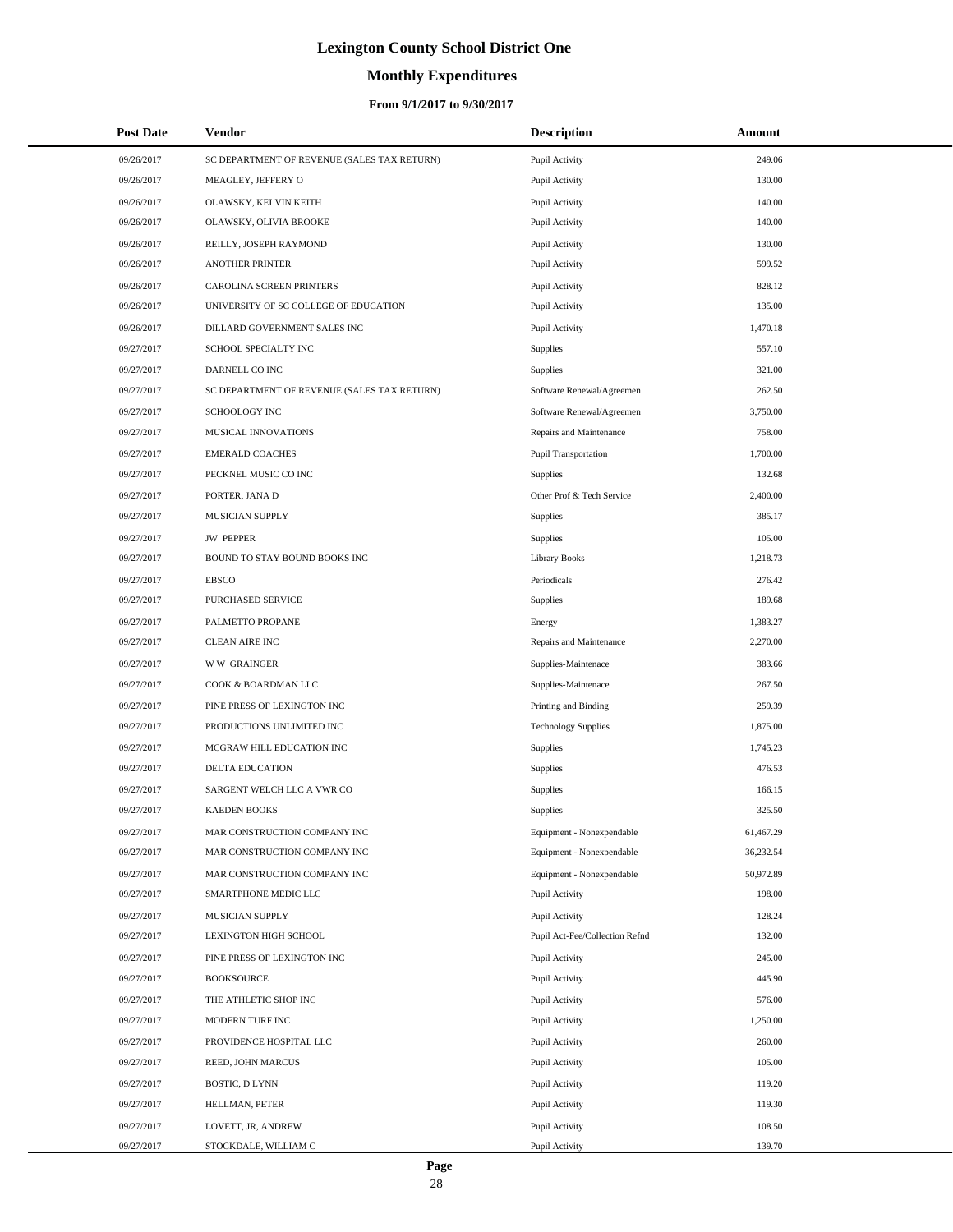# **Monthly Expenditures**

### **From 9/1/2017 to 9/30/2017**

| <b>Post Date</b> | <b>Vendor</b>                               | <b>Description</b>             | Amount    |
|------------------|---------------------------------------------|--------------------------------|-----------|
| 09/26/2017       | SC DEPARTMENT OF REVENUE (SALES TAX RETURN) | Pupil Activity                 | 249.06    |
| 09/26/2017       | MEAGLEY, JEFFERY O                          | Pupil Activity                 | 130.00    |
| 09/26/2017       | OLAWSKY, KELVIN KEITH                       | Pupil Activity                 | 140.00    |
| 09/26/2017       | OLAWSKY, OLIVIA BROOKE                      | Pupil Activity                 | 140.00    |
| 09/26/2017       | REILLY, JOSEPH RAYMOND                      | Pupil Activity                 | 130.00    |
| 09/26/2017       | <b>ANOTHER PRINTER</b>                      | Pupil Activity                 | 599.52    |
| 09/26/2017       | <b>CAROLINA SCREEN PRINTERS</b>             | Pupil Activity                 | 828.12    |
| 09/26/2017       | UNIVERSITY OF SC COLLEGE OF EDUCATION       | Pupil Activity                 | 135.00    |
| 09/26/2017       | DILLARD GOVERNMENT SALES INC                | Pupil Activity                 | 1.470.18  |
| 09/27/2017       | SCHOOL SPECIALTY INC                        | Supplies                       | 557.10    |
| 09/27/2017       | DARNELL CO INC                              | Supplies                       | 321.00    |
| 09/27/2017       | SC DEPARTMENT OF REVENUE (SALES TAX RETURN) | Software Renewal/Agreemen      | 262.50    |
| 09/27/2017       | <b>SCHOOLOGY INC</b>                        | Software Renewal/Agreemen      | 3,750.00  |
| 09/27/2017       | MUSICAL INNOVATIONS                         | Repairs and Maintenance        | 758.00    |
| 09/27/2017       | <b>EMERALD COACHES</b>                      | Pupil Transportation           | 1,700.00  |
| 09/27/2017       | PECKNEL MUSIC CO INC                        | Supplies                       | 132.68    |
| 09/27/2017       | PORTER, JANA D                              | Other Prof & Tech Service      | 2,400.00  |
| 09/27/2017       | MUSICIAN SUPPLY                             | Supplies                       | 385.17    |
| 09/27/2017       | <b>JW PEPPER</b>                            | Supplies                       | 105.00    |
| 09/27/2017       | BOUND TO STAY BOUND BOOKS INC               | <b>Library Books</b>           | 1,218.73  |
| 09/27/2017       | <b>EBSCO</b>                                | Periodicals                    | 276.42    |
| 09/27/2017       | PURCHASED SERVICE                           | Supplies                       | 189.68    |
| 09/27/2017       | PALMETTO PROPANE                            | Energy                         | 1,383.27  |
| 09/27/2017       | <b>CLEAN AIRE INC</b>                       | Repairs and Maintenance        | 2,270.00  |
| 09/27/2017       | <b>WW GRAINGER</b>                          | Supplies-Maintenace            | 383.66    |
| 09/27/2017       | COOK & BOARDMAN LLC                         | Supplies-Maintenace            | 267.50    |
| 09/27/2017       | PINE PRESS OF LEXINGTON INC                 | Printing and Binding           | 259.39    |
| 09/27/2017       | PRODUCTIONS UNLIMITED INC                   | <b>Technology Supplies</b>     | 1,875.00  |
| 09/27/2017       | MCGRAW HILL EDUCATION INC                   | Supplies                       | 1,745.23  |
| 09/27/2017       | DELTA EDUCATION                             | Supplies                       | 476.53    |
| 09/27/2017       | SARGENT WELCH LLC A VWR CO                  | Supplies                       | 166.15    |
| 09/27/2017       | <b>KAEDEN BOOKS</b>                         | Supplies                       | 325.50    |
| 09/27/2017       | MAR CONSTRUCTION COMPANY INC                | Equipment - Nonexpendable      | 61,467.29 |
| 09/27/2017       | MAR CONSTRUCTION COMPANY INC                | Equipment - Nonexpendable      | 36,232.54 |
| 09/27/2017       | MAR CONSTRUCTION COMPANY INC                | Equipment - Nonexpendable      | 50,972.89 |
| 09/27/2017       | SMARTPHONE MEDIC LLC                        | Pupil Activity                 | 198.00    |
| 09/27/2017       | MUSICIAN SUPPLY                             | Pupil Activity                 | 128.24    |
| 09/27/2017       | LEXINGTON HIGH SCHOOL                       | Pupil Act-Fee/Collection Refnd | 132.00    |
| 09/27/2017       | PINE PRESS OF LEXINGTON INC                 | Pupil Activity                 | 245.00    |
| 09/27/2017       | <b>BOOKSOURCE</b>                           | Pupil Activity                 | 445.90    |
| 09/27/2017       | THE ATHLETIC SHOP INC                       | Pupil Activity                 | 576.00    |
| 09/27/2017       | MODERN TURF INC                             | Pupil Activity                 | 1,250.00  |
| 09/27/2017       | PROVIDENCE HOSPITAL LLC                     | Pupil Activity                 | 260.00    |
| 09/27/2017       | REED, JOHN MARCUS                           | Pupil Activity                 | 105.00    |
| 09/27/2017       | BOSTIC, D LYNN                              | Pupil Activity                 | 119.20    |
| 09/27/2017       | HELLMAN, PETER                              | Pupil Activity                 | 119.30    |
| 09/27/2017       | LOVETT, JR, ANDREW                          | Pupil Activity                 | 108.50    |
| 09/27/2017       | STOCKDALE, WILLIAM C                        | Pupil Activity                 | 139.70    |

÷.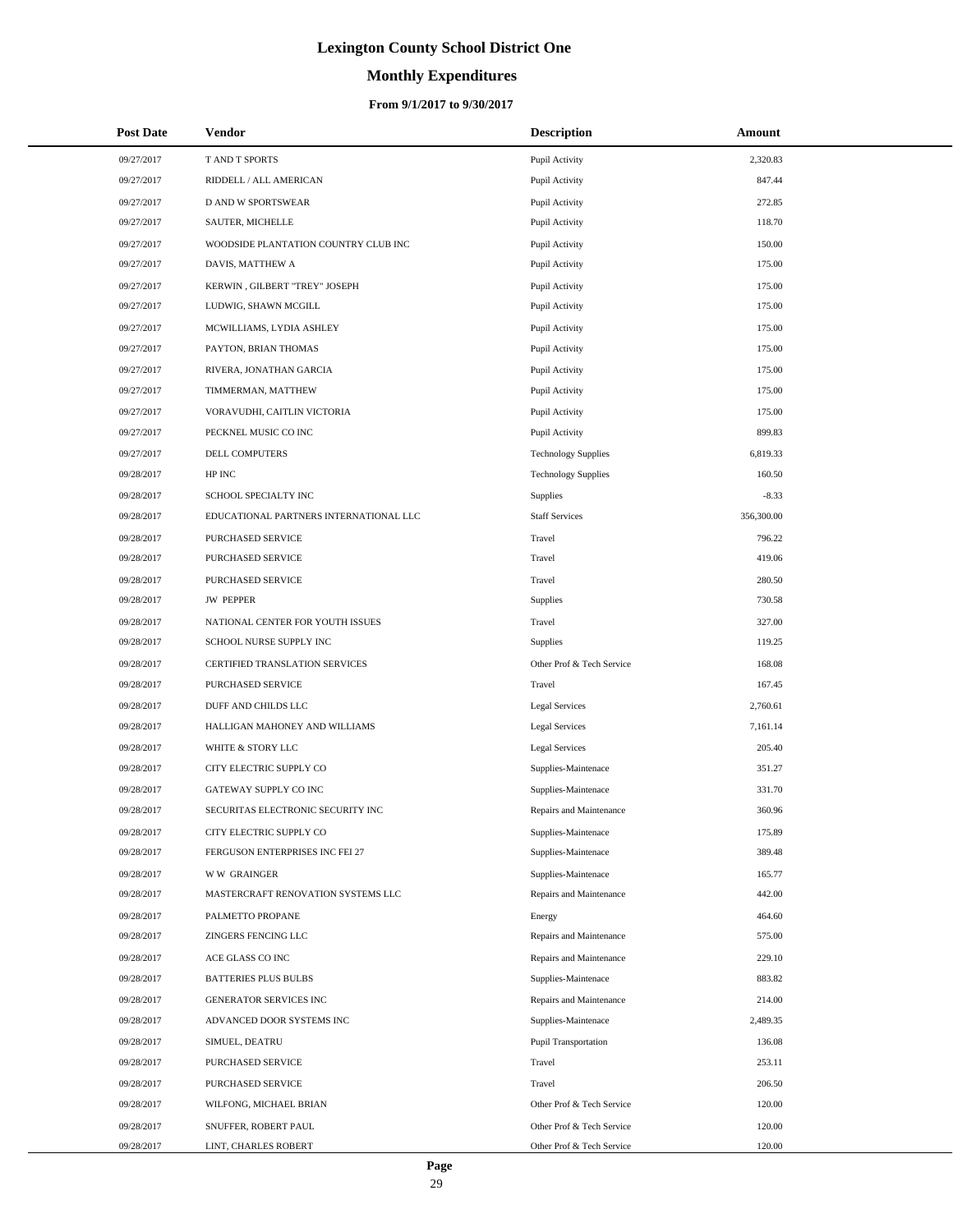# **Monthly Expenditures**

| <b>Post Date</b> | Vendor                                 | <b>Description</b>          | Amount     |
|------------------|----------------------------------------|-----------------------------|------------|
| 09/27/2017       | T AND T SPORTS                         | Pupil Activity              | 2,320.83   |
| 09/27/2017       | RIDDELL / ALL AMERICAN                 | Pupil Activity              | 847.44     |
| 09/27/2017       | <b>D AND W SPORTSWEAR</b>              | Pupil Activity              | 272.85     |
| 09/27/2017       | SAUTER, MICHELLE                       | Pupil Activity              | 118.70     |
| 09/27/2017       | WOODSIDE PLANTATION COUNTRY CLUB INC   | Pupil Activity              | 150.00     |
| 09/27/2017       | DAVIS, MATTHEW A                       | Pupil Activity              | 175.00     |
| 09/27/2017       | KERWIN, GILBERT "TREY" JOSEPH          | Pupil Activity              | 175.00     |
| 09/27/2017       | LUDWIG, SHAWN MCGILL                   | Pupil Activity              | 175.00     |
| 09/27/2017       | MCWILLIAMS, LYDIA ASHLEY               | Pupil Activity              | 175.00     |
| 09/27/2017       | PAYTON, BRIAN THOMAS                   | Pupil Activity              | 175.00     |
| 09/27/2017       | RIVERA, JONATHAN GARCIA                | Pupil Activity              | 175.00     |
| 09/27/2017       | TIMMERMAN, MATTHEW                     | Pupil Activity              | 175.00     |
| 09/27/2017       | VORAVUDHI, CAITLIN VICTORIA            | Pupil Activity              | 175.00     |
| 09/27/2017       | PECKNEL MUSIC CO INC                   | Pupil Activity              | 899.83     |
| 09/27/2017       | DELL COMPUTERS                         | <b>Technology Supplies</b>  | 6,819.33   |
| 09/28/2017       | HP INC                                 | <b>Technology Supplies</b>  | 160.50     |
| 09/28/2017       | SCHOOL SPECIALTY INC                   | <b>Supplies</b>             | $-8.33$    |
| 09/28/2017       | EDUCATIONAL PARTNERS INTERNATIONAL LLC | <b>Staff Services</b>       | 356,300.00 |
| 09/28/2017       | PURCHASED SERVICE                      | Travel                      | 796.22     |
| 09/28/2017       | PURCHASED SERVICE                      | Travel                      | 419.06     |
| 09/28/2017       | PURCHASED SERVICE                      | Travel                      | 280.50     |
| 09/28/2017       | <b>JW PEPPER</b>                       | <b>Supplies</b>             | 730.58     |
| 09/28/2017       | NATIONAL CENTER FOR YOUTH ISSUES       | Travel                      | 327.00     |
| 09/28/2017       | SCHOOL NURSE SUPPLY INC                | <b>Supplies</b>             | 119.25     |
| 09/28/2017       | CERTIFIED TRANSLATION SERVICES         | Other Prof & Tech Service   | 168.08     |
| 09/28/2017       | PURCHASED SERVICE                      | Travel                      | 167.45     |
| 09/28/2017       | DUFF AND CHILDS LLC                    | <b>Legal Services</b>       | 2,760.61   |
| 09/28/2017       | HALLIGAN MAHONEY AND WILLIAMS          | <b>Legal Services</b>       | 7,161.14   |
| 09/28/2017       | WHITE & STORY LLC                      | <b>Legal Services</b>       | 205.40     |
| 09/28/2017       | CITY ELECTRIC SUPPLY CO                | Supplies-Maintenace         | 351.27     |
| 09/28/2017       | GATEWAY SUPPLY CO INC                  | Supplies-Maintenace         | 331.70     |
| 09/28/2017       | SECURITAS ELECTRONIC SECURITY INC      | Repairs and Maintenance     | 360.96     |
| 09/28/2017       | CITY ELECTRIC SUPPLY CO                | Supplies-Maintenace         | 175.89     |
| 09/28/2017       | FERGUSON ENTERPRISES INC FEI 27        | Supplies-Maintenace         | 389.48     |
| 09/28/2017       | <b>WW GRAINGER</b>                     | Supplies-Maintenace         | 165.77     |
| 09/28/2017       | MASTERCRAFT RENOVATION SYSTEMS LLC     | Repairs and Maintenance     | 442.00     |
| 09/28/2017       | PALMETTO PROPANE                       | Energy                      | 464.60     |
| 09/28/2017       | <b>ZINGERS FENCING LLC</b>             | Repairs and Maintenance     | 575.00     |
| 09/28/2017       | ACE GLASS CO INC                       | Repairs and Maintenance     | 229.10     |
| 09/28/2017       | <b>BATTERIES PLUS BULBS</b>            | Supplies-Maintenace         | 883.82     |
| 09/28/2017       | GENERATOR SERVICES INC                 | Repairs and Maintenance     | 214.00     |
| 09/28/2017       | ADVANCED DOOR SYSTEMS INC              | Supplies-Maintenace         | 2,489.35   |
| 09/28/2017       | SIMUEL, DEATRU                         | <b>Pupil Transportation</b> | 136.08     |
| 09/28/2017       | PURCHASED SERVICE                      | Travel                      | 253.11     |
| 09/28/2017       | PURCHASED SERVICE                      | Travel                      | 206.50     |
| 09/28/2017       | WILFONG, MICHAEL BRIAN                 | Other Prof & Tech Service   | 120.00     |
| 09/28/2017       | SNUFFER, ROBERT PAUL                   | Other Prof & Tech Service   | 120.00     |
| 09/28/2017       | LINT, CHARLES ROBERT                   | Other Prof & Tech Service   | 120.00     |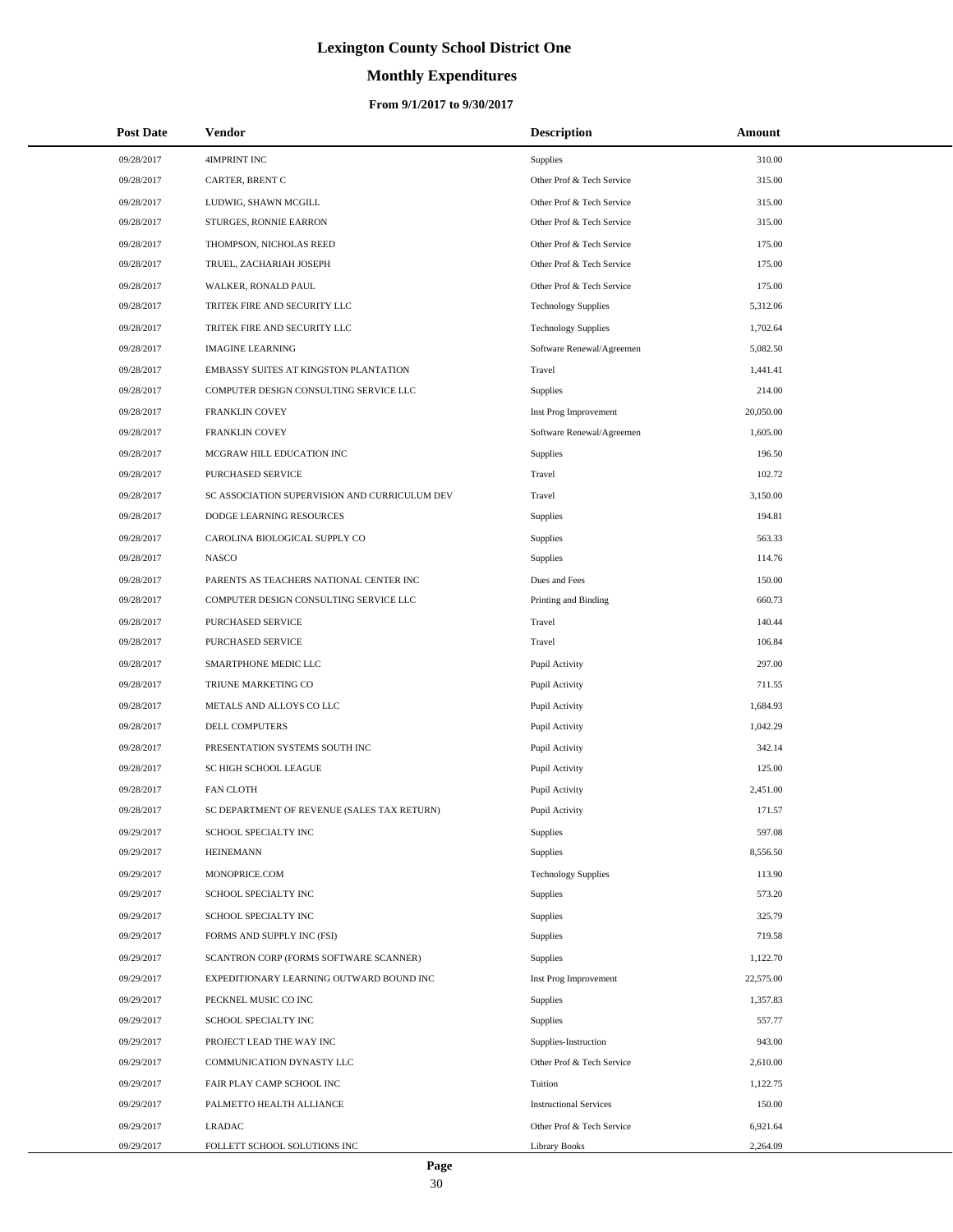# **Monthly Expenditures**

### **From 9/1/2017 to 9/30/2017**

| <b>Post Date</b> | Vendor                                        | <b>Description</b>            | Amount    |  |
|------------------|-----------------------------------------------|-------------------------------|-----------|--|
| 09/28/2017       | <b>4IMPRINT INC</b>                           | <b>Supplies</b>               | 310.00    |  |
| 09/28/2017       | CARTER, BRENT C                               | Other Prof & Tech Service     | 315.00    |  |
| 09/28/2017       | LUDWIG, SHAWN MCGILL                          | Other Prof & Tech Service     | 315.00    |  |
| 09/28/2017       | STURGES, RONNIE EARRON                        | Other Prof & Tech Service     | 315.00    |  |
| 09/28/2017       | THOMPSON, NICHOLAS REED                       | Other Prof & Tech Service     | 175.00    |  |
| 09/28/2017       | TRUEL, ZACHARIAH JOSEPH                       | Other Prof & Tech Service     | 175.00    |  |
| 09/28/2017       | WALKER, RONALD PAUL                           | Other Prof & Tech Service     | 175.00    |  |
| 09/28/2017       | TRITEK FIRE AND SECURITY LLC                  | <b>Technology Supplies</b>    | 5,312.06  |  |
| 09/28/2017       | TRITEK FIRE AND SECURITY LLC                  | <b>Technology Supplies</b>    | 1,702.64  |  |
| 09/28/2017       | <b>IMAGINE LEARNING</b>                       | Software Renewal/Agreemen     | 5,082.50  |  |
| 09/28/2017       | EMBASSY SUITES AT KINGSTON PLANTATION         | Travel                        | 1,441.41  |  |
| 09/28/2017       | COMPUTER DESIGN CONSULTING SERVICE LLC        | Supplies                      | 214.00    |  |
| 09/28/2017       | <b>FRANKLIN COVEY</b>                         | Inst Prog Improvement         | 20,050.00 |  |
| 09/28/2017       | FRANKLIN COVEY                                | Software Renewal/Agreemen     | 1,605.00  |  |
| 09/28/2017       | MCGRAW HILL EDUCATION INC                     | Supplies                      | 196.50    |  |
| 09/28/2017       | PURCHASED SERVICE                             | Travel                        | 102.72    |  |
| 09/28/2017       | SC ASSOCIATION SUPERVISION AND CURRICULUM DEV | Travel                        | 3,150.00  |  |
| 09/28/2017       | DODGE LEARNING RESOURCES                      | Supplies                      | 194.81    |  |
| 09/28/2017       | CAROLINA BIOLOGICAL SUPPLY CO                 | Supplies                      | 563.33    |  |
| 09/28/2017       | <b>NASCO</b>                                  | Supplies                      | 114.76    |  |
| 09/28/2017       | PARENTS AS TEACHERS NATIONAL CENTER INC       | Dues and Fees                 | 150.00    |  |
| 09/28/2017       | COMPUTER DESIGN CONSULTING SERVICE LLC        | Printing and Binding          | 660.73    |  |
| 09/28/2017       | PURCHASED SERVICE                             | Travel                        | 140.44    |  |
| 09/28/2017       | PURCHASED SERVICE                             | Travel                        | 106.84    |  |
| 09/28/2017       | SMARTPHONE MEDIC LLC                          | Pupil Activity                | 297.00    |  |
| 09/28/2017       | TRIUNE MARKETING CO                           | Pupil Activity                | 711.55    |  |
| 09/28/2017       | METALS AND ALLOYS CO LLC                      | Pupil Activity                | 1,684.93  |  |
| 09/28/2017       | DELL COMPUTERS                                | Pupil Activity                | 1,042.29  |  |
| 09/28/2017       | PRESENTATION SYSTEMS SOUTH INC                | Pupil Activity                | 342.14    |  |
| 09/28/2017       | SC HIGH SCHOOL LEAGUE                         | Pupil Activity                | 125.00    |  |
| 09/28/2017       | <b>FAN CLOTH</b>                              | Pupil Activity                | 2,451.00  |  |
| 09/28/2017       | SC DEPARTMENT OF REVENUE (SALES TAX RETURN)   | Pupil Activity                | 171.57    |  |
| 09/29/2017       | SCHOOL SPECIALTY INC                          | <b>Supplies</b>               | 597.08    |  |
| 09/29/2017       | <b>HEINEMANN</b>                              | Supplies                      | 8,556.50  |  |
| 09/29/2017       | MONOPRICE.COM                                 | <b>Technology Supplies</b>    | 113.90    |  |
| 09/29/2017       | SCHOOL SPECIALTY INC                          | Supplies                      | 573.20    |  |
| 09/29/2017       | SCHOOL SPECIALTY INC                          | Supplies                      | 325.79    |  |
| 09/29/2017       | FORMS AND SUPPLY INC (FSI)                    | Supplies                      | 719.58    |  |
| 09/29/2017       | SCANTRON CORP (FORMS SOFTWARE SCANNER)        | <b>Supplies</b>               | 1,122.70  |  |
| 09/29/2017       | EXPEDITIONARY LEARNING OUTWARD BOUND INC      | Inst Prog Improvement         | 22,575.00 |  |
| 09/29/2017       | PECKNEL MUSIC CO INC                          | Supplies                      | 1,357.83  |  |
| 09/29/2017       | SCHOOL SPECIALTY INC                          | <b>Supplies</b>               | 557.77    |  |
| 09/29/2017       | PROJECT LEAD THE WAY INC                      | Supplies-Instruction          | 943.00    |  |
| 09/29/2017       | COMMUNICATION DYNASTY LLC                     | Other Prof & Tech Service     | 2,610.00  |  |
| 09/29/2017       | FAIR PLAY CAMP SCHOOL INC                     | Tuition                       | 1,122.75  |  |
| 09/29/2017       | PALMETTO HEALTH ALLIANCE                      | <b>Instructional Services</b> | 150.00    |  |
| 09/29/2017       | <b>LRADAC</b>                                 | Other Prof & Tech Service     | 6,921.64  |  |
| 09/29/2017       | FOLLETT SCHOOL SOLUTIONS INC                  | Library Books                 | 2,264.09  |  |

 $\overline{a}$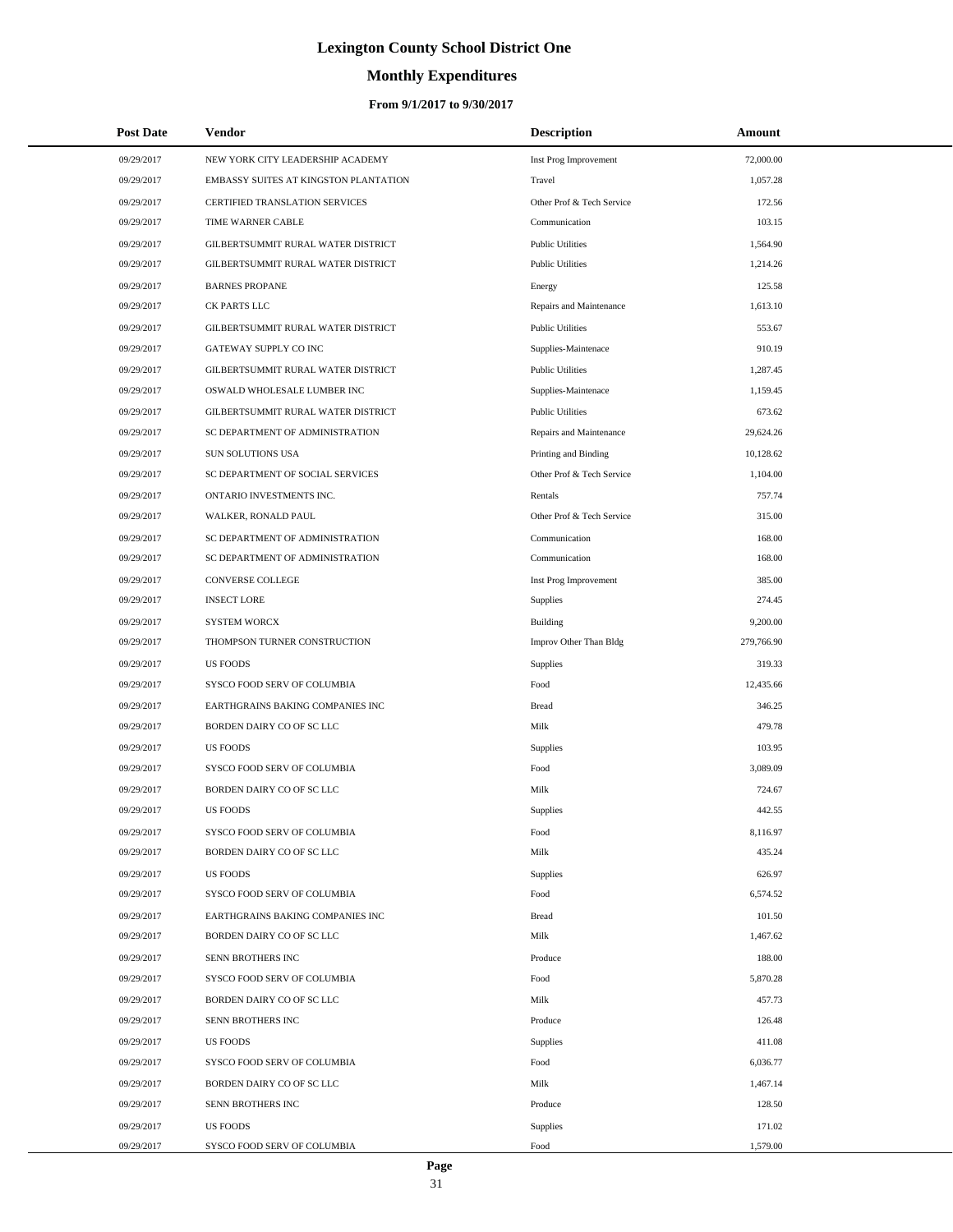# **Monthly Expenditures**

| <b>Post Date</b> | Vendor                                | <b>Description</b>        | Amount     |
|------------------|---------------------------------------|---------------------------|------------|
| 09/29/2017       | NEW YORK CITY LEADERSHIP ACADEMY      | Inst Prog Improvement     | 72,000.00  |
| 09/29/2017       | EMBASSY SUITES AT KINGSTON PLANTATION | Travel                    | 1,057.28   |
| 09/29/2017       | CERTIFIED TRANSLATION SERVICES        | Other Prof & Tech Service | 172.56     |
| 09/29/2017       | TIME WARNER CABLE                     | Communication             | 103.15     |
| 09/29/2017       | GILBERTSUMMIT RURAL WATER DISTRICT    | <b>Public Utilities</b>   | 1,564.90   |
| 09/29/2017       | GILBERTSUMMIT RURAL WATER DISTRICT    | <b>Public Utilities</b>   | 1,214.26   |
| 09/29/2017       | <b>BARNES PROPANE</b>                 | Energy                    | 125.58     |
| 09/29/2017       | CK PARTS LLC                          | Repairs and Maintenance   | 1,613.10   |
| 09/29/2017       | GILBERTSUMMIT RURAL WATER DISTRICT    | <b>Public Utilities</b>   | 553.67     |
| 09/29/2017       | GATEWAY SUPPLY CO INC                 | Supplies-Maintenace       | 910.19     |
| 09/29/2017       | GILBERTSUMMIT RURAL WATER DISTRICT    | <b>Public Utilities</b>   | 1,287.45   |
| 09/29/2017       | OSWALD WHOLESALE LUMBER INC           | Supplies-Maintenace       | 1,159.45   |
| 09/29/2017       | GILBERTSUMMIT RURAL WATER DISTRICT    | <b>Public Utilities</b>   | 673.62     |
| 09/29/2017       | SC DEPARTMENT OF ADMINISTRATION       | Repairs and Maintenance   | 29,624.26  |
| 09/29/2017       | <b>SUN SOLUTIONS USA</b>              | Printing and Binding      | 10,128.62  |
| 09/29/2017       | SC DEPARTMENT OF SOCIAL SERVICES      | Other Prof & Tech Service | 1,104.00   |
| 09/29/2017       | ONTARIO INVESTMENTS INC.              | Rentals                   | 757.74     |
| 09/29/2017       | WALKER, RONALD PAUL                   | Other Prof & Tech Service | 315.00     |
| 09/29/2017       | SC DEPARTMENT OF ADMINISTRATION       | Communication             | 168.00     |
| 09/29/2017       | SC DEPARTMENT OF ADMINISTRATION       | Communication             | 168.00     |
| 09/29/2017       | <b>CONVERSE COLLEGE</b>               | Inst Prog Improvement     | 385.00     |
| 09/29/2017       | <b>INSECT LORE</b>                    | Supplies                  | 274.45     |
| 09/29/2017       | <b>SYSTEM WORCX</b>                   | <b>Building</b>           | 9,200.00   |
| 09/29/2017       | THOMPSON TURNER CONSTRUCTION          | Improv Other Than Bldg    | 279,766.90 |
| 09/29/2017       | <b>US FOODS</b>                       | Supplies                  | 319.33     |
| 09/29/2017       | SYSCO FOOD SERV OF COLUMBIA           | Food                      | 12,435.66  |
| 09/29/2017       | EARTHGRAINS BAKING COMPANIES INC      | <b>Bread</b>              | 346.25     |
| 09/29/2017       | BORDEN DAIRY CO OF SC LLC             | Milk                      | 479.78     |
| 09/29/2017       | <b>US FOODS</b>                       | Supplies                  | 103.95     |
| 09/29/2017       | SYSCO FOOD SERV OF COLUMBIA           | Food                      | 3,089.09   |
| 09/29/2017       | <b>BORDEN DAIRY CO OF SC LLC</b>      | Milk                      | 724.67     |
| 09/29/2017       | <b>US FOODS</b>                       | Supplies                  | 442.55     |
| 09/29/2017       | SYSCO FOOD SERV OF COLUMBIA           | Food                      | 8,116.97   |
| 09/29/2017       | BORDEN DAIRY CO OF SC LLC             | Milk                      | 435.24     |
| 09/29/2017       | <b>US FOODS</b>                       | Supplies                  | 626.97     |
| 09/29/2017       | SYSCO FOOD SERV OF COLUMBIA           | Food                      | 6,574.52   |
| 09/29/2017       | EARTHGRAINS BAKING COMPANIES INC      | <b>Bread</b>              | 101.50     |
| 09/29/2017       | BORDEN DAIRY CO OF SC LLC             | Milk                      | 1,467.62   |
| 09/29/2017       | SENN BROTHERS INC                     | Produce                   | 188.00     |
| 09/29/2017       | SYSCO FOOD SERV OF COLUMBIA           | Food                      | 5,870.28   |
| 09/29/2017       | BORDEN DAIRY CO OF SC LLC             | Milk                      | 457.73     |
| 09/29/2017       | SENN BROTHERS INC                     | Produce                   | 126.48     |
| 09/29/2017       | <b>US FOODS</b>                       | Supplies                  | 411.08     |
| 09/29/2017       | SYSCO FOOD SERV OF COLUMBIA           | Food                      | 6,036.77   |
| 09/29/2017       | BORDEN DAIRY CO OF SC LLC             | Milk                      | 1,467.14   |
| 09/29/2017       | SENN BROTHERS INC                     | Produce                   | 128.50     |
| 09/29/2017       | US FOODS                              | Supplies                  | 171.02     |
| 09/29/2017       | SYSCO FOOD SERV OF COLUMBIA           | Food                      | 1,579.00   |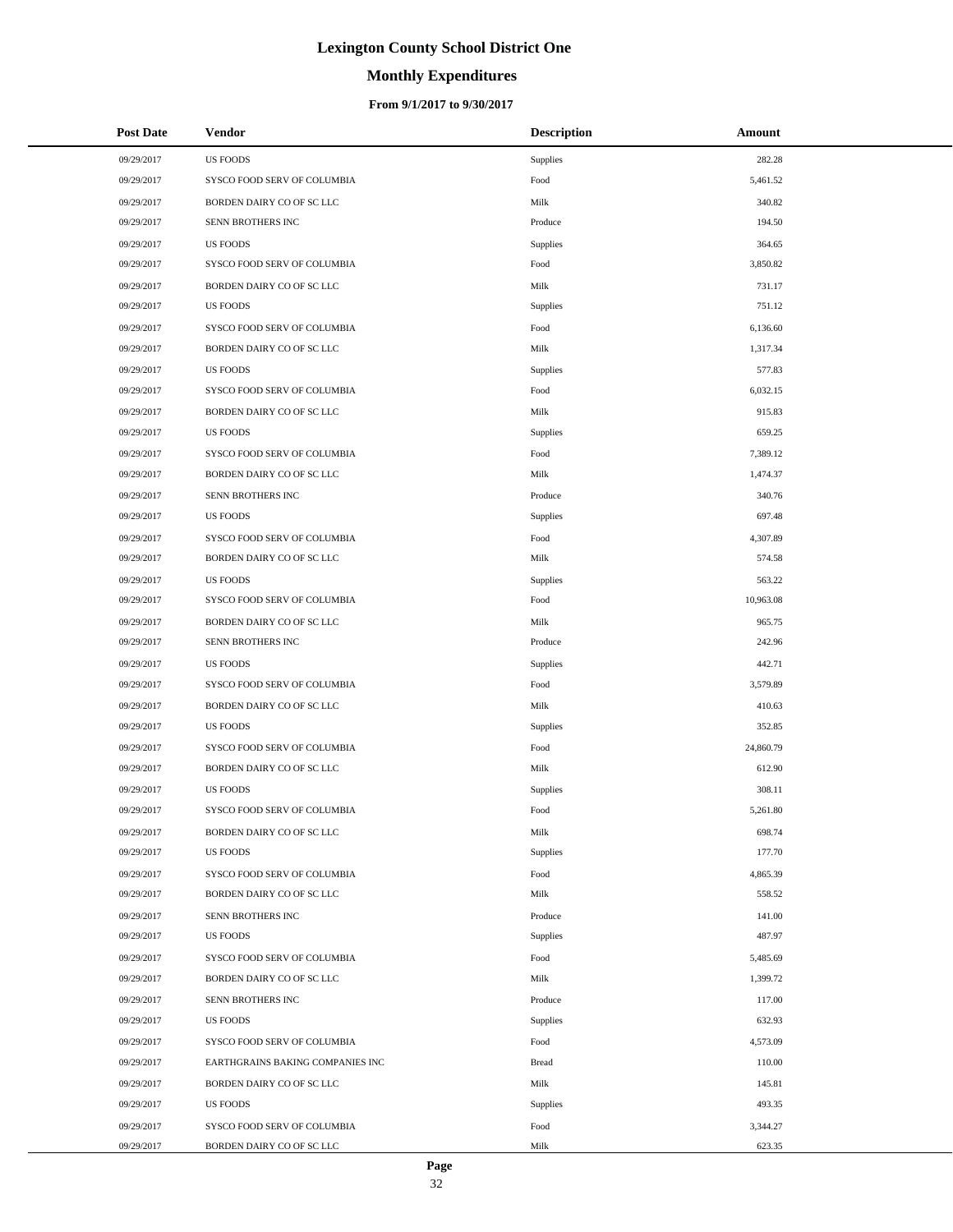# **Monthly Expenditures**

### **From 9/1/2017 to 9/30/2017**

| <b>Post Date</b> | Vendor                           | <b>Description</b> | Amount    |
|------------------|----------------------------------|--------------------|-----------|
| 09/29/2017       | <b>US FOODS</b>                  | Supplies           | 282.28    |
| 09/29/2017       | SYSCO FOOD SERV OF COLUMBIA      | Food               | 5,461.52  |
| 09/29/2017       | BORDEN DAIRY CO OF SC LLC        | Milk               | 340.82    |
| 09/29/2017       | SENN BROTHERS INC                | Produce            | 194.50    |
| 09/29/2017       | <b>US FOODS</b>                  | Supplies           | 364.65    |
| 09/29/2017       | SYSCO FOOD SERV OF COLUMBIA      | Food               | 3,850.82  |
| 09/29/2017       | BORDEN DAIRY CO OF SC LLC        | Milk               | 731.17    |
| 09/29/2017       | <b>US FOODS</b>                  | Supplies           | 751.12    |
| 09/29/2017       | SYSCO FOOD SERV OF COLUMBIA      | Food               | 6,136.60  |
| 09/29/2017       | BORDEN DAIRY CO OF SC LLC        | Milk               | 1,317.34  |
| 09/29/2017       | <b>US FOODS</b>                  | <b>Supplies</b>    | 577.83    |
| 09/29/2017       | SYSCO FOOD SERV OF COLUMBIA      | Food               | 6,032.15  |
| 09/29/2017       | BORDEN DAIRY CO OF SC LLC        | Milk               | 915.83    |
| 09/29/2017       | <b>US FOODS</b>                  | Supplies           | 659.25    |
| 09/29/2017       | SYSCO FOOD SERV OF COLUMBIA      | Food               | 7,389.12  |
| 09/29/2017       | BORDEN DAIRY CO OF SC LLC        | Milk               | 1,474.37  |
| 09/29/2017       | SENN BROTHERS INC                | Produce            | 340.76    |
| 09/29/2017       | <b>US FOODS</b>                  | Supplies           | 697.48    |
| 09/29/2017       | SYSCO FOOD SERV OF COLUMBIA      | Food               | 4,307.89  |
| 09/29/2017       | BORDEN DAIRY CO OF SC LLC        | Milk               | 574.58    |
| 09/29/2017       | <b>US FOODS</b>                  | Supplies           | 563.22    |
| 09/29/2017       | SYSCO FOOD SERV OF COLUMBIA      | Food               | 10,963.08 |
| 09/29/2017       | BORDEN DAIRY CO OF SC LLC        | Milk               | 965.75    |
| 09/29/2017       | SENN BROTHERS INC                | Produce            | 242.96    |
| 09/29/2017       | <b>US FOODS</b>                  | Supplies           | 442.71    |
| 09/29/2017       | SYSCO FOOD SERV OF COLUMBIA      | Food               | 3,579.89  |
| 09/29/2017       | BORDEN DAIRY CO OF SC LLC        | Milk               | 410.63    |
| 09/29/2017       | <b>US FOODS</b>                  | Supplies           | 352.85    |
| 09/29/2017       | SYSCO FOOD SERV OF COLUMBIA      | Food               | 24,860.79 |
| 09/29/2017       | BORDEN DAIRY CO OF SC LLC        | Milk               | 612.90    |
| 09/29/2017       | <b>US FOODS</b>                  | Supplies           | 308.11    |
| 09/29/2017       | SYSCO FOOD SERV OF COLUMBIA      | Food               | 5,261.80  |
| 09/29/2017       | BORDEN DAIRY CO OF SC LLC        | Milk               | 698.74    |
| 09/29/2017       | <b>US FOODS</b>                  | Supplies           | 177.70    |
| 09/29/2017       | SYSCO FOOD SERV OF COLUMBIA      | Food               | 4,865.39  |
| 09/29/2017       | BORDEN DAIRY CO OF SC LLC        | Milk               | 558.52    |
| 09/29/2017       | SENN BROTHERS INC                | Produce            | 141.00    |
| 09/29/2017       | <b>US FOODS</b>                  | Supplies           | 487.97    |
| 09/29/2017       | SYSCO FOOD SERV OF COLUMBIA      | Food               | 5,485.69  |
| 09/29/2017       | BORDEN DAIRY CO OF SC LLC        | Milk               | 1,399.72  |
| 09/29/2017       | SENN BROTHERS INC                | Produce            | 117.00    |
| 09/29/2017       | <b>US FOODS</b>                  | Supplies           | 632.93    |
| 09/29/2017       | SYSCO FOOD SERV OF COLUMBIA      | Food               | 4,573.09  |
| 09/29/2017       | EARTHGRAINS BAKING COMPANIES INC | <b>Bread</b>       | 110.00    |
| 09/29/2017       | BORDEN DAIRY CO OF SC LLC        | Milk               | 145.81    |
| 09/29/2017       | <b>US FOODS</b>                  | Supplies           | 493.35    |
| 09/29/2017       | SYSCO FOOD SERV OF COLUMBIA      | Food               | 3,344.27  |
| 09/29/2017       | BORDEN DAIRY CO OF SC LLC        | Milk               | 623.35    |

 $\overline{a}$